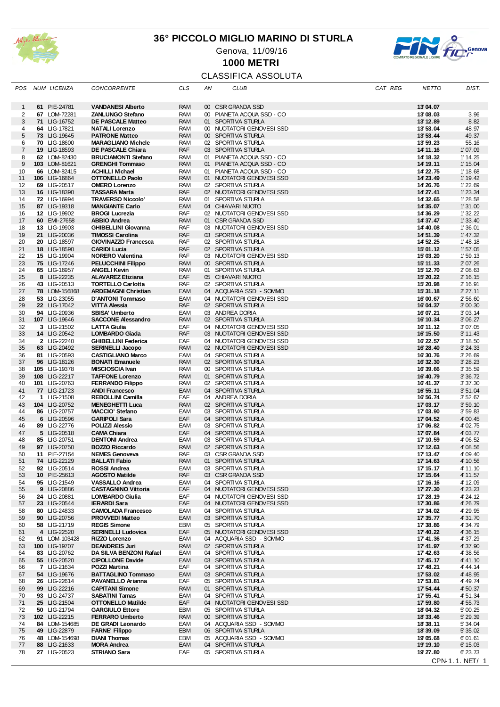

## **36° PICCOLO MIGLIO MARINO DI STURLA**





**1000 METRI**

# CLASSIFICA ASSOLUTA

| POS            | NUM LICENZA                   | <b>CONCORRENTE</b>                                    | <b>CLS</b>               | ΑN              | CLUB                                                   | CAT REG | <b>NETTO</b>           | DIST.                |
|----------------|-------------------------------|-------------------------------------------------------|--------------------------|-----------------|--------------------------------------------------------|---------|------------------------|----------------------|
| $\mathbf 1$    | 61 PIE-24781                  | <b>VANDANESI Alberto</b>                              | <b>RAM</b>               | 00 <sub>o</sub> | <b>CSR GRANDA SSD</b>                                  |         | 13'04.07               |                      |
| 2              | 67 LOM-72281                  | <b>ZANLUNGO Stefano</b>                               | RAM                      |                 | 00 PIANETA ACQUA SSD - CO                              |         | 13'08.03               | 3.96                 |
| 3              | 71 LIG-16752                  | <b>DE PASCALE Matteo</b>                              | <b>RAM</b>               |                 | 01 SPORTIVA STURLA                                     |         | 13'12.89               | 8.82                 |
| 4              | 64 LIG-17821                  | <b>NATALI Lorenzo</b>                                 | RAM                      |                 | 00 NUOTATORI GENOVESI SSD                              |         | 13'53.04               | 48.97                |
| $\sqrt{5}$     | 73 LIG-19645                  | <b>PATRONE Matteo</b>                                 | <b>RAM</b>               |                 | 00 SPORTIVA STURLA                                     |         | 13'53.44               | 49.37                |
| 6              | 70 LIG-18600                  | <b>MARAGLIANO Michele</b>                             | <b>RAM</b>               |                 | 02 SPORTIVA STURLA                                     |         | 13' 59.23              | 55.16                |
| $\overline{7}$ | 19 LIG-18593                  | DE PASCALE Chiara                                     | <b>RAF</b>               |                 | 03 SPORTIVA STURLA                                     |         | 14' 11.16              | 1'07.09              |
| 8              | 62 LOM-82430                  | <b>BRUCIAMONTI Stefano</b>                            | <b>RAM</b>               | 01              | PIANETA ACQUA SSD - CO                                 |         | 14' 18.32              | 1' 14.25             |
| 9              | 103 LOM-81621                 | <b>GRENGHI Tommaso</b>                                | <b>RAM</b>               |                 | 01 PIANETA ACQUA SSD - CO                              |         | 14' 19.11              | 1' 15.04             |
| 10             | 66 LOM-82415                  | <b>ACHILLI Michael</b>                                | RAM                      | 01              | PIANETA ACQUA SSD - CO                                 |         | 14' 22.75              | 1' 18.68             |
| 11             | 106 LIG-16864                 | <b>OTTONELLO Paolo</b>                                | <b>RAM</b>               |                 | 01 NUOTATORI GENOVESI SSD                              |         | 14'23.49               | 1' 19.42             |
| 12<br>13       | 69 LIG-20517<br>16 LIG-18390  | <b>OMERO Lorenzo</b><br><b>TASSARA Marta</b>          | <b>RAM</b><br><b>RAF</b> |                 | 02 SPORTIVA STURLA<br>02 NUOTATORI GENOVESI SSD        |         | 14'26.76<br>14' 27.41  | 1'22.69<br>1'23.34   |
| 14             | 72 LIG-16994                  | <b>TRAVERSO Niccolo'</b>                              | RAM                      |                 | 01 SPORTIVA STURLA                                     |         | 14' 32.65              | 1'28.58              |
| 15             | 87 LIG-19318                  | <b>MANGIANTE Carlo</b>                                | EAM                      |                 | 04 CHIAVARI NUOTO                                      |         | 14'35.07               | 1'31.00              |
| 16             | 12 LIG-19902                  | <b>BROGI Lucrezia</b>                                 | <b>RAF</b>               |                 | 02 NUOTATORI GENOVESI SSD                              |         | 14' 36.29              | 1' 32.22             |
| 17             | 60 EMI-27658                  | <b>ABBIO Andrea</b>                                   | <b>RAM</b>               |                 | 01 CSR GRANDA SSD                                      |         | 14'37.47               | 1'33.40              |
| 18             | 13 LIG-19903                  | <b>GHIBELLINI Giovanna</b>                            | RAF                      |                 | 03 NUOTATORI GENOVESI SSD                              |         | 14' 40.08              | 1'36.01              |
| 19             | 21 LIG-20036                  | <b>TIMOSSI Carolina</b>                               | <b>RAF</b>               |                 | 03 SPORTIVA STURLA                                     |         | 14' 51.39              | 1' 47.32             |
| 20             | 20 LIG-18597                  | GIOVINAZZO Francesca                                  | RAF                      |                 | 02 SPORTIVA STURLA                                     |         | 14' 52.25              | 1' 48.18             |
| 21             | 18 LIG-18590                  | <b>CARIDI Lucia</b>                                   | <b>RAF</b>               |                 | 02 SPORTIVA STURLA                                     |         | 15'01.12               | 1'57.05              |
| 22             | 15 LIG-19904                  | <b>NORERO Valentina</b>                               | RAF                      |                 | 03 NUOTATORI GENOVESI SSD                              |         | 15'03.20               | 1'59.13              |
| 23<br>24       | 75 LIG-17246<br>65 LIG-16957  | <b>PELUCCHINI Filippo</b><br><b>ANGELI Kevin</b>      | <b>RAM</b><br><b>RAM</b> |                 | 00 SPORTIVA STURLA<br>01 SPORTIVA STURLA               |         | 15'11.33<br>15' 12.70  | 2' 07.26<br>2' 08.63 |
| 25             | 8 LIG-22235                   | <b>ALAVAREZ Etiziana</b>                              | EAF                      |                 | 05 CHIAVARI NUOTO                                      |         | 15' 20.22              | 2' 16.15             |
| 26             | 43 LIG-20513                  | <b>TORTELLO Carlotta</b>                              | RAF                      |                 | 02 SPORTIVA STURLA                                     |         | 15'20.98               | 2' 16.91             |
| 27             | 78 LOM-156868                 | <b>ARDEMAGNI Christian</b>                            | EAM                      |                 | 04 ACQUARIA SSD - SOMMO                                |         | 15'31.18               | 2' 27.11             |
| 28             | 53 LIG-23055                  | D'ANTONI Tommaso                                      | EAM                      |                 | 04 NUOTATORI GENOVESI SSD                              |         | 16'00.67               | 2' 56.60             |
| 29             | 22 LIG-17042                  | <b>VITTA Alessia</b>                                  | <b>RAF</b>               |                 | 02 SPORTIVA STURLA                                     |         | 16'04.37               | 3' 00.30             |
| 30             | 94 LIG-20936                  | <b>SBISA' Umberto</b>                                 | EAM                      |                 | 03 ANDREA DORIA                                        |         | 16'07.21               | 3'03.14              |
| 31             | 107 LIG-19646                 | <b>SACCONE Alessandro</b>                             | <b>RAM</b>               |                 | 02 SPORTIVA STURLA                                     |         | 16' 10.34              | 3'06.27              |
| 32             | 3 LIG-21502                   | <b>LATTA Giulia</b>                                   | EAF                      |                 | 04 NUOTATORI GENOVESI SSD                              |         | 16'11.12               | 3'07.05              |
| 33             | 14 LIG-20542                  | <b>LOMBARDO Giada</b>                                 | <b>RAF</b>               |                 | 03 NUOTATORI GENOVESI SSD                              |         | 16' 15.50              | 3' 11.43             |
| 34<br>35       | 2 LIG-22240<br>63 LIG-20492   | <b>GHIBELLINI Federica</b><br><b>SERINELLI Jacopo</b> | EAF<br><b>RAM</b>        |                 | 04 NUOTATORI GENOVESI SSD<br>02 NUOTATORI GENOVESI SSD |         | 16'22.57<br>16'28.40   | 3' 18.50<br>3' 24.33 |
| 36             | 81 LIG-20593                  | <b>CASTIGLIANO Marco</b>                              | EAM                      |                 | 04 SPORTIVA STURLA                                     |         | 16'30.76               | 3' 26.69             |
| 37             | 96 LIG-18126                  | <b>BONATI Emanuele</b>                                | <b>RAM</b>               |                 | 02 SPORTIVA STURLA                                     |         | 16'32.30               | 3'28.23              |
| 38             | 105 LIG-19378                 | <b>MISCIOSCIA Ivan</b>                                | <b>RAM</b>               |                 | 00 SPORTIVA STURLA                                     |         | 16'39.66               | 3'35.59              |
| 39             | 108 LIG-22217                 | <b>TAFFONE Lorenzo</b>                                | <b>RAM</b>               |                 | 01 SPORTIVA STURLA                                     |         | 16'40.79               | 3' 36.72             |
| 40             | 101 LIG-20763                 | <b>FERRANDO Filippo</b>                               | <b>RAM</b>               |                 | 02 SPORTIVA STURLA                                     |         | 16' 41.37              | 3' 37.30             |
| 41             | 77 LIG-21723                  | <b>ANDI Francesco</b>                                 | EAM                      |                 | 04 SPORTIVA STURLA                                     |         | 16' 55.11              | 3' 51.04             |
| 42             | 1 LIG-21508                   | <b>REBOLLINI Camilla</b>                              | EAF                      |                 | 04 ANDREA DORIA                                        |         | 16' 56.74              | 3'52.67              |
| 43             | 104 LIG-20752                 | <b>MENEGHETTI Luca</b>                                | <b>RAM</b>               |                 | 02 SPORTIVA STURLA                                     |         | 17'03.17               | 3'59.10              |
| 44             | 86 LIG-20757                  | <b>MACCIO' Stefano</b>                                | EAM                      |                 | 03 SPORTIVA STURLA                                     |         | 17'03.90               | 3'59.83              |
| 45<br>46       | 6 LIG-20596<br>89 LIG-22776   | <b>GARIPOLI Sara</b><br>POLIZZI Alessio               | EAF<br>EAM               |                 | 04 SPORTIVA STURLA<br>03 SPORTIVA STURLA               |         | 17'04.52<br>17'06.82   | 4' 00.45<br>4' 02.75 |
| 47             | 5 LIG-20518                   | <b>CAMA Chiara</b>                                    | EAF                      |                 | 04 SPORTIVA STURLA                                     |         | 17'07.84               | 4' 03.77             |
| 48             | 85 LIG-20751                  | <b>DENTONI Andrea</b>                                 | EAM                      |                 | 03 SPORTIVA STURLA                                     |         | 17' 10.59              | 4' 06.52             |
| 49             | 97 LIG-20750                  | <b>BOZZO Riccardo</b>                                 | <b>RAM</b>               |                 | 02 SPORTIVA STURLA                                     |         | 17' 12.63              | 4' 08.56             |
| 50             | 11 PIE-27154                  | <b>NEMES Genoveva</b>                                 | RAF                      |                 | 03 CSR GRANDA SSD                                      |         | 17' 13.47              | 4' 09.40             |
| 51             | 74 LIG-22129                  | <b>BALLATI Fabio</b>                                  | RAM                      |                 | 01 SPORTIVA STURLA                                     |         | 17' 14.63              | 4' 10.56             |
| 52             | 92 LIG-20514                  | <b>ROSSI Andrea</b>                                   | EAM                      |                 | 03 SPORTIVA STURLA                                     |         | 17' 15.17              | 4' 11.10             |
| 53             | 10 PIE-25613                  | <b>AGOSTO Matilde</b>                                 | RAF                      |                 | 03 CSR GRANDA SSD                                      |         | 17' 15.64              | 4' 11.57             |
| 54             | 95 LIG-21549                  | VASSALLO Andrea                                       | EAM                      |                 | 04 SPORTIVA STURLA                                     |         | 17' 16.16              | 4' 12.09             |
| 55             | 9 LIG-20886<br>24 LIG-20881   | <b>CASTAGNINO Vittoria</b><br><b>LOMBARDO Giulia</b>  | EAF<br>EAF               |                 | 04 NUOTATORI GENOVESI SSD<br>04 NUOTATORI GENOVESI SSD |         | 17'27.30<br>17' 28.19  | 4' 23.23<br>4' 24.12 |
| 56<br>57       | 23 LIG-20544                  | <b>IERARDI Sara</b>                                   | EAF                      |                 | 04 NUOTATORI GENOVESI SSD                              |         | 17' 30.86              | 4' 26.79             |
| 58             | 80 LIG-24833                  | <b>CAMOLADA Francesco</b>                             | EAM                      |                 | 04 SPORTIVA STURLA                                     |         | 17' 34.02              | 4' 29.95             |
| 59             | 90 LIG-20756                  | <b>PROVVEDI Matteo</b>                                | EAM                      |                 | 03 SPORTIVA STURLA                                     |         | 17' 35.77              | 4'31.70              |
| 60             | 58 LIG-21719                  | <b>REGIS Simone</b>                                   | EBM                      |                 | 05 SPORTIVA STURLA                                     |         | 17'38.86               | 4' 34.79             |
| 61             | 4 LIG-22520                   | <b>SERINELLI Ludovica</b>                             | EAF                      |                 | 05 NUOTATORI GENOVESI SSD                              |         | 17' 40.22              | 4' 36.15             |
| 62             | 91 LOM-103428                 | RIZZO Lorenzo                                         | EAM                      |                 | 04 ACQUARIA SSD - SOMMO                                |         | 17' 41.36              | 4' 37.29             |
| 63             | 100 LIG-19707                 | <b>DEANDREIS Juri</b>                                 | RAM                      |                 | 02 SPORTIVA STURLA                                     |         | 17' 41.97              | 4' 37.90             |
| 64             | 83 LIG-20762                  | DA SILVA BENZONI Rafael                               | EAM                      |                 | 04 SPORTIVA STURLA<br>03 SPORTIVA STURLA               |         | 17' 42.63              | 4'38.56              |
| 65<br>66       | 55 LIG-20520<br>7 LIG-21634   | <b>CIPOLLONE Davide</b><br>POZZI Martina              | EAM<br>EAF               |                 | 04 SPORTIVA STURLA                                     |         | 17' 45.17<br>17' 48.21 | 4' 41.10<br>4' 44.14 |
| 67             | 54 LIG-19676                  | <b>BATTAGLINO Tommaso</b>                             | EAM                      |                 | 03 SPORTIVA STURLA                                     |         | 17' 53.02              | 4' 48.95             |
| 68             | 26 LIG-22614                  | PAVANELLO Arianna                                     | EAF                      |                 | 05 SPORTIVA STURLA                                     |         | 17' 53.81              | 4' 49.74             |
| 69             | 99 LIG-22216                  | <b>CAPITANI Simone</b>                                | <b>RAM</b>               |                 | 01 SPORTIVA STURLA                                     |         | 17' 54.44              | 4' 50.37             |
| 70             | 93 LIG-24737                  | <b>SABATINI Tamas</b>                                 | EAM                      |                 | 04 SPORTIVA STURLA                                     |         | 17' 55.41              | 4' 51.34             |
| 71             | 25 LIG-21504                  | <b>OTTONELLO Matilde</b>                              | <b>EAF</b>               |                 | 04 NUOTATORI GENOVESI SSD                              |         | 17' 59.80              | 4' 55.73             |
| 72             | 50 LIG-21794                  | <b>GARGIULO Ettore</b>                                | EBM                      |                 | 05 SPORTIVA STURLA                                     |         | 18'04.32               | 5' 00.25             |
| 73             | 102 LIG-22215                 | <b>FERRARO Umberto</b>                                | RAM                      |                 | 00 SPORTIVA STURLA                                     |         | 18'33.46               | 5' 29.39             |
| 74             | 84 LOM-154685                 | DE GRADI Leonardo                                     | EAM                      |                 | 04 ACQUARIA SSD - SOMMO                                |         | 18'38.11               | 5' 34.04             |
| 75             | 49 LIG-22879<br>48 LOM-154698 | <b>FARNE' Filippo</b>                                 | EBM                      |                 | 06 SPORTIVA STURLA                                     |         | 18'39.09               | 5' 35.02             |
| 76<br>77       | 88 LIG-21633                  | <b>DIANI Thomas</b><br><b>MORA Andrea</b>             | EBM<br>EAM               |                 | 05 ACQUARIA SSD - SOMMO<br>04 SPORTIVA STURLA          |         | 19'05.68<br>19' 19.10  | 6'01.61<br>6' 15.03  |
| 78             | 27 LIG-20523                  | STRIANO Sara                                          | EAF                      |                 | 05 SPORTIVA STURLA                                     |         | 19'27.80               | 6' 23.73             |
|                |                               |                                                       |                          |                 |                                                        |         |                        | CPN-1.1. NET/ 1      |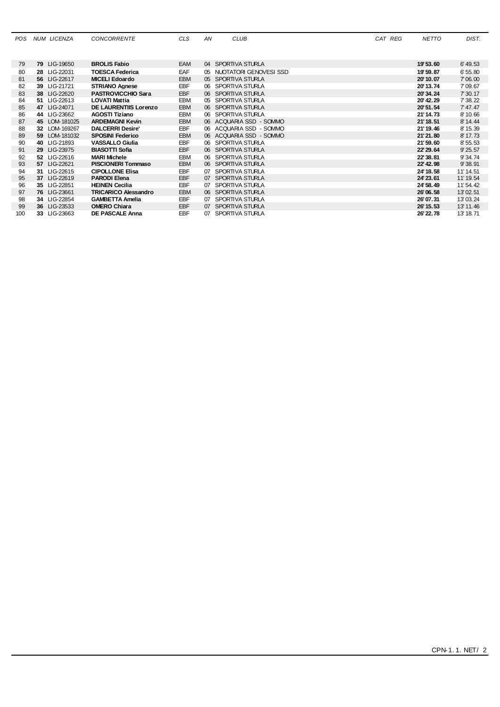| <b>POS</b> | NUM LICENZA   | <b>CONCORRENTE</b>          | <b>CLS</b> | ΑN | <b>CLUB</b>               | CAT REG | <b>NETTO</b> | DIST.     |
|------------|---------------|-----------------------------|------------|----|---------------------------|---------|--------------|-----------|
|            |               |                             |            |    |                           |         |              |           |
| 79         | 79 LIG-19650  | <b>BROLIS Fabio</b>         | <b>EAM</b> |    | 04 SPORTIVA STURLA        |         | 19'53.60     | 6' 49.53  |
| 80         | 28 LIG-22031  | <b>TOESCA Federica</b>      | EAF        |    | 05 NUOTATORI GENOVESI SSD |         | 19' 59.87    | 6' 55, 80 |
| 81         | 56 LIG-22617  | <b>MICELI Edoardo</b>       | <b>EBM</b> |    | 05 SPORTIVA STURLA        |         | 20'10.07     | 7'06.00   |
| 82         | 39 LIG-21721  | <b>STRIANO Agnese</b>       | <b>EBF</b> |    | 06 SPORTIVA STURLA        |         | 20' 13.74    | 7'09.67   |
| 83         | 38 LIG-22620  | <b>PASTROVICCHIO Sara</b>   | <b>EBF</b> |    | 06 SPORTIVA STURLA        |         | 20'34.24     | 7' 30.17  |
| 84         | 51 LIG-22613  | <b>LOVATI Mattia</b>        | EBM        |    | 05 SPORTIVA STURLA        |         | 20' 42.29    | 7' 38.22  |
| 85         | 47 LIG-24071  | DE LAURENTIIS Lorenzo       | EBM        |    | 06 SPORTIVA STURLA        |         | 20'51.54     | 7' 47.47  |
| 86         | 44 LIG-23662  | <b>AGOSTI Tiziano</b>       | <b>EBM</b> |    | 06 SPORTIVA STURLA        |         | 21'14.73     | 8' 10.66  |
| 87         | 45 LOM-181025 | <b>ARDEMAGNI Kevin</b>      | <b>EBM</b> |    | 06 ACQUARIA SSD - SOMMO   |         | 21' 18.51    | 8' 14.44  |
| 88         | 32 LOM-169267 | <b>DALCERRI Desire'</b>     | <b>EBF</b> |    | 06 ACQUARIA SSD - SOMMO   |         | 21' 19.46    | 8' 15.39  |
| 89         | 59 LOM-181032 | <b>SPOSINI Federico</b>     | <b>EBM</b> |    | 06 ACQUARIA SSD - SOMMO   |         | 21'21.80     | 8' 17.73  |
| 90         | 40 LIG-21893  | <b>VASSALLO Giulia</b>      | EBF        |    | 06 SPORTIVA STURLA        |         | 21'59.60     | 8' 55.53  |
| 91         | 29 LIG-23975  | <b>BIASOTTI Sofia</b>       | EBF        |    | 06 SPORTIVA STURLA        |         | 22' 29.64    | 9' 25.57  |
| 92         | 52 LIG-22616  | <b>MARI Michele</b>         | <b>EBM</b> |    | 06 SPORTIVA STURLA        |         | 22'38.81     | 9'34.74   |
| 93         | 57 LIG-22621  | <b>PISCIONERI Tommaso</b>   | <b>EBM</b> |    | 06 SPORTIVA STURLA        |         | 22' 42.98    | 9' 38.91  |
| 94         | 31 LIG-22615  | <b>CIPOLLONE Elisa</b>      | <b>EBF</b> |    | 07 SPORTIVA STURLA        |         | 24' 18.58    | 11' 14.51 |
| 95         | 37 LIG-22619  | <b>PARODI Elena</b>         | <b>EBF</b> |    | 07 SPORTIVA STURLA        |         | 24' 23.61    | 11' 19.54 |
| 96         | 35 LIG-22851  | <b>HEINEN Cecilia</b>       | <b>EBF</b> |    | 07 SPORTIVA STURLA        |         | 24' 58.49    | 11' 54.42 |
| 97         | 76 LIG-23661  | <b>TRICARICO Alessandro</b> | <b>EBM</b> |    | 06 SPORTIVA STURLA        |         | 26'06.58     | 13'02.51  |
| 98         | 34 LIG-22854  | <b>GAMBETTA Amelia</b>      | <b>EBF</b> |    | 07 SPORTIVA STURLA        |         | 26'07.31     | 13'03.24  |
| 99         | 36 LIG-23533  | <b>OMERO Chiara</b>         | <b>EBF</b> |    | 07 SPORTIVA STURLA        |         | 26' 15.53    | 13' 11.46 |
| 100        | 33 LIG-23663  | <b>DE PASCALE Anna</b>      | <b>EBF</b> |    | 07 SPORTIVA STURLA        |         | 26' 22.78    | 13' 18.71 |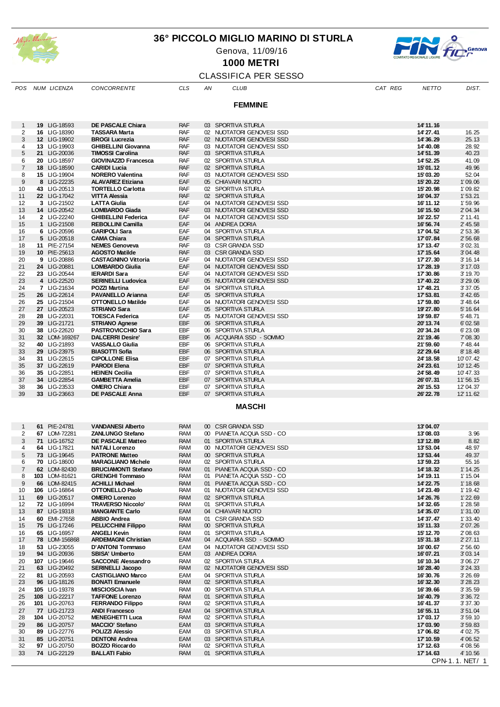

#### **36° PICCOLO MIGLIO MARINO DI STURLA**

Genova, 11/09/16



CPN-1.1. NET/ 1

**1000 METRI**

# CLASSIFICA PER SESSO

| POS            | NUM LICENZA                    | <b>CONCORRENTE</b>                                  | <b>CLS</b>               | ΑN | CLUB                                                   | CAT REG | NETTO                 | DIST.                |
|----------------|--------------------------------|-----------------------------------------------------|--------------------------|----|--------------------------------------------------------|---------|-----------------------|----------------------|
|                |                                |                                                     |                          |    | <b>FEMMINE</b>                                         |         |                       |                      |
|                |                                |                                                     |                          |    |                                                        |         |                       |                      |
| $\mathbf{1}$   | 19 LIG-18593                   | DE PASCALE Chiara                                   | <b>RAF</b>               |    | 03 SPORTIVA STURLA                                     |         | 14' 11.16             |                      |
| 2              | 16 LIG-18390                   | <b>TASSARA Marta</b>                                | <b>RAF</b>               |    | 02 NUOTATORI GENOVESI SSD                              |         | 14'27.41              | 16.25                |
| 3<br>4         | 12 LIG-19902<br>13 LIG-19903   | <b>BROGI Lucrezia</b><br><b>GHIBELLINI Giovanna</b> | <b>RAF</b><br><b>RAF</b> |    | 02 NUOTATORI GENOVESI SSD<br>03 NUOTATORI GENOVESI SSD |         | 14'36.29<br>14'40.08  | 25.13<br>28.92       |
| 5              | 21 LIG-20036                   | <b>TIMOSSI Carolina</b>                             | RAF                      |    | 03 SPORTIVA STURLA                                     |         | 14' 51.39             | 40.23                |
| 6              | 20 LIG-18597                   | GIOVINAZZO Francesca                                | <b>RAF</b>               |    | 02 SPORTIVA STURLA                                     |         | 14' 52.25             | 41.09                |
| 7              | 18 LIG-18590                   | <b>CARIDI Lucia</b>                                 | RAF                      |    | 02 SPORTIVA STURLA                                     |         | 15'01.12              | 49.96                |
| 8<br>9         | 15 LIG-19904<br>8 LIG-22235    | <b>NORERO Valentina</b><br><b>ALAVAREZ Etiziana</b> | <b>RAF</b><br>EAF        |    | 03 NUOTATORI GENOVESI SSD<br>05 CHIAVARI NUOTO         |         | 15'03.20<br>15' 20.22 | 52.04<br>1'09.06     |
| 10             | 43 LIG-20513                   | <b>TORTELLO Carlotta</b>                            | RAF                      |    | 02 SPORTIVA STURLA                                     |         | 15'20.98              | 1'09.82              |
| 11             | 22 LIG-17042                   | <b>VITTA Alessia</b>                                | <b>RAF</b>               |    | 02 SPORTIVA STURLA                                     |         | 16'04.37              | 1'53.21              |
| 12<br>13       | 3 LIG-21502                    | <b>LATTA Giulia</b><br><b>LOMBARDO Giada</b>        | EAF<br><b>RAF</b>        |    | 04 NUOTATORI GENOVESI SSD<br>03 NUOTATORI GENOVESI SSD |         | 16'11.12              | 1'59.96<br>2' 04.34  |
| 14             | 14 LIG-20542<br>2 LIG-22240    | <b>GHIBELLINI Federica</b>                          | EAF                      |    | 04 NUOTATORI GENOVESI SSD                              |         | 16' 15.50<br>16'22.57 | 2' 11.41             |
| 15             | 1 LIG-21508                    | <b>REBOLLINI Camilla</b>                            | EAF                      |    | 04 ANDREA DORIA                                        |         | 16' 56.74             | 2' 45.58             |
| 16             | 6 LIG-20596                    | <b>GARIPOLI Sara</b>                                | EAF                      |    | 04 SPORTIVA STURLA                                     |         | 17'04.52              | 2' 53.36             |
| 17<br>18       | 5 LIG-20518<br>11 PIE-27154    | <b>CAMA Chiara</b><br><b>NEMES Genoveva</b>         | EAF<br><b>RAF</b>        |    | 04 SPORTIVA STURLA<br>03 CSR GRANDA SSD                |         | 17'07.84<br>17' 13.47 | 2' 56.68<br>3' 02.31 |
| 19             | 10 PIE-25613                   | <b>AGOSTO Matilde</b>                               | <b>RAF</b>               |    | 03 CSR GRANDA SSD                                      |         | 17' 15.64             | 3'04.48              |
| 20             | 9 LIG-20886                    | <b>CASTAGNINO Vittoria</b>                          | EAF                      |    | 04 NUOTATORI GENOVESI SSD                              |         | 17'27.30              | 3' 16.14             |
| 21             | 24 LIG-20881                   | <b>LOMBARDO Giulia</b>                              | EAF                      |    | 04 NUOTATORI GENOVESI SSD                              |         | 17'28.19              | 3' 17.03             |
| 22<br>23       | 23 LIG-20544<br>4 LIG-22520    | <b>IERARDI Sara</b><br><b>SERINELLI Ludovica</b>    | EAF<br>EAF               |    | 04 NUOTATORI GENOVESI SSD<br>05 NUOTATORI GENOVESI SSD |         | 17'30.86<br>17' 40.22 | 3' 19.70<br>3' 29.06 |
| 24             | 7 LIG-21634                    | <b>POZZI Martina</b>                                | EAF                      | 04 | SPORTIVA STURLA                                        |         | 17' 48.21             | 3' 37.05             |
| 25             | 26 LIG-22614                   | <b>PAVANELLO Arianna</b>                            | EAF                      |    | 05 SPORTIVA STURLA                                     |         | 17'53.81              | 3' 42.65             |
| 26             | 25 LIG-21504                   | <b>OTTONELLO Matilde</b>                            | EAF                      |    | 04 NUOTATORI GENOVESI SSD                              |         | 17'59.80              | 3' 48.64             |
| 27<br>28       | 27 LIG-20523<br>28 LIG-22031   | <b>STRIANO Sara</b><br><b>TOESCA Federica</b>       | EAF<br>EAF               |    | 05 SPORTIVA STURLA<br>05 NUOTATORI GENOVESI SSD        |         | 19'27.80<br>19'59.87  | 5' 16.64<br>5' 48.71 |
| 29             | 39 LIG-21721                   | <b>STRIANO Agnese</b>                               | EBF                      |    | 06 SPORTIVA STURLA                                     |         | 20'13.74              | 6' 02.58             |
| 30             | 38 LIG-22620                   | <b>PASTROVICCHIO Sara</b>                           | EBF                      |    | 06 SPORTIVA STURLA                                     |         | 20'34.24              | 6'23.08              |
| 31             | 32 LOM-169267                  | <b>DALCERRI Desire'</b>                             | EBF                      |    | 06 ACQUARIA SSD - SOMMO                                |         | 21'19.46              | 7' 08.30             |
| 32<br>33       | 40 LIG-21893<br>29 LIG-23975   | <b>VASSALLO Giulia</b><br><b>BIASOTTI Sofia</b>     | EBF<br>EBF               |    | 06 SPORTIVA STURLA<br>06 SPORTIVA STURLA               |         | 21'59.60<br>22' 29.64 | 7' 48.44<br>8' 18.48 |
| 34             | 31 LIG-22615                   | <b>CIPOLLONE Elisa</b>                              | EBF                      |    | 07 SPORTIVA STURLA                                     |         | 24' 18.58             | 10'07.42             |
| 35             | 37 LIG-22619                   | <b>PARODI Elena</b>                                 | EBF                      |    | 07 SPORTIVA STURLA                                     |         | 24' 23.61             | 10' 12.45            |
| 36             | 35 LIG-22851                   | <b>HEINEN Cecilia</b>                               | EBF                      |    | 07 SPORTIVA STURLA                                     |         | 24' 58.49             | 10'47.33             |
| 37<br>38       | 34 LIG-22854<br>36 LIG-23533   | <b>GAMBETTA Amelia</b><br><b>OMERO Chiara</b>       | EBF<br>EBF               |    | 07 SPORTIVA STURLA<br>07 SPORTIVA STURLA               |         | 26'07.31<br>26' 15.53 | 11'56.15<br>12'04.37 |
| 39             | 33 LIG-23663                   | DE PASCALE Anna                                     | EBF                      |    | 07 SPORTIVA STURLA                                     |         | 26' 22.78             | 12' 11.62            |
|                |                                |                                                     |                          |    | <b>MASCHI</b>                                          |         |                       |                      |
|                |                                |                                                     |                          |    |                                                        |         |                       |                      |
| 1              | 61 PIE-24781                   | <b>VANDANESI Alberto</b>                            | <b>RAM</b>               |    | 00 CSR GRANDA SSD                                      |         | 13'04.07              |                      |
| 2              | 67 LOM-72281                   | <b>ZANLUNGO Stefano</b>                             | <b>RAM</b>               |    | 00 PIANETA ACQUA SSD - CO                              |         | 13'08.03              | 3.96                 |
| 3              | 71 LIG-16752                   | <b>DE PASCALE Matteo</b>                            | <b>RAM</b>               |    | 01 SPORTIVA STURLA                                     |         | 13'12.89              | 8.82                 |
| 4<br>5         | 64 LIG-17821<br>73 LIG-19645   | <b>NATALI Lorenzo</b><br><b>PATRONE Matteo</b>      | <b>RAM</b><br><b>RAM</b> |    | 00 NUOTATORI GENOVESI SSD<br>00 SPORTIVA STURLA        |         | 13'53.04<br>13'53.44  | 48.97<br>49.37       |
| 6              | 70 LIG-18600                   | <b>MARAGLIANO Michele</b>                           | <b>RAM</b>               |    | 02 SPORTIVA STURLA                                     |         | 13'59.23              | 55.16                |
| $\overline{7}$ | 62 LOM-82430                   | <b>BRUCIAMONTI Stefano</b>                          | <b>RAM</b>               | 01 | PIANETA ACQUA SSD - CO                                 |         | 14' 18.32             | 1' 14.25             |
| 8              | 103 LOM-81621                  | <b>GRENGHI Tommaso</b>                              | RAM                      |    | 01 PIANETA ACQUA SSD - CO                              |         | 14' 19.11             | 1' 15.04             |
| 9<br>10        | 66 LOM-82415<br>106 LIG-16864  | <b>ACHILLI Michael</b><br><b>OTTONELLO Paolo</b>    | RAM<br><b>RAM</b>        |    | 01 PIANETA ACQUA SSD - CO<br>01 NUOTATORI GENOVESI SSD |         | 14' 22.75<br>14'23.49 | 1' 18.68<br>1' 19.42 |
| 11             | 69 LIG-20517                   | <b>OMERO Lorenzo</b>                                | <b>RAM</b>               |    | 02 SPORTIVA STURLA                                     |         | 14'26.76              | $1'$ 22.69           |
| 12             | 72 LIG-16994                   | <b>TRAVERSO Niccolo'</b>                            | <b>RAM</b>               | 01 | SPORTIVA STURLA                                        |         | 14' 32.65             | 1'28.58              |
| 13             | 87 LIG-19318                   | <b>MANGIANTE Carlo</b>                              | EAM                      |    | 04 CHIAVARI NUOTO                                      |         | 14'35.07              | 1'31.00              |
| 14<br>15       | 60 EMI-27658<br>75 LIG-17246   | <b>ABBIO Andrea</b><br><b>PELUCCHINI Filippo</b>    | <b>RAM</b><br>RAM        |    | 01 CSR GRANDA SSD<br>00 SPORTIVA STURLA                |         | 14' 37.47<br>15'11.33 | 1'33.40<br>2' 07.26  |
| 16             | 65 LIG-16957                   | <b>ANGELI Kevin</b>                                 | RAM                      |    | 01 SPORTIVA STURLA                                     |         | 15' 12.70             | 2' 08.63             |
| 17             | 78 LOM-156868                  | <b>ARDEMAGNI Christian</b>                          | EAM                      |    | 04 ACQUARIA SSD - SOMMO                                |         | 15'31.18              | 2' 27.11             |
| 18             | 53 LIG-23055                   | D'ANTONI Tommaso                                    | EAM                      |    | 04 NUOTATORI GENOVESI SSD<br>03 ANDREA DORIA           |         | 16'00.67              | 2' 56.60             |
| 19<br>20       | 94 LIG-20936<br>107 LIG-19646  | SBISA' Umberto<br><b>SACCONE Alessandro</b>         | EAM<br><b>RAM</b>        |    | 02 SPORTIVA STURLA                                     |         | 16'07.21<br>16' 10.34 | 3'03.14<br>3'06.27   |
| 21             | 63 LIG-20492                   | <b>SERINELLI Jacopo</b>                             | RAM                      |    | 02 NUOTATORI GENOVESI SSD                              |         | 16'28.40              | 3' 24.33             |
| 22             | 81 LIG-20593                   | <b>CASTIGLIANO Marco</b>                            | EAM                      |    | 04 SPORTIVA STURLA                                     |         | 16'30.76              | 3' 26.69             |
| 23             | 96 LIG-18126                   | <b>BONATI Emanuele</b>                              | <b>RAM</b>               |    | 02 SPORTIVA STURLA                                     |         | 16'32.30              | 3' 28.23             |
| 24<br>25       | 105 LIG-19378<br>108 LIG-22217 | <b>MISCIOSCIA Ivan</b><br><b>TAFFONE Lorenzo</b>    | <b>RAM</b><br>RAM        |    | 00 SPORTIVA STURLA<br>01 SPORTIVA STURLA               |         | 16'39.66<br>16' 40.79 | 3'35.59<br>3' 36.72  |
| 26             | 101 LIG-20763                  | <b>FERRANDO Filippo</b>                             | <b>RAM</b>               |    | 02 SPORTIVA STURLA                                     |         | 16' 41.37             | 3'37.30              |
| 27             | 77 LIG-21723                   | <b>ANDI Francesco</b>                               | EAM                      |    | 04 SPORTIVA STURLA                                     |         | 16' 55.11             | 3'51.04              |
| 28<br>29       | 104 LIG-20752<br>86 LIG-20757  | <b>MENEGHETTI Luca</b><br><b>MACCIO' Stefano</b>    | <b>RAM</b><br>EAM        |    | 02 SPORTIVA STURLA<br>03 SPORTIVA STURLA               |         | 17'03.17<br>17'03.90  | 3'59.10<br>3'59.83   |
| 30             | 89 LIG-22776                   | POLIZZI Alessio                                     | EAM                      |    | 03 SPORTIVA STURLA                                     |         | 17'06.82              | 4' 02.75             |
| 31             | 85 LIG-20751                   | <b>DENTONI Andrea</b>                               | EAM                      |    | 03 SPORTIVA STURLA                                     |         | 17' 10.59             | 4' 06.52             |
| 32             | 97 LIG-20750                   | BOZZO Riccardo                                      | <b>RAM</b>               |    | 02 SPORTIVA STURLA                                     |         | 17' 12.63             | 4'08.56              |

**<sup>47</sup>** LIG-22129 **BALLATI Fabio** RAM 01 SPORTIVA STURLA **36.41'71** 65.01'4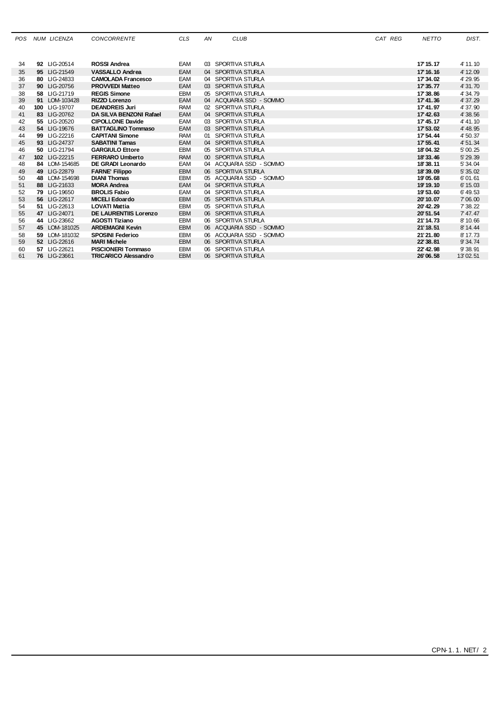| <b>POS</b> |    | <b>NUM LICENZA</b> | <b>CONCORRENTE</b>           | <b>CLS</b> | AN | <b>CLUB</b>             | CAT REG | <b>NETTO</b> | DIST.    |
|------------|----|--------------------|------------------------------|------------|----|-------------------------|---------|--------------|----------|
|            |    |                    |                              |            |    |                         |         |              |          |
| 34         |    | 92 LIG-20514       | <b>ROSSI Andrea</b>          | EAM        |    | 03 SPORTIVA STURLA      |         | 17' 15.17    | 4' 11.10 |
| 35         |    | 95 LIG-21549       | <b>VASSALLO Andrea</b>       | EAM        |    | 04 SPORTIVA STURLA      |         | 17' 16, 16   | 4' 12.09 |
| 36         |    | 80 LIG-24833       | <b>CAMOLADA Francesco</b>    | EAM        |    | 04 SPORTIVA STURLA      |         | 17'34.02     | 4' 29.95 |
| 37         |    | 90 LIG-20756       | <b>PROVVEDI Matteo</b>       | EAM        |    | 03 SPORTIVA STURLA      |         | 17' 35.77    | 4' 31.70 |
| 38         |    | 58 LIG-21719       | <b>REGIS Simone</b>          | <b>EBM</b> |    | 05 SPORTIVA STURLA      |         | 17'38.86     | 4' 34.79 |
| 39         | 91 | LOM-103428         | <b>RIZZO Lorenzo</b>         | EAM        |    | 04 ACQUARIA SSD - SOMMO |         | 17' 41.36    | 4' 37.29 |
| 40         |    | 100 LIG-19707      | <b>DEANDREIS Juri</b>        | <b>RAM</b> |    | 02 SPORTIVA STURLA      |         | 17' 41.97    | 4' 37.90 |
| 41         |    | 83 LIG-20762       | DA SILVA BENZONI Rafael      | EAM        |    | 04 SPORTIVA STURLA      |         | 17' 42.63    | 4' 38.56 |
| 42         |    | 55 LIG-20520       | <b>CIPOLLONE Davide</b>      | EAM        |    | 03 SPORTIVA STURLA      |         | 17' 45.17    | 4' 41.10 |
| 43         |    | 54 LIG-19676       | <b>BATTAGLINO Tommaso</b>    | EAM        |    | 03 SPORTIVA STURLA      |         | 17' 53, 02   | 4' 48.95 |
| 44         |    | 99 LIG-22216       | <b>CAPITANI Simone</b>       | <b>RAM</b> |    | 01 SPORTIVA STURLA      |         | 17' 54.44    | 4' 50.37 |
| 45         |    | 93 LIG-24737       | <b>SABATINI Tamas</b>        | EAM        |    | 04 SPORTIVA STURLA      |         | 17' 55.41    | 4' 51.34 |
| 46         |    | 50 LIG-21794       | <b>GARGIULO Ettore</b>       | <b>EBM</b> |    | 05 SPORTIVA STURLA      |         | 18'04.32     | 5' 00.25 |
| 47         |    | 102 LIG-22215      | <b>FERRARO Umberto</b>       | <b>RAM</b> |    | 00 SPORTIVA STURLA      |         | 18'33.46     | 5' 29.39 |
| 48         |    | 84 LOM-154685      | DE GRADI Leonardo            | EAM        |    | 04 ACQUARIA SSD - SOMMO |         | 18'38.11     | 5' 34.04 |
| 49         |    | 49 LIG-22879       | <b>FARNE' Filippo</b>        | <b>EBM</b> |    | 06 SPORTIVA STURLA      |         | 18'39.09     | 5' 35.02 |
| 50         |    | 48 LOM-154698      | <b>DIANI Thomas</b>          | <b>EBM</b> |    | 05 ACQUARIA SSD - SOMMO |         | 19'05.68     | 6'01.61  |
| 51         |    | 88 LIG-21633       | <b>MORA Andrea</b>           | EAM        |    | 04 SPORTIVA STURLA      |         | 19' 19.10    | 6' 15.03 |
| 52         |    | 79 LIG-19650       | <b>BROLIS Fabio</b>          | EAM        |    | 04 SPORTIVA STURLA      |         | 19'53.60     | 6' 49.53 |
| 53         |    | 56 LIG-22617       | <b>MICELI Edoardo</b>        | <b>EBM</b> |    | 05 SPORTIVA STURLA      |         | 20'10.07     | 7'06.00  |
| 54         |    | 51 LIG-22613       | <b>LOVATI Mattia</b>         | <b>EBM</b> |    | 05 SPORTIVA STURLA      |         | 20' 42.29    | 7' 38.22 |
| 55         |    | 47 LIG-24071       | <b>DE LAURENTIIS Lorenzo</b> | <b>EBM</b> |    | 06 SPORTIVA STURLA      |         | 20' 51.54    | 7' 47.47 |
| 56         |    | 44 LIG-23662       | <b>AGOSTI Tiziano</b>        | EBM        |    | 06 SPORTIVA STURLA      |         | 21'14.73     | 8' 10.66 |
| 57         |    | 45 LOM-181025      | <b>ARDEMAGNI Kevin</b>       | <b>EBM</b> |    | 06 ACQUARIA SSD - SOMMO |         | 21'18.51     | 8' 14.44 |
| 58         |    | 59 LOM-181032      | <b>SPOSINI Federico</b>      | <b>EBM</b> |    | 06 ACQUARIA SSD - SOMMO |         | 21'21.80     | 8' 17.73 |
| 59         |    | 52 LIG-22616       | <b>MARI Michele</b>          | <b>EBM</b> |    | 06 SPORTIVA STURLA      |         | 22'38.81     | 9' 34.74 |
| 60         |    | 57 LIG-22621       | <b>PISCIONERI Tommaso</b>    | EBM        |    | 06 SPORTIVA STURLA      |         | 22' 42.98    | 9'38.91  |
| 61         |    | 76 LIG-23661       | <b>TRICARICO Alessandro</b>  | <b>EBM</b> |    | 06 SPORTIVA STURLA      |         | 26'06.58     | 13'02.51 |
|            |    |                    |                              |            |    |                         |         |              |          |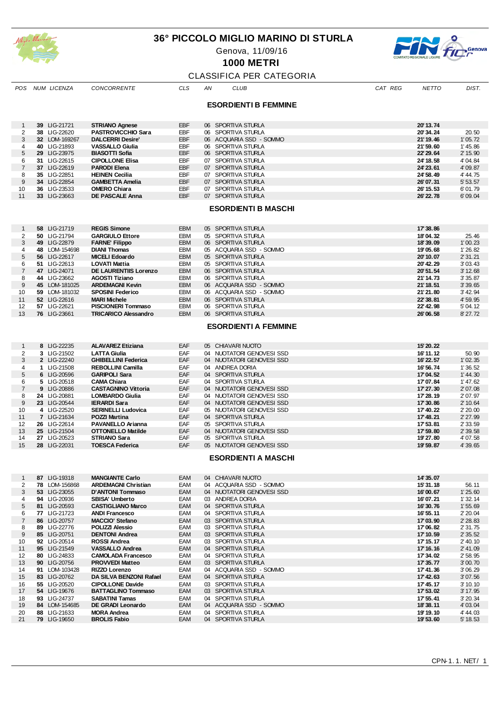

#### **36° PICCOLO MIGLIO MARINO DI STURLA**

Genova, 11/09/16



**1000 METRI**

|                | <b>CLASSIFICA PER CATEGORIA</b> |               |                              |            |    |                             |         |              |          |  |  |
|----------------|---------------------------------|---------------|------------------------------|------------|----|-----------------------------|---------|--------------|----------|--|--|
| POS            |                                 | NUM LICENZA   | <b>CONCORRENTE</b>           | <b>CLS</b> | AN | <b>CLUB</b>                 | CAT REG | <b>NETTO</b> | DIST.    |  |  |
|                |                                 |               |                              |            |    | <b>ESORDIENTI B FEMMINE</b> |         |              |          |  |  |
| -1             |                                 | 39 LIG-21721  | <b>STRIANO Agnese</b>        | EBF        |    | 06 SPORTIVA STURLA          |         | 20'13.74     |          |  |  |
| 2              |                                 | 38 LIG-22620  | <b>PASTROVICCHIO Sara</b>    | EBF        |    | 06 SPORTIVA STURLA          |         | 20'34.24     | 20.50    |  |  |
| 3              |                                 | 32 LOM-169267 | <b>DALCERRI Desire'</b>      | <b>EBF</b> |    | 06 ACQUARIA SSD - SOMMO     |         | 21' 19.46    | 1'05.72  |  |  |
| 4              |                                 | 40 LIG-21893  | <b>VASSALLO Giulia</b>       | EBF        |    | 06 SPORTIVA STURLA          |         | 21'59.60     | 1' 45.86 |  |  |
| 5              |                                 | 29 LIG-23975  | <b>BIASOTTI Sofia</b>        | EBF        |    | 06 SPORTIVA STURLA          |         | 22' 29.64    | 2' 15.90 |  |  |
| 6              |                                 | 31 LIG-22615  | <b>CIPOLLONE Elisa</b>       | <b>EBF</b> |    | 07 SPORTIVA STURLA          |         | 24' 18.58    | 4' 04.84 |  |  |
| $\overline{7}$ |                                 | 37 LIG-22619  | <b>PARODI Elena</b>          | EBF        |    | 07 SPORTIVA STURLA          |         | 24' 23.61    | 4' 09.87 |  |  |
| 8              |                                 | 35 LIG-22851  | <b>HEINEN Cecilia</b>        | EBF        |    | 07 SPORTIVA STURLA          |         | 24' 58.49    | 4' 44.75 |  |  |
| 9              |                                 | 34 LIG-22854  | <b>GAMBETTA Amelia</b>       | EBF        |    | 07 SPORTIVA STURLA          |         | 26'07.31     | 5' 53.57 |  |  |
| 10             |                                 | 36 LIG-23533  | <b>OMERO Chiara</b>          | EBF        |    | 07 SPORTIVA STURLA          |         | 26' 15.53    | 6'01.79  |  |  |
| 11             |                                 | 33 LIG-23663  | DE PASCALE Anna              | <b>EBF</b> |    | 07 SPORTIVA STURLA          |         | 26' 22.78    | 6'09.04  |  |  |
|                |                                 |               |                              |            |    | <b>ESORDIENTI B MASCHI</b>  |         |              |          |  |  |
| $\mathbf{1}$   |                                 | 58 LIG-21719  | <b>REGIS Simone</b>          | <b>EBM</b> |    | 05 SPORTIVA STURLA          |         | 17'38.86     |          |  |  |
| 2              |                                 | 50 LIG-21794  | <b>GARGIULO Ettore</b>       | <b>EBM</b> |    | 05 SPORTIVA STURLA          |         | 18'04.32     | 25.46    |  |  |
| 3              |                                 | 49 LIG-22879  | <b>FARNE' Filippo</b>        | <b>EBM</b> |    | 06 SPORTIVA STURLA          |         | 18'39.09     | 1'00.23  |  |  |
| 4              |                                 | 48 LOM-154698 | <b>DIANI Thomas</b>          | EBM        |    | 05 ACQUARIA SSD - SOMMO     |         | 19'05.68     | 1'26.82  |  |  |
| 5              |                                 | 56 LIG-22617  | <b>MICELI Edoardo</b>        | <b>EBM</b> |    | 05 SPORTIVA STURLA          |         | 20' 10.07    | 2' 31.21 |  |  |
| 6              |                                 | 51 LIG-22613  | <b>LOVATI Mattia</b>         | EBM        |    | 05 SPORTIVA STURLA          |         | 20' 42.29    | 3'03.43  |  |  |
| $\overline{7}$ |                                 | 47 LIG-24071  | <b>DE LAURENTIIS Lorenzo</b> | EBM        |    | 06 SPORTIVA STURLA          |         | 20' 51.54    | 3' 12.68 |  |  |
| 8              |                                 | 44 LIG-23662  | AGOSTI Tiziano               | <b>EBM</b> |    | 06 SPORTIVA STURLA          |         | 21'14.73     | 3' 35.87 |  |  |
| 9              |                                 | 45 LOM-181025 | <b>ARDEMAGNI Kevin</b>       | <b>EBM</b> |    | 06 ACQUARIA SSD - SOMMO     |         | 21'18.51     | 3' 39.65 |  |  |
| 10             |                                 | 59 LOM-181032 | <b>SPOSINI Federico</b>      | EBM        |    | 06 ACQUARIA SSD - SOMMO     |         | 21'21.80     | 3' 42.94 |  |  |
| 11             |                                 | 52 LIG-22616  | <b>MARI Michele</b>          | <b>EBM</b> |    | 06 SPORTIVA STURLA          |         | 22'38.81     | 4' 59.95 |  |  |
| 12             |                                 | 57 LIG-22621  | <b>PISCIONERI Tommaso</b>    | EBM        |    | 06 SPORTIVA STURLA          |         | 22' 42.98    | 5' 04.12 |  |  |
| 13             |                                 | 76 LIG-23661  | <b>TRICARICO Alessandro</b>  | <b>EBM</b> |    | 06 SPORTIVA STURLA          |         | 26'06.58     | 8' 27.72 |  |  |
|                |                                 |               |                              |            |    | <b>ESORDIENTI A FEMMINE</b> |         |              |          |  |  |
| $\mathbf{1}$   |                                 | 8 LIG-22235   | <b>ALAVAREZ Etiziana</b>     | EAF        |    | 05 CHIAVARI NUOTO           |         | 15' 20.22    |          |  |  |
| 2              |                                 | 3 LIG-21502   | <b>LATTA Giulia</b>          | EAF        |    | 04 NUOTATORI GENOVESI SSD   |         | 16' 11.12    | 50.90    |  |  |
| 3              |                                 | 2 LIG-22240   | <b>GHIBELLINI Federica</b>   | EAF        |    | 04 NUOTATORI GENOVESI SSD   |         | 16'22.57     | 1'02.35  |  |  |
| 4              |                                 | 1 LIG-21508   | <b>REBOLLINI Camilla</b>     | EAF        |    | 04 ANDREA DORIA             |         | 16'56.74     | 1'36.52  |  |  |
| 5              |                                 | 6 LIG-20596   | <b>GARIPOLI Sara</b>         | EAF        |    | 04 SPORTIVA STURLA          |         | 17'04.52     | 1' 44.30 |  |  |
| 6              |                                 | 5 LIG-20518   | <b>CAMA Chiara</b>           | EAF        |    | 04 SPORTIVA STURLA          |         | 17'07.84     | 1' 47.62 |  |  |
| $\overline{7}$ |                                 | 9 LIG-20886   | <b>CASTAGNINO Vittoria</b>   | EAF        |    | 04 NUOTATORI GENOVESI SSD   |         | 17'27.30     | 2' 07.08 |  |  |
| 8              |                                 | 24 LIG-20881  | <b>LOMBARDO Giulia</b>       | EAF        |    | 04 NUOTATORI GENOVESI SSD   |         | 17' 28.19    | 2' 07.97 |  |  |
| 9              |                                 | 23 LIG-20544  | <b>IERARDI Sara</b>          | EAF        |    | 04 NUOTATORI GENOVESI SSD   |         | 17'30.86     | 2' 10.64 |  |  |
| 10             |                                 | 4 LIG-22520   | <b>SERINELLI Ludovica</b>    | EAF        |    | 05 NUOTATORI GENOVESI SSD   |         | 17' 40.22    | 2' 20.00 |  |  |
| 11             |                                 | 7 LIG-21634   | <b>POZZI Martina</b>         | EAF        |    | 04 SPORTIVA STURLA          |         | 17' 48.21    | 2' 27.99 |  |  |
| 12             |                                 | 26 LIG-22614  | <b>PAVANELLO Arianna</b>     | EAF        |    | 05 SPORTIVA STURLA          |         | 17'53.81     | 2' 33.59 |  |  |
| 13             |                                 | 25 LIG-21504  | <b>OTTONELLO Matilde</b>     | EAF        |    | 04 NUOTATORI GENOVESI SSD   |         | 17' 59.80    | 2' 39.58 |  |  |
| 14             |                                 | 27 LIG-20523  | STRIANO Sara                 | EAF        |    | 05 SPORTIVA STURLA          |         | 19'27.80     | 4' 07.58 |  |  |
| 15             |                                 | 28 LIG-22031  | TOESCA Federica              | EAF        |    | 05 NUOTATORI GENOVESI SSD   |         | 19' 59.87    | 4' 39.65 |  |  |
|                |                                 |               |                              |            |    | <b>ESORDIENTI A MASCHI</b>  |         |              |          |  |  |
| $\mathbf{1}$   |                                 | 87 LIG-19318  | <b>MANGIANTE Carlo</b>       | EAM        |    | 04 CHIAVARI NUOTO           |         | 14'35.07     |          |  |  |
| $\overline{2}$ |                                 | 78 LOM-156868 | <b>ARDEMAGNI Christian</b>   | EAM        |    | 04 ACQUARIA SSD - SOMMO     |         | 15' 31.18    | 56.11    |  |  |
| 3              |                                 | 53 LIG-23055  | D'ANTONI Tommaso             | EAM        |    | 04 NUOTATORI GENOVESI SSD   |         | 16'00.67     | 1'25.60  |  |  |
| 4              |                                 | 94 LIG-20936  | <b>SBISA' Umberto</b>        | EAM        |    | 03 ANDREA DORIA             |         | 16'07.21     | 1'32.14  |  |  |
| 5              |                                 | 81 LIG-20593  | <b>CASTIGLIANO Marco</b>     | EAM        |    | 04 SPORTIVA STURLA          |         | 16'30.76     | 1'55.69  |  |  |
| 6              |                                 | 77 LIG-21723  | <b>ANDI Francesco</b>        | EAM        |    | 04 SPORTIVA STURLA          |         | 16' 55.11    | 2' 20.04 |  |  |
| $\overline{7}$ |                                 | 86 LIG-20757  | <b>MACCIO' Stefano</b>       | EAM        |    | 03 SPORTIVA STURLA          |         | 17'03.90     | 2' 28.83 |  |  |
| 8              |                                 | 89 LIG-22776  | POLIZZI Alessio              | EAM        |    | 03 SPORTIVA STURLA          |         | 17'06.82     | 2' 31.75 |  |  |
| 9              |                                 | 85 LIG-20751  | <b>DENTONI Andrea</b>        | EAM        |    | 03 SPORTIVA STURLA          |         | 17' 10.59    | 2' 35.52 |  |  |

 **<sup>29</sup>** LIG-20514 **ROSSI Andrea** EAM 03 SPORTIVA STURLA **71.51'71** 01.04'2 **<sup>59</sup>** LIG-21549 **VASSALLO Andrea** EAM 04 SPORTIVA STURLA **61.61'71** 90.14'2 **93** LIG-21349 **VASSALLO Andrea** EAM 04 SPORTIVA STURLA **20.43.20.43.20.43.20.43.20.43.20.43.20.43.20.43.20.43.20.43.20.43.20.43.20.43.20.43.20.43.20.43.20.43.20.43.20.43.20.43.20.43.20.43.20.43.20.43.20.43.20.43.20.47. 80** LIG-24833 **CAMOLADA Francesco** EAM 04 SPORTIVA STURLA **17.34.02** 17.34.02 2.58.95<br>13 90 LIG-20756 **PROVVEDIMatteo** EAM 03 SPORTIVA STURLA 1999 17.35.77 3/00.70 **17 35.77** 19 OLIG-20756 **PROVVEDIMAtteo EAM** 03 SPORTIVA STURLA<br>14 **91** LOM-103428 **RIZZO Lorenzo** EAM 04 ACQUARIA SSD - SOMMO **63.14 12.60 17 41.36** 3/06.29<br>15 83 LIG-20762 **DA SILVA BENZONI RafaeI** EAM 04 SPORTIVA ST **33** LIG-20762 **DA SILVA BENZONI Rafael** EAM 04 SPORTIVA STURLA **36.24 1742.63** 307.56<br>16 **55** LIG-20520 **CIPOLLONE Davide** EAM 03 SPORTIVA STURLA 36.24 1745.17 310.10 **63** LIG-20762 **DA SILVA BENZONI Rafaei** EAM 03 SPORTIVA STURLA **71.54'1 01.01'42.63** 307.56<br>16 55 LIG-20520 **CIPOLLONE Davide** EAM 03 SPORTIVA STURLA 71.54'71 17'45.17 3'10.10 **55** LIG-20520 **CIPOLLONE DAVIGE** EAM 03 SPORTIVA STURLA **20.35 PORTIVA STURLA 20.35 PORTIVA STURIS 20.3** 10.10<br>17 54 LIG-19676 **BATTAGLINO Tommaso** EAM 03 SPORTIVA STURLA 20.35 PORTIVA 20.35 PORTIVA 20.35 PORTIVA 20.35 **34 LIG-19676 BATTAGLINO TOMMASO** EAM 03 SPORTIVA STURLA **18.55 EAM 18.57.85 EAM 17.55.41** 3.20.34<br>18 93 LIG-24737 **SABATINI Tamas** EAM 04 SPORTIVA STURLA 17.55.41 3.20.34 **<sup>48</sup>** LOM-154685 **DE GRADI Leonardo** EAM 04 ACQUARIA SSD - SOMMO **11.83'81** 40.30'4 **84 LON-154665 DE GRADI Leonardo** EAM 04 ACQUARIA SSD - SOMMO<br>20 **88** LIG-21633 **MORA Andrea** EAM 04 SPORTIVA STURLA **19'19.10** 19'19.10 4'44.03 **88** LIG-21633 MIORA Andréa **EAM 04 SPORTIVA STURLA 1986 CONSERVATOR EN 1919.10 444.03<br>21 <b>79** LIG-19650 BROLIS Fabio **EAM 04 SPORTIVA STURLA** 1985.60 5'18.53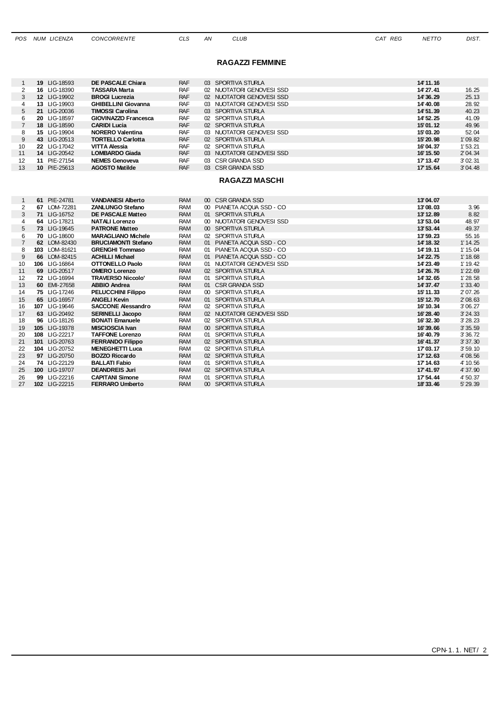|  | POS NUM LICENZA | <b>CON</b> |
|--|-----------------|------------|
|  |                 |            |

**POS NUM LICENZA CONCORRENTE CLS** AN **CLUB CLIDE CAT REG NETTO DIST.** 

#### **RAGAZZI FEMMINE**

|    | 19 LIG-18593                                                    | DE PASCALE Chiara           | <b>RAF</b>  | 03 SPORTIVA STURLA        | 14' 11.16 |          |
|----|-----------------------------------------------------------------|-----------------------------|-------------|---------------------------|-----------|----------|
| 2  | 16 LIG-18390                                                    | TASSARA Marta               | <b>RAF</b>  | 02 NUOTATORI GENOVESI SSD | 14' 27.41 | 16.25    |
| 3  | 12 LIG-19902                                                    | <b>BROGI Lucrezia</b>       | <b>RAF</b>  | 02 NUOTATORI GENOVESI SSD | 14' 36.29 | 25.13    |
| 4  | 13 LIG-19903                                                    | <b>GHIBELLINI Giovanna</b>  | <b>RAF</b>  | 03 NUOTATORI GENOVESI SSD | 14' 40.08 | 28.92    |
| 5  | 21 LIG-20036                                                    | <b>TIMOSSI Carolina</b>     | <b>RAF</b>  | 03 SPORTIVA STURLA        | 14' 51.39 | 40.23    |
| 6  | 20 LIG-18597                                                    | <b>GIOVINAZZO Francesca</b> | <b>RAF</b>  | 02 SPORTIVA STURLA        | 14' 52.25 | 41.09    |
|    | 18 LIG-18590                                                    | <b>CARIDI Lucia</b>         | <b>RAF</b>  | 02 SPORTIVA STURLA        | 15'01.12  | 49.96    |
| 8  | 15 LIG-19904                                                    | <b>NORERO Valentina</b>     | <b>RAF</b>  | 03 NUOTATORI GENOVESI SSD | 15'03.20  | 52.04    |
| 9  | 43 LIG-20513                                                    | <b>TORTELLO Carlotta</b>    | <b>RAF</b>  | 02 SPORTIVA STURLA        | 15' 20.98 | 1'09.82  |
| 10 | 22 LIG-17042                                                    | <b>VITTA Alessia</b>        | <b>RAF</b>  | 02 SPORTIVA STURLA        | 16'04.37  | 1'53.21  |
| 11 | 14 LIG-20542                                                    | <b>LOMBARDO Giada</b>       | <b>RAF</b>  | 03 NUOTATORI GENOVESI SSD | 16' 15.50 | 2' 04.34 |
| 12 | 11 PIE-27154                                                    | <b>NEMES Genoveva</b>       | <b>RAF</b>  | 03 CSR GRANDA SSD         | 17' 13.47 | 3' 02.31 |
| 13 | 10 PIE-25613                                                    | <b>AGOSTO Matilde</b>       | <b>RAF</b>  | 03 CSR GRANDA SSD         | 17' 15.64 | 3'04.48  |
|    |                                                                 |                             |             |                           |           |          |
|    |                                                                 |                             |             | <b>RAGAZZI MASCHI</b>     |           |          |
|    |                                                                 |                             |             |                           |           |          |
|    | 61 PIE-24781                                                    | <b>VANDANESI Alberto</b>    | <b>RAM</b>  | 00 CSR GRANDA SSD         | 13'04.07  |          |
|    | 67 LOM-72281                                                    | <b>ZANLUNGO Stefano</b>     | <b>RAM</b>  | 00 PIANETA ACOUA SSD - CO | 13'08.03  | 3.96     |
|    | $\overline{11}$ $\overline{11}$ $\overline{10}$ $\overline{10}$ | <b>BE BAGGALE 14.77 </b>    | <b>DARA</b> |                           | 1011000   | 0.00     |

| 2  | 67 LOM-72281  | <b>ZANLUNGO Stefano</b>    | RAM        |    | PIANETA ACQUA SSD - CO    | 13'08.03  | 3.96       |
|----|---------------|----------------------------|------------|----|---------------------------|-----------|------------|
| 3  | 71 LIG-16752  | <b>DE PASCALE Matteo</b>   | <b>RAM</b> |    | 01 SPORTIVA STURLA        | 13' 12.89 | 8.82       |
|    | 64 LIG-17821  | <b>NATALI Lorenzo</b>      | <b>RAM</b> |    | 00 NUOTATORI GENOVESI SSD | 13'53.04  | 48.97      |
| 5  | 73 LIG-19645  | <b>PATRONE Matteo</b>      | <b>RAM</b> |    | 00 SPORTIVA STURLA        | 13'53.44  | 49.37      |
| 6  | 70 LIG-18600  | <b>MARAGLIANO Michele</b>  | <b>RAM</b> | 02 | SPORTIVA STURLA           | 13'59.23  | 55.16      |
|    | 62 LOM-82430  | <b>BRUCIAMONTI Stefano</b> | <b>RAM</b> | 01 | PIANETA ACQUA SSD - CO    | 14' 18.32 | 1' 14.25   |
| 8  | 103 LOM-81621 | <b>GRENGHI Tommaso</b>     | RAM        | 01 | PIANETA ACQUA SSD - CO    | 14' 19.11 | 1' 15.04   |
| 9  | 66 LOM-82415  | <b>ACHILLI Michael</b>     | <b>RAM</b> | 01 | PIANETA ACQUA SSD - CO    | 14' 22.75 | 1' 18.68   |
| 10 | 106 LIG-16864 | OTTONELLO Paolo            | RAM        |    | 01 NUOTATORI GENOVESI SSD | 14'23.49  | 1' 19.42   |
| 11 | 69 LIG-20517  | <b>OMERO Lorenzo</b>       | <b>RAM</b> |    | 02 SPORTIVA STURLA        | 14' 26.76 | $1'$ 22.69 |
| 12 | 72 LIG-16994  | <b>TRAVERSO Niccolo'</b>   | <b>RAM</b> |    | 01 SPORTIVA STURLA        | 14' 32.65 | 1'28.58    |
| 13 | 60 EMI-27658  | <b>ABBIO Andrea</b>        | <b>RAM</b> |    | 01 CSR GRANDA SSD         | 14'37.47  | 1'33.40    |
| 14 | 75 LIG-17246  | <b>PELUCCHINI Filippo</b>  | <b>RAM</b> |    | 00 SPORTIVA STURLA        | 15' 11.33 | 2' 07.26   |
| 15 | 65 LIG-16957  | <b>ANGELI Kevin</b>        | <b>RAM</b> |    | 01 SPORTIVA STURLA        | 15' 12.70 | 2' 08.63   |
| 16 | 107 LIG-19646 | <b>SACCONE Alessandro</b>  | <b>RAM</b> |    | 02 SPORTIVA STURLA        | 16' 10.34 | 3'06.27    |
| 17 | 63 LIG-20492  | <b>SERINELLI Jacopo</b>    | <b>RAM</b> |    | 02 NUOTATORI GENOVESI SSD | 16' 28.40 | 3'24.33    |
| 18 | 96 LIG-18126  | <b>BONATI Emanuele</b>     | RAM        |    | 02 SPORTIVA STURLA        | 16'32.30  | 3' 28.23   |
| 19 | 105 LIG-19378 | MISCIOSCIA Ivan            | <b>RAM</b> |    | 00 SPORTIVA STURLA        | 16'39.66  | 3'35.59    |
| 20 | 108 LIG-22217 | <b>TAFFONE Lorenzo</b>     | <b>RAM</b> | 01 | SPORTIVA STURLA           | 16' 40.79 | 3' 36.72   |
| 21 | 101 LIG-20763 | <b>FERRANDO Filippo</b>    | <b>RAM</b> |    | 02 SPORTIVA STURLA        | 16'41.37  | 3' 37.30   |
| 22 | 104 LIG-20752 | <b>MENEGHETTI Luca</b>     | <b>RAM</b> |    | 02 SPORTIVA STURLA        | 17'03.17  | 3'59.10    |
| 23 | 97 LIG-20750  | <b>BOZZO Riccardo</b>      | <b>RAM</b> |    | 02 SPORTIVA STURLA        | 17' 12.63 | 4'08.56    |
| 24 | 74 LIG-22129  | <b>BALLATI Fabio</b>       | <b>RAM</b> |    | 01 SPORTIVA STURLA        | 17' 14.63 | 4' 10.56   |
| 25 | 100 LIG-19707 | <b>DEANDREIS Juri</b>      | <b>RAM</b> |    | 02 SPORTIVA STURLA        | 17' 41.97 | 4' 37.90   |
| 26 | 99 LIG-22216  | <b>CAPITANI Simone</b>     | RAM        |    | 01 SPORTIVA STURLA        | 17' 54.44 | 4' 50.37   |
| 27 | 102 LIG-22215 | <b>FERRARO Umberto</b>     | <b>RAM</b> |    | 00 SPORTIVA STURLA        | 18'33.46  | 5' 29.39   |
|    |               |                            |            |    |                           |           |            |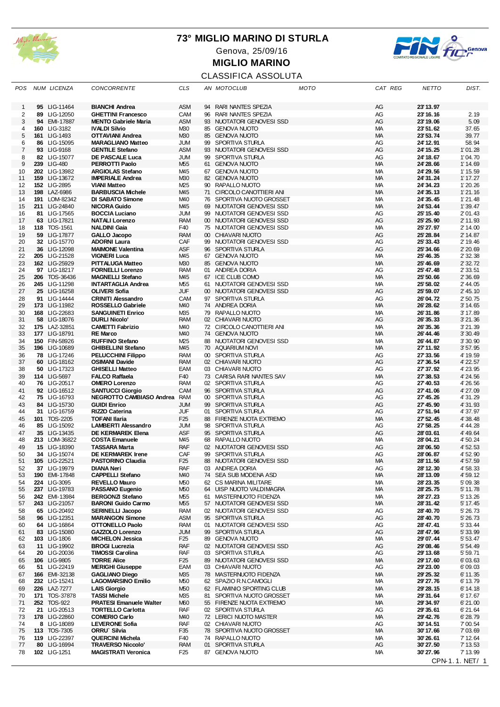

Genova, 25/09/16

**MIGLIO MARINO**



## CLASSIFICA ASSOLUTA

| POS                 | NUM LICENZA                    | <b>CONCORRENTE</b>                                       | <b>CLS</b>        |                       | AN MOTOCLUB                                         | <b>MOTO</b> | CAT REG         | <b>NETTO</b>           | DIST.                |
|---------------------|--------------------------------|----------------------------------------------------------|-------------------|-----------------------|-----------------------------------------------------|-------------|-----------------|------------------------|----------------------|
| $\mathbf 1$         | 95 LIG-11464                   | <b>BIANCHI Andrea</b>                                    | <b>ASM</b>        |                       | 94 RARI NANTES SPEZIA                               |             | AG              | 23' 13.97              |                      |
|                     |                                |                                                          | CAM               | 96                    |                                                     |             | AG              | 23' 16.16              | 2.19                 |
| $\overline{c}$<br>3 | 89 LIG-12050<br>94 EMI-17887   | <b>GHETTINI Francesco</b><br><b>MENTO Gabriele Maria</b> | <b>ASM</b>        | 93                    | RARI NANTES SPEZIA<br>NUOTATORI GENOVESI SSD        |             | AG              | 23' 19.06              | 5.09                 |
| $\overline{4}$      | 160 LIG-3182                   | <b>IVALDI Silvio</b>                                     | M30               |                       | 85 GENOVA NUOTO                                     |             | <b>MA</b>       | 23'51.62               | 37.65                |
| 5                   | 161 LIG-1493                   | <b>OTTAVIANI Andrea</b>                                  | M <sub>30</sub>   |                       | 85 GENOVA NUOTO                                     |             | MA              | 23' 53.74              | 39.77                |
| 6                   | 86 LIG-15095                   | <b>MARAGLIANO Matteo</b>                                 | JUM               | 99                    | SPORTIVA STURLA                                     |             | AG              | 24' 12.91              | 58.94                |
| 7                   | 93 LIG-9168                    | <b>GENTILE Stefano</b>                                   | <b>ASM</b>        |                       | 93 NUOTATORI GENOVESI SSD                           |             | AG              | 24' 15.25              | 1'01.28              |
| 8                   | 82 LIG-15077                   | DE PASCALE Luca                                          | <b>JUM</b>        | 99                    | SPORTIVA STURLA                                     |             | AG              | 24' 18.67              | 1'04.70              |
| 9                   | 239 LIG-480                    | <b>PERROTTI Paolo</b>                                    | M55               |                       | 61 GENOVA NUOTO                                     |             | <b>MA</b>       | 24' 28.66              | 1' 14.69             |
| 10                  | 202 LIG-13982                  | <b>ARGIOLAS Stefano</b>                                  | M <sub>45</sub>   |                       | 67 GENOVA NUOTO                                     |             | МA              | 24' 29.56              | 1' 15.59             |
| 11                  | 159 LIG-13672                  | <b>IMPERIALE Andrea</b>                                  | M <sub>30</sub>   |                       | 82 GENOVA NUOTO                                     |             | MA              | 24'31.24               | 1' 17.27             |
| 12                  | 152 LIG-2895                   | <b>VIANI Matteo</b>                                      | M25               | 90                    | RAPALLO NUOTO                                       |             | МA              | 24'34.23               | 1' 20.26             |
| 13                  | 198 LAZ-6986                   | <b>BARBUSCIA Michele</b>                                 | M45               | 71                    | CIRCOLO CANOTTIERI ANI                              |             | <b>MA</b>       | 24' 35.13              | 1'21.16              |
| 14                  | 191 LOM-82342                  | <b>DI SABATO Simone</b>                                  | M <sub>40</sub>   |                       | 76 SPORTIVA NUOTO GROSSET                           |             | МA              | 24' 35.45              | 1'21.48              |
| 15                  | 211 LIG-24840                  | <b>NICORA Guido</b>                                      | M <sub>45</sub>   | 69                    | NUOTATORI GENOVESI SSD                              |             | MA              | 24' 53.44              | 1' 39.47             |
| 16                  | 81 LIG-17565                   | <b>BOCCIA Luciano</b>                                    | JUM               | 99                    | NUOTATORI GENOVESI SSD                              |             | AG              | 25' 15.40              | 2' 01.43             |
| 17<br>18            | 63 LIG-17821<br>118 TOS-1561   | <b>NATALI Lorenzo</b><br><b>NALDINI Gaia</b>             | <b>RAM</b><br>F40 | 75                    | 00 NUOTATORI GENOVESI SSD<br>NUOTATORI GENOVESI SSD |             | AG<br>МA        | 25' 25.90<br>25' 27.97 | 2' 11.93<br>2' 14.00 |
| 19                  | 59 LIG-17877                   | <b>GALLO Jacopo</b>                                      | <b>RAM</b>        |                       | 00 CHIAVARI NUOTO                                   |             | AG              | 25' 28.84              | 2' 14.87             |
| 20                  | 32 LIG-15770                   | <b>ADORNI Laura</b>                                      | CAF               | 99                    | NUOTATORI GENOVESI SSD                              |             | AG              | 25' 33.43              | 2' 19.46             |
| 21                  | 36 LIG-12098                   | <b>MAIMONE Valentina</b>                                 | ASF               |                       | 96 SPORTIVA STURLA                                  |             | AG              | 25'34.66               | 2' 20.69             |
| 22                  | 205 LIG-21528                  | <b>VIGNERI Luca</b>                                      | M <sub>45</sub>   | 67                    | <b>GENOVA NUOTO</b>                                 |             | <b>MA</b>       | 25' 46.35              | 2' 32.38             |
| 23                  | 162 LIG-25929                  | <b>PITTALUGA Matteo</b>                                  | M <sub>30</sub>   |                       | 85 GENOVA NUOTO                                     |             | <b>MA</b>       | 25' 46.69              | 2' 32.72             |
| 24                  | 97 LIG-18217                   | <b>FORNELLI Lorenzo</b>                                  | <b>RAM</b>        |                       | 01 ANDREA DORIA                                     |             | AG              | 25' 47.48              | 2' 33.51             |
| 25                  | 206 TOS-36436                  | <b>MAGNELLI Stefano</b>                                  | M <sub>45</sub>   |                       | 67 ICE CLUB COMO                                    |             | MA              | 25' 50.66              | 2' 36.69             |
| 26                  | 245 LIG-11298                  | <b>INTARTAGLIA Andrea</b>                                | M55               | 61                    | NUOTATORI GENOVESI SSD                              |             | МA              | 25' 58.02              | 2' 44.05             |
| 27                  | 25 LIG-16258                   | <b>OLIVERI Sofia</b>                                     | JUF               | $00-1$                | NUOTATORI GENOVESI SSD                              |             | AG              | 25' 59.07              | 2' 45.10             |
| 28                  | 91 LIG-14444                   | <b>CRINITI Alessandro</b>                                | CAM               |                       | 97 SPORTIVA STURLA                                  |             | AG              | 26'04.72               | 2' 50.75             |
| 29                  | 173 LIG-11982                  | <b>ROSSELLO Gabriele</b>                                 | M40               |                       | 74 ANDREA DORIA                                     |             | MA              | 26' 28.62              | 3' 14.65             |
| 30                  | 168 LIG-22683                  | <b>SANGUINETI Enrico</b>                                 | M <sub>35</sub>   | 79                    | RAPALLO NUOTO                                       |             | МA              | 26'31.86               | 3' 17.89             |
| 31                  | 58 LIG-18076                   | <b>DURLI Nicolo'</b>                                     | <b>RAM</b>        |                       | 02 CHIAVARI NUOTO                                   |             | AG              | 26' 35.33              | 3'21.36              |
| 32                  | 175 LAZ-32851                  | <b>CAMETTI Fabrizio</b>                                  | M <sub>40</sub>   |                       | 72 CIRCOLO CANOTTIERI ANI                           |             | МA              | 26' 35.36              | 3' 21.39             |
| 33                  | 177 LIG-18791                  | <b>RE Marco</b>                                          | M <sub>40</sub>   |                       | 74 GENOVA NUOTO                                     |             | <b>MA</b>       | 26' 44.46              | 3' 30.49             |
| 34                  | 150 FIN-58926                  | <b>RUFFINO Stefano</b>                                   | M <sub>25</sub>   |                       | 88 NUOTATORI GENOVESI SSD                           |             | МA              | 26' 44.87              | 3' 30.90             |
| 35                  | 196 LIG-10689                  | <b>GHIBELLINI Stefano</b>                                | M45               | 70                    | <b>AQUARIUM NOVI</b>                                |             | MA              | 27' 11.92              | 3'57.95              |
| 36                  | 78 LIG-17246                   | <b>PELUCCHINI Filippo</b>                                | <b>RAM</b>        |                       | 00 SPORTIVA STURLA                                  |             | AG              | 27'33.56               | 4' 19.59             |
| 37<br>38            | 60 LIG-18162<br>50 LIG-17323   | <b>OSIMANI Davide</b><br><b>GHISELLI Matteo</b>          | <b>RAM</b><br>EAM | 02 <sub>2</sub><br>03 | CHIAVARI NUOTO<br>CHIAVARI NUOTO                    |             | AG<br>AG        | 27' 36.54<br>27' 37.92 | 4' 22.57<br>4' 23.95 |
| 39                  | 114 LIG-5697                   | <b>FALCO Raffaela</b>                                    | F40               |                       | 73 CARISA RARI NANTES SAV                           |             | <b>MA</b>       | 27'38.53               | 4' 24.56             |
| 40                  | 76 LIG-20517                   | <b>OMERO Lorenzo</b>                                     | <b>RAM</b>        |                       | 02 SPORTIVA STURLA                                  |             | AG              | 27' 40.53              | 4' 26.56             |
| 41                  | 92 LIG-16512                   | <b>SANTUCCI Giorgio</b>                                  | CAM               |                       | 96 SPORTIVA STURLA                                  |             | AG              | 27' 41.06              | 4' 27.09             |
| 42                  | 75 LIG-16793                   | NEGROTTO CAMBIASO Andrea                                 | <b>RAM</b>        | 00 <sup>°</sup>       | SPORTIVA STURLA                                     |             | AG              | 27' 45.26              | 4' 31.29             |
| 43                  | 84 LIG-15730                   | <b>GUIDI Enrico</b>                                      | <b>JUM</b>        |                       | 99 SPORTIVA STURLA                                  |             | AG              | 27' 45.90              | 4' 31.93             |
| 44                  | 31 LIG-16759                   | <b>RIZZO Caterina</b>                                    | JUF               |                       | 01 SPORTIVA STURLA                                  |             | AG              | 27'51.94               | 4' 37.97             |
| 45                  | 101 TOS-2205                   | <b>TOFANI Ilaria</b>                                     | F <sub>25</sub>   | 88                    | FIRENZE NUOTA EXTREMO                               |             | <b>MA</b>       | 27' 52.45              | 4' 38.48             |
| 46                  | 85 LIG-15092                   | <b>LAMBERTI Alessandro</b>                               | JUM               |                       | 98 SPORTIVA STURLA                                  |             | AG              | 27' 58.25              | 4' 44.28             |
| 47                  | 35 LIG-13435                   | <b>DE KERMAREK Elena</b>                                 | ASF               |                       | 95 SPORTIVA STURLA                                  |             | AG              | 28'03.61               | 4' 49.64             |
| 48                  | 213 LOM-36822                  | <b>COSTA Emanuele</b>                                    | M <sub>45</sub>   | 68                    | RAPALLO NUOTO                                       |             | МA              | 28'04.21               | 4' 50.24             |
| 49                  | 15 LIG-18390                   | <b>TASSARA Marta</b>                                     | <b>RAF</b>        |                       | 02 NUOTATORI GENOVESI SSD                           |             | AG              | 28'06.50               | 4' 52.53             |
| 50                  | 34 LIG-15074                   | <b>DE KERMAREK Irene</b>                                 | CAF               | 99                    | SPORTIVA STURLA                                     |             | AG              | 28'06.87               | 4' 52.90             |
| 51                  | 105 LIG-22521                  | <b>PASTORINO Claudia</b>                                 | F <sub>25</sub>   |                       | 88 NUOTATORI GENOVESI SSD                           |             | <b>MA</b>       | 28'11.56               | 4' 57.59             |
| 52                  | 37 LIG-19979                   | <b>DIANA Neri</b>                                        | RAF               | 03                    | ANDREA DORIA                                        |             | AG              | 28' 12.30              | 4' 58.33             |
| 53                  | 190 EMI-17848                  | <b>CAPPELLI Stefano</b>                                  | M40               |                       | 74 SEA SUB MODENA ASD                               |             | <b>MA</b>       | 28' 13.09              | 4' 59.12             |
| 54                  | 224 LIG-3095                   | <b>REVELLO Mauro</b>                                     | M50               |                       | 62 CS MARINA MILITARE                               |             | МA              | 28' 23.35              | 5' 09.38             |
| 55                  | 237 LIG-19783                  | PASSANO Eugenio<br><b>BERGONZI Stefano</b>               | M50               |                       | 64 UISP NUOTO VALDIMAGRA<br>61 MASTERNUOTO FIDENZA  |             | <b>MA</b>       | 28' 25.75              | 5' 11.78             |
| 56<br>57            | 242 EMI-13984<br>243 LIG-21057 | <b>BARONI Guido Carmo</b>                                | M55<br>M55        | 57                    | NUOTATORI GENOVESI SSD                              |             | МA<br>МA        | 28' 27.23<br>28' 31.42 | 5' 13.26<br>5' 17.45 |
| 58                  | 65 LIG-20492                   | <b>SERINELLI Jacopo</b>                                  | RAM               |                       | 02 NUOTATORI GENOVESI SSD                           |             | AG              | 28' 40.70              | 5' 26.73             |
| 58                  | 96 LIG-12351                   | <b>MARANGON Simone</b>                                   | ASM               |                       | 95 SPORTIVA STURLA                                  |             | AG              | 28' 40.70              | 5' 26.73             |
| 60                  | 64 LIG-16864                   | <b>OTTONELLO Paolo</b>                                   | <b>RAM</b>        |                       | 01 NUOTATORI GENOVESI SSD                           |             | AG              | 28' 47.41              | 5' 33.44             |
| 61                  | 83 LIG-15080                   | GAZZOLO Lorenzo                                          | JUM               |                       | 99 SPORTIVA STURLA                                  |             | AG              | 28' 47.96              | 5' 33.99             |
| 62                  | 103 LIG-1806                   | <b>MICHELON Jessica</b>                                  | F <sub>25</sub>   | 89                    | <b>GENOVA NUOTO</b>                                 |             | МA              | 29'07.44               | 5' 53.47             |
| 63                  | 11 LIG-19902                   | <b>BROGI Lucrezia</b>                                    | RAF               |                       | 02 NUOTATORI GENOVESI SSD                           |             | AG              | 29'08.46               | 5' 54.49             |
| 64                  | 20 LIG-20036                   | <b>TIMOSSI Carolina</b>                                  | <b>RAF</b>        |                       | 03 SPORTIVA STURLA                                  |             | AG              | 29' 13.68              | 5' 59.71             |
| 65                  | 106 LIG-9805                   | <b>TORRE Alice</b>                                       | F <sub>25</sub>   |                       | 89 NUOTATORI GENOVESI SSD                           |             | <b>MA</b>       | 29' 17.60              | 6'03.63              |
| 66                  | 51 LIG-22419                   | <b>MERIGHI Giuseppe</b>                                  | EAM               |                       | 03 CHIAVARI NUOTO                                   |             | AG              | 29'23.00               | 6'09.03              |
| 67                  | 166 EMI-32138                  | <b>GAGLIANO Diego</b>                                    | M <sub>35</sub>   |                       | 78 MASTERNUOTO FIDENZA                              |             | МA              | 29' 25.32              | 6' 11.35             |
| 68                  | 232 LIG-15241                  | <b>LAGOMARSINO Emilio</b>                                | M50               |                       | 62 SPAZIO R.N.CAMOGLI                               |             | МA              | 29' 27.76              | 6' 13.79             |
| 69                  | 226 LAZ-7277                   | <b>LAIS Giorgio</b>                                      | M50               |                       | 62 FLAMINIO SPORTING CLUB                           |             | МA              | 29' 28.15              | 6' 14.18             |
| 70                  | 171 TOS-37878                  | <b>TASSI Michele</b>                                     | M <sub>35</sub>   | 81                    | SPORTIVA NUOTO GROSSET                              |             | МA              | 29'31.64               | 6' 17.67             |
| 71                  | 252 TOS-922                    | <b>PRATESI Emanuele Walter</b>                           | <b>M60</b>        |                       | 55 FIRENZE NUOTA EXTREMO                            |             | <b>MA</b>       | 29'34.97               | 6'21.00              |
| 72                  | 21 LIG-20513                   | <b>TORTELLO Carlotta</b>                                 | <b>RAF</b>        |                       | 02 SPORTIVA STURLA                                  |             | AG              | 29'35.61               | 6'21.64              |
| 73<br>74            | 178 LIG-22860<br>8 LIG-18089   | <b>COMERIO Carlo</b><br><b>LEVERONE Sofia</b>            | M40<br>RAF        | 02                    | 72 LERICI NUOTO MASTER<br>CHIAVARI NUOTO            |             | <b>MA</b>       | 29' 42.76<br>30'14.51  | 6' 28.79             |
| 75                  | 113 TOS-7305                   | ORRU Silvia                                              | F35               |                       | 78 SPORTIVA NUOTO GROSSET                           |             | AG<br><b>MA</b> | 30'17.66               | 7'00.54<br>7' 03.69  |
| 76                  | 119 LIG-22397                  | <b>QUERCINI Michela</b>                                  | F40               |                       | 74 RAPALLO NUOTO                                    |             | МA              | 30'26.61               | 7' 12.64             |
| 77                  | 80 LIG-16994                   | <b>TRAVERSO Niccolo'</b>                                 | <b>RAM</b>        | 01                    | SPORTIVA STURLA                                     |             | AG              | 30'27.50               | 7' 13.53             |
| 78                  | 102 LIG-1251                   | <b>MAGISTRATI Veronica</b>                               | F <sub>25</sub>   |                       | 87 GENOVA NUOTO                                     |             | МA              | 30'27.96               | 7' 13.99             |
|                     |                                |                                                          |                   |                       |                                                     |             |                 |                        | CPN 1.1. NET/ 1      |
|                     |                                |                                                          |                   |                       |                                                     |             |                 |                        |                      |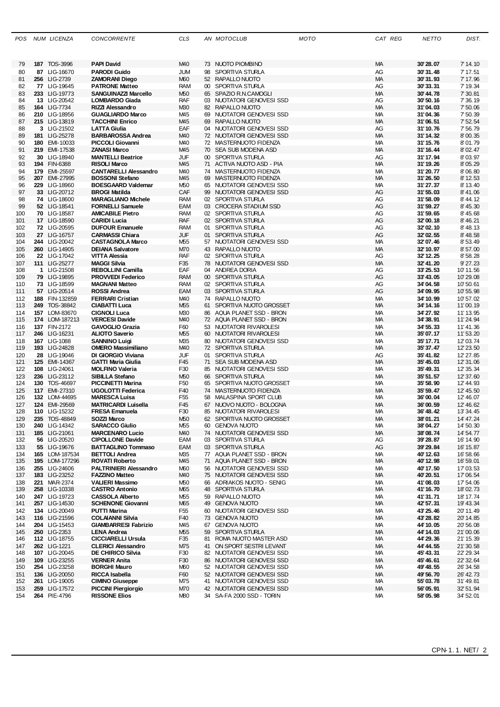| POS |    | NUM LICENZA                  | <b>CONCORRENTE</b>            | CLS             |    | AN MOTOCLUB                 | MOTO | CAT REG   | NETTO                | DIST.     |
|-----|----|------------------------------|-------------------------------|-----------------|----|-----------------------------|------|-----------|----------------------|-----------|
| 79  |    | 187 TOS-3996                 | <b>PAPI David</b>             | M <sub>40</sub> |    | 73 NUOTO PIOMBINO           |      | МA        | 30'28.07             | 7' 14.10  |
| 80  |    | 87 LIG-16670                 | <b>PARODI Guido</b>           | JUM             |    | 98 SPORTIVA STURLA          |      | AG        | 30'31.48             | 7' 17.51  |
| 81  |    | 256 LIG-2739                 | <b>ZAMORANI Diego</b>         | <b>M60</b>      |    | 52 RAPALLO NUOTO            |      | MA        | 30'31.93             | 7' 17.96  |
| 82  |    | 77 LIG-19645                 | <b>PATRONE Matteo</b>         | RAM             |    | 00 SPORTIVA STURLA          |      | AG        | 30'33.31             | 7' 19.34  |
| 83  |    | 233 LIG-19773                | <b>SANGUINAZZI Marcello</b>   | M50             |    | 65 SPAZIO R.N.CAMOGLI       |      | MA        | 30'44.78             | 7' 30.81  |
| 84  |    | 13 LIG-20542                 | <b>LOMBARDO Giada</b>         | RAF             |    | 03 NUOTATORI GENOVESI SSD   |      | AG        | 30'50.16             | 7' 36.19  |
|     |    | 164 LIG-7734                 | RIZZI Alessandro              | M30             |    | 82 RAPALLO NUOTO            |      | МA        | 31'04.03             | 7'50.06   |
| 85  |    |                              |                               |                 |    |                             |      |           |                      |           |
| 86  |    | 210 LIG-18956                | <b>GUAGLIARDO Marco</b>       | M45             | 69 | NUOTATORI GENOVESI SSD      |      | МA        | 31'04.36             | 7' 50.39  |
| 87  |    | 215 LIG-13819<br>3 LIG-21502 | <b>TACCHINI Enrico</b>        | M45             |    | 69 RAPALLO NUOTO            |      | МA        | 31'06.51<br>31'10.76 | 7' 52.54  |
| 88  |    |                              | <b>LATTA Giulia</b>           | EAF             |    | 04 NUOTATORI GENOVESI SSD   |      | AG        |                      | 7'56.79   |
| 89  |    | 181 LIG-25278                | <b>BARBAROSSA Andrea</b>      | M40             |    | 72 NUOTATORI GENOVESI SSD   |      | <b>MA</b> | 31'14.32             | 8'00.35   |
| 90  |    | 180 EMI-10033                | PICCOLI Giovanni              | M40             |    | 72 MASTERNUOTO FIDENZA      |      | МA        | 31'15.76             | 8'01.79   |
| 91  |    | 219 EMI-17538                | <b>ZANASI Marco</b>           | M45             |    | 70 SEA SUB MODENA ASD       |      | МA        | 31'16.44             | 8' 02.47  |
| 92  | 30 | LIG-18940                    | <b>MANTELLI Beatrice</b>      | JUF             |    | 00 SPORTIVA STURLA          |      | AG        | 31'17.94             | 8'03.97   |
| 93  |    | 194 FIN-6388                 | <b>RISOLI Marco</b>           | M45             |    | 71 ACTIVA NUOTO ASD - PIA   |      | МA        | 31'19.26             | 8' 05.29  |
| 94  |    | 179 EMI-25597                | <b>CANTARELLI Alessandro</b>  | M40             |    | 74 MASTERNUOTO FIDENZA      |      | МA        | 31'20.77             | 8'06.80   |
| 95  |    | 207 EMI-27995                | <b>BOSSONI Stefano</b>        | M45             |    | 69 MASTERNUOTO FIDENZA      |      | МA        | 31'26.50             | 8' 12.53  |
| 96  |    | 229 LIG-18960                | <b>BOESGAARD Valdemar</b>     | M50             | 65 | NUOTATORI GENOVESI SSD      |      | МA        | 31'27.37             | 8' 13.40  |
| 97  |    | 33 LIG-20712                 | <b>BROGI Matilda</b>          | CAF             |    | 99 NUOTATORI GENOVESI SSD   |      | AG        | 31'55.03             | 8'41.06   |
| 98  |    | 74 LIG-18600                 | <b>MARAGLIANO Michele</b>     | <b>RAM</b>      |    | 02 SPORTIVA STURLA          |      | AG        | 31'58.09             | 8' 44.12  |
| 99  |    | 52 LIG-18541                 | <b>FORNELLI Samuele</b>       | EAM             |    | 03 CROCERA STADIUM SSD      |      | AG        | 31'59.27             | 8' 45.30  |
| 100 |    | 70 LIG-18587                 | <b>AMICABILE Pietro</b>       | <b>RAM</b>      |    | 02 SPORTIVA STURLA          |      | AG        | 31'59.65             | 8' 45.68  |
| 101 |    | 17 LIG-18590                 | <b>CARIDI Lucia</b>           | RAF             |    | 02 SPORTIVA STURLA          |      | AG        | 32'00.18             | 8' 46.21  |
| 102 |    | 72 LIG-20595                 | <b>DUFOUR Emanuele</b>        | <b>RAM</b>      |    | 01 SPORTIVA STURLA          |      | AG        | 32'02.10             | 8' 48.13  |
| 103 |    | 27 LIG-16757                 | <b>CARMASSI Chiara</b>        | JUF             |    | 01 SPORTIVA STURLA          |      | AG        | 32'02.55             | 8' 48.58  |
| 104 |    | 244 LIG-20042                | <b>CASTAGNOLA Marco</b>       | M55             |    | 57 NUOTATORI GENOVESI SSD   |      | МA        | 32'07.46             | 8' 53.49  |
| 105 |    | 260 LIG-14905                | <b>DEIANA Salvatore</b>       | M70             |    | 43 RAPALLO NUOTO            |      | <b>MA</b> | 32' 10.97            | 8'57.00   |
| 106 |    | 22 LIG-17042                 | VITTA Alessia                 | RAF             |    | 02 SPORTIVA STURLA          |      | AG        | 32' 12.25            | 8' 58.28  |
| 107 |    | 111 LIG-25277                | <b>MAGGI Silvia</b>           | F35             |    | 78 NUOTATORI GENOVESI SSD   |      | MA        | 32'41.20             | 9' 27.23  |
| 108 |    | 1 LIG-21508                  | REBOLLINI Camilla             | EAF             |    | 04 ANDREA DORIA             |      | AG        | 33' 25.53            | 10'11.56  |
| 109 |    | 79 LIG-19895                 | <b>PROVVEDI Federico</b>      | <b>RAM</b>      |    | 00 SPORTIVA STURLA          |      | AG        | 33' 43.05            | 10'29.08  |
| 110 |    | 73 LIG-18599                 | <b>MAGNANI Matteo</b>         | <b>RAM</b>      |    | 02 SPORTIVA STURLA          |      | AG        | 34'04.58             | 10'50.61  |
| 111 |    | 57 LIG-20514                 | <b>ROSSI Andrea</b>           | EAM             |    | 03 SPORTIVA STURLA          |      | AG        | 34'09.95             | 10'55.98  |
| 112 |    | 188 FIN-132859               | <b>FERRARI Cristian</b>       | M40             |    | 74 RAPALLO NUOTO            |      | МA        | 34' 10.99            | 10'57.02  |
| 113 |    | 249 TOS-38842                | <b>CIABATTI Luca</b>          | M55             | 61 | SPORTIVA NUOTO GROSSET      |      | МA        | 34' 14.16            | 11'00.19  |
| 114 |    | 157 LOM-83670                | <b>CIGNOLI Luca</b>           | M <sub>30</sub> |    | 86 AQUA PLANET SSD - BRON   |      | МA        | 34' 27.92            | 11' 13.95 |
| 115 |    | 174 LOM-187213               | <b>VERCESI Davide</b>         | M40             |    | 72 AQUA PLANET SSD - BRON   |      | МA        | 34'38.91             | 11'24.94  |
| 116 |    | 137 FIN-2172                 | <b>GAVOGLIO Grazia</b>        | F60             |    | 53 NUOTATORI RIVAROLESI     |      | МA        | 34' 55.33            | 11'41.36  |
| 117 |    | 246 LIG-16231                | <b>ALIOTO Saverio</b>         | M <sub>55</sub> |    | 60 NUOTATORI RIVAROLESI     |      | <b>MA</b> | 35'07.17             | 11' 53.20 |
| 118 |    | 167 LIG-1088                 | <b>SANNINO Luigi</b>          | M <sub>35</sub> |    | 80 NUOTATORI GENOVESI SSD   |      | МA        | 35' 17.71            | 12'03.74  |
| 119 |    | 193 LIG-24828                | <b>OMERO Massimiliano</b>     | M <sub>40</sub> |    | 72 SPORTIVA STURLA          |      | МA        | 35' 37.47            | 12' 23.50 |
| 120 |    | 28 LIG-19046                 | DI GIORGIO Viviana            | JUF             | 01 | SPORTIVA STURLA             |      | AG        | 35' 41.82            | 12' 27.85 |
| 121 |    | <b>125 EMI-14367</b>         | <b>GATTI Maria Giulia</b>     | F45             |    | 71 SEA SUB MODENA ASD       |      | МA        | 35' 45.03            | 12' 31.06 |
| 122 |    | 108 LIG-24061                | <b>MOLFINO Valeria</b>        | F30             |    | 85 NUOTATORI GENOVESI SSD   |      | МA        | 35'49.31             | 12' 35.34 |
| 123 |    | 236 LIG-23112                | <b>SIBILLA Stefano</b>        | M50             |    | 66 SPORTIVA STURLA          |      | МA        | 35' 51.57            | 12' 37.60 |
| 124 |    | 130 TOS-46697                | <b>PICCINETTI Marina</b>      | F <sub>50</sub> |    | 65 SPORTIVA NUOTO GROSSET   |      | МA        | 35' 58.90            | 12' 44.93 |
| 125 |    | 117 EMI-27310                | <b>UGOLOTTI Federica</b>      | F40             |    | 74 MASTERNUOTO FIDENZA      |      | МA        | 35' 59.47            | 12' 45.50 |
| 126 |    | 132 LOM-44695                | <b>MARESCA Luisa</b>          | F55             | 58 | <b>MALASPINA SPORT CLUB</b> |      | МA        | 36'00.04             | 12' 46.07 |
| 127 |    | 124 EMI-29569                | <b>MATRICARDI Luisella</b>    | F45             |    | 67 NUOVO NUOTO - BOLOGNA    |      | MA        | 36'00.59             | 12' 46.62 |
| 128 |    | 110 LIG-15232                | <b>FRESA Emanuela</b>         | F30             |    | 85 NUOTATORI RIVAROLESI     |      | МA        | 36' 48.42            | 13' 34.45 |
| 129 |    | 235 TOS-48849                | SOZZI Marco                   | M50             |    | 62 SPORTIVA NUOTO GROSSET   |      | МA        | 38'01.21             | 14' 47.24 |
| 130 |    | 240 LIG-14342                | <b>SARACCO Giulio</b>         | M55             |    | 60 GENOVA NUOTO             |      | МA        | 38'04.27             | 14' 50.30 |
| 131 |    | 185 LIG-21061                | <b>MARCENARO Lucio</b>        | M <sub>40</sub> |    | 74 NUOTATORI GENOVESI SSD   |      | МA        | 38'08.74             | 14' 54.77 |
| 132 |    | 56 LIG-20520                 | <b>CIPOLLONE Davide</b>       | EAM             |    | 03 SPORTIVA STURLA          |      | AG        | 39' 28.87            | 16' 14.90 |
| 133 |    | 55 LIG-19676                 | <b>BATTAGLINO Tommaso</b>     | EAM             |    | 03 SPORTIVA STURLA          |      | AG        | 39'29.84             | 16' 15.87 |
| 134 |    | 165 LOM-187534               | <b>BETTOLI Andrea</b>         | M35             |    | 77 AQUA PLANET SSD - BRON   |      | МA        | 40'12.63             | 16' 58.66 |
| 135 |    | 195 LOM-177296               | <b>ROVATI Roberto</b>         | M45             |    | 71 AQUA PLANET SSD - BRON   |      | МA        | 40'12.98             | 16' 59.01 |
| 136 |    | 255 LIG-24606                | <b>PALTRINIERI Alessandro</b> | M60             |    | 56 NUOTATORI GENOVESI SSD   |      | МA        | 40' 17.50            | 17'03.53  |
| 137 |    | 183 LIG-23252                | <b>FAZZINO Matteo</b>         | M40             |    | 75 NUOTATORI GENOVESI SSD   |      | МA        | 40'20.51             | 17'06.54  |
| 138 |    | 221 MAR-2374                 | <b>VALIERI Massimo</b>        | M50             |    | 66 ADRIAKOS NUOTO - SENIG   |      | МA        | 41'08.03             | 17' 54.06 |
| 139 |    | 258 LIG-10338                | <b>CASTRO Antonio</b>         | M65             |    | 48 SPORTIVA STURLA          |      | МA        | 41'16.70             | 18'02.73  |
| 140 |    | 247 LIG-19723                | <b>CASSOLA Alberto</b>        | M55             |    | 59 RAPALLO NUOTO            |      | МA        | 41'31.71             | 18' 17.74 |
| 141 |    | 257 LIG-14530                | <b>SCHENONE Giovanni</b>      | M65             |    | 49 GENOVA NUOTO             |      | МA        | 42' 57.31            | 19' 43.34 |
| 142 |    | 134 LIG-20049                | <b>PUTTI Marina</b>           | F55             |    | 60 NUOTATORI GENOVESI SSD   |      | МA        | 43' 25.46            | 20'11.49  |
| 143 |    | 116 LIG-21596                | <b>COLAIANNI Silvia</b>       | F40             |    | 73 GENOVA NUOTO             |      | МA        | 43'28.82             | 20' 14.85 |
| 144 |    | 204 LIG-15453                | <b>GIAMBARRESI Fabrizio</b>   | M45             |    | 67 GENOVA NUOTO             |      | МA        | 44' 10.05            | 20' 56.08 |
| 145 |    | 250 LIG-2353                 | LENA Andrea                   | M55             |    | 59 SPORTIVA STURLA          |      | МA        | 44' 14.03            | 21'00.06  |
| 146 |    | 112 LIG-18755                | <b>CICCIARELLI Ursula</b>     | F35             |    | 81 ROMA NUOTO MASTER ASD    |      | МA        | 44' 29.36            | 21' 15.39 |
| 147 |    | 262 LIG-1221                 | <b>CLERICI Alessandro</b>     | M75             |    | 41 ON SPORT SESTRI LEVANT   |      | МA        | 44' 44.55            | 21'30.58  |
| 148 |    | 107 LIG-20045                | <b>DE CHIRICO Silvia</b>      | F30             |    | 82 NUOTATORI GENOVESI SSD   |      | МA        | 45' 43.31            | 22' 29.34 |
| 149 |    | 109 LIG-23255                | <b>VERNER Anita</b>           | F30             |    | 86 NUOTATORI GENOVESI SSD   |      | МA        | 45′ 46.61            | 22' 32.64 |
| 150 |    | 254 LIG-23258                | <b>BORGHI Mauro</b>           | <b>M60</b>      |    | 52 NUOTATORI GENOVESI SSD   |      | МA        | 49' 48.55            | 26' 34.58 |
| 151 |    | 136 LIG-20050                | RICCA Isabella                | F60             |    | 52 NUOTATORI GENOVESI SSD   |      | МA        | 49' 56.70            | 26' 42.73 |
| 152 |    | 261 LIG-19005                | <b>CIMINO Giuseppe</b>        | M75             |    | 41 NUOTATORI GENOVESI SSD   |      | МA        | 55'03.78             | 31'49.81  |
| 153 |    | 259 LIG-17572                | <b>PICCINI Piergiorgio</b>    | M70             |    | 42 NUOTATORI GENOVESI SSD   |      | МA        | 56'05.91             | 32' 51.94 |
| 154 |    | 264 PIE-4796                 | <b>RISSONE Elios</b>          | M80             |    | 34 SA-FA 2000 SSD - TORIN   |      | МA        | 58'05.98             | 34' 52.01 |
|     |    |                              |                               |                 |    |                             |      |           |                      |           |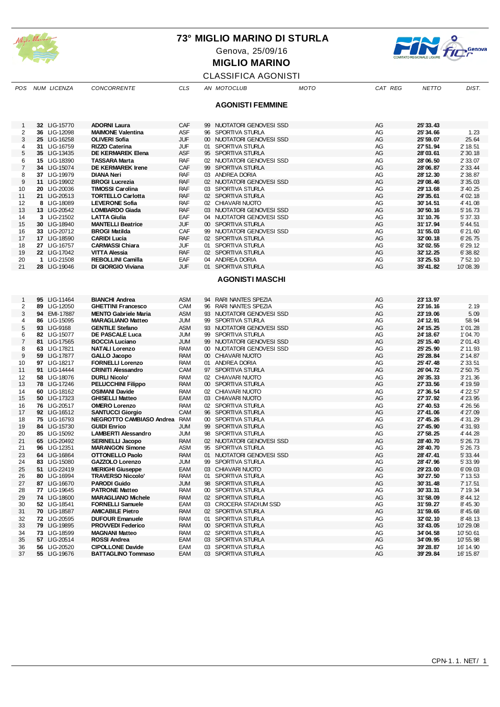

Genova, 25/09/16



**MIGLIO MARINO**

## CLASSIFICA AGONISTI

| POS            | NUM LICENZA                  | <b>CONCORRENTE</b>                                   | <b>CLS</b>        |                 | AN MOTOCLUB                               | <b>MOTO</b> | CAT REG  | <b>NETTO</b>           | DIST.                |
|----------------|------------------------------|------------------------------------------------------|-------------------|-----------------|-------------------------------------------|-------------|----------|------------------------|----------------------|
|                |                              |                                                      |                   |                 |                                           |             |          |                        |                      |
|                |                              |                                                      |                   |                 | <b>AGONISTI FEMMINE</b>                   |             |          |                        |                      |
|                |                              |                                                      |                   |                 |                                           |             |          |                        |                      |
| 1<br>2         | 32 LIG-15770<br>36 LIG-12098 | <b>ADORNI Laura</b><br><b>MAIMONE Valentina</b>      | CAF<br>ASF        | 99<br>96        | NUOTATORI GENOVESI SSD<br>SPORTIVA STURLA |             | AG<br>AG | 25' 33.43<br>25' 34.66 | 1.23                 |
| 3              | 25 LIG-16258                 | <b>OLIVERI Sofia</b>                                 | <b>JUF</b>        |                 | 00 NUOTATORI GENOVESI SSD                 |             | AG       | 25' 59.07              | 25.64                |
| 4              | 31 LIG-16759                 | <b>RIZZO Caterina</b>                                | <b>JUF</b>        | 01              | SPORTIVA STURLA                           |             | AG       | 27' 51.94              | 2' 18.51             |
| 5              | 35 LIG-13435                 | <b>DE KERMAREK Elena</b>                             | <b>ASF</b>        |                 | 95 SPORTIVA STURLA                        |             | AG       | 28'03.61               | 2' 30.18             |
| 6              | 15 LIG-18390                 | <b>TASSARA Marta</b>                                 | <b>RAF</b>        |                 | 02 NUOTATORI GENOVESI SSD                 |             | AG       | 28'06.50               | 2' 33.07             |
| 7              | 34 LIG-15074                 | <b>DE KERMAREK Irene</b>                             | CAF               |                 | 99 SPORTIVA STURLA                        |             | AG       | 28'06.87               | 2' 33.44             |
| 8              | 37 LIG-19979                 | <b>DIANA Neri</b>                                    | <b>RAF</b>        |                 | 03 ANDREA DORIA                           |             | AG       | 28' 12.30              | 2' 38.87             |
| 9              | 11 LIG-19902                 | <b>BROGI Lucrezia</b>                                | <b>RAF</b>        |                 | 02 NUOTATORI GENOVESI SSD                 |             | AG       | 29'08.46               | 3' 35.03             |
| 10             | 20 LIG-20036                 | <b>TIMOSSI Carolina</b>                              | <b>RAF</b>        |                 | 03 SPORTIVA STURLA                        |             | AG       | 29' 13.68              | 3' 40.25             |
| 11             | 21 LIG-20513                 | <b>TORTELLO Carlotta</b>                             | <b>RAF</b>        |                 | 02 SPORTIVA STURLA                        |             | AG       | 29' 35.61              | 4' 02.18             |
| 12             | 8 LIG-18089                  | <b>LEVERONE Sofia</b>                                | <b>RAF</b>        |                 | 02 CHIAVARI NUOTO                         |             | AG       | 30'14.51               | 4' 41.08             |
| 13             | 13 LIG-20542                 | <b>LOMBARDO Giada</b>                                | <b>RAF</b>        |                 | 03 NUOTATORI GENOVESI SSD                 |             | AG       | 30'50.16               | 5' 16.73             |
| 14             | 3 LIG-21502                  | <b>LATTA Giulia</b>                                  | EAF               |                 | 04 NUOTATORI GENOVESI SSD                 |             | AG       | 31'10.76               | 5' 37.33             |
| 15             | 30 LIG-18940                 | <b>MANTELLI Beatrice</b>                             | JUF               |                 | 00 SPORTIVA STURLA                        |             | AG       | 31'17.94               | 5' 44.51             |
| 16             | 33 LIG-20712                 | <b>BROGI Matilda</b>                                 | CAF               | 99              | NUOTATORI GENOVESI SSD                    |             | AG       | 31'55.03               | 6'21.60              |
| 17             | 17 LIG-18590                 | <b>CARIDI Lucia</b>                                  | <b>RAF</b>        |                 | 02 SPORTIVA STURLA                        |             | AG       | 32'00.18               | 6' 26.75             |
| 18             | 27 LIG-16757                 | <b>CARMASSI Chiara</b>                               | JUF               |                 | 01 SPORTIVA STURLA                        |             | AG       | 32'02.55               | 6' 29.12             |
| 19             | 22 LIG-17042                 | <b>VITTA Alessia</b>                                 | <b>RAF</b>        |                 | 02 SPORTIVA STURLA                        |             | AG       | 32' 12.25              | 6' 38.82             |
| 20             | 1 LIG-21508                  | <b>REBOLLINI Camilla</b>                             | EAF               | 04              | ANDREA DORIA                              |             | AG       | 33' 25.53              | $7'$ 52.10           |
| 21             | 28 LIG-19046                 | DI GIORGIO Viviana                                   | <b>JUF</b>        |                 | 01 SPORTIVA STURLA                        |             | AG       | 35'41.82               | 10'08.39             |
|                |                              |                                                      |                   |                 | <b>AGONISTI MASCHI</b>                    |             |          |                        |                      |
|                |                              |                                                      |                   |                 |                                           |             |          |                        |                      |
|                |                              |                                                      |                   |                 |                                           |             |          |                        |                      |
| 1              | 95 LIG-11464                 | <b>BIANCHI Andrea</b>                                | <b>ASM</b>        | 94              | <b>RARI NANTES SPEZIA</b>                 |             | AG       | 23' 13.97              |                      |
| 2              | 89 LIG-12050                 | <b>GHETTINI Francesco</b>                            | CAM               | 96              | RARI NANTES SPEZIA                        |             | AG       | 23' 16.16              | 2.19                 |
| 3              | 94 EMI-17887                 | <b>MENTO Gabriele Maria</b>                          | <b>ASM</b>        |                 | 93 NUOTATORI GENOVESI SSD                 |             | AG       | 23' 19.06              | 5.09                 |
| 4              | 86 LIG-15095                 | <b>MARAGLIANO Matteo</b>                             | JUM               |                 | 99 SPORTIVA STURLA                        |             | AG       | 24' 12.91              | 58.94                |
| 5              | 93 LIG-9168                  | <b>GENTILE Stefano</b>                               | <b>ASM</b>        |                 | 93 NUOTATORI GENOVESI SSD                 |             | AG       | 24' 15.25              | 1'01.28              |
| 6              | 82 LIG-15077                 | DE PASCALE Luca                                      | JUM               |                 | 99 SPORTIVA STURLA                        |             | AG       | 24' 18.67              | 1'04.70              |
| $\overline{7}$ | LIG-17565<br>81              | <b>BOCCIA Luciano</b>                                | <b>JUM</b>        |                 | 99 NUOTATORI GENOVESI SSD                 |             | AG       | 25' 15.40              | 2' 01.43             |
| 8              | 63 LIG-17821                 | <b>NATALI Lorenzo</b>                                | <b>RAM</b>        |                 | 00 NUOTATORI GENOVESI SSD                 |             | AG       | 25' 25.90              | 2' 11.93             |
| 9              | 59 LIG-17877                 | <b>GALLO Jacopo</b>                                  | <b>RAM</b>        |                 | 00 CHIAVARI NUOTO                         |             | AG       | 25' 28.84              | 2' 14.87             |
| 10<br>11       | 97 LIG-18217<br>91 LIG-14444 | <b>FORNELLI Lorenzo</b><br><b>CRINITI Alessandro</b> | <b>RAM</b><br>CAM | 01              | <b>ANDREA DORIA</b><br>97 SPORTIVA STURLA |             | AG<br>AG | 25' 47.48<br>26'04.72  | 2' 33.51<br>2' 50.75 |
| 12             | 58 LIG-18076                 | <b>DURLI Nicolo'</b>                                 | <b>RAM</b>        | 02 <sub>2</sub> | CHIAVARI NUOTO                            |             | AG       | 26' 35.33              | 3'21.36              |
| 13             | 78 LIG-17246                 | <b>PELUCCHINI Filippo</b>                            | <b>RAM</b>        |                 | 00 SPORTIVA STURLA                        |             | AG       | 27' 33.56              | 4' 19.59             |
| 14             | 60 LIG-18162                 | <b>OSIMANI Davide</b>                                | <b>RAM</b>        |                 | 02 CHIAVARI NUOTO                         |             | AG       | 27' 36.54              | 4' 22.57             |
| 15             | 50 LIG-17323                 | <b>GHISELLI Matteo</b>                               | EAM               | 03              | CHIAVARI NUOTO                            |             | AG       | 27' 37.92              | 4' 23.95             |
| 16             | 76 LIG-20517                 | <b>OMERO Lorenzo</b>                                 | <b>RAM</b>        |                 | 02 SPORTIVA STURLA                        |             | AG       | 27' 40.53              | 4' 26.56             |
| 17             | 92 LIG-16512                 | <b>SANTUCCI Giorgio</b>                              | <b>CAM</b>        |                 | 96 SPORTIVA STURLA                        |             | AG       | 27' 41.06              | 4' 27.09             |
| 18             | 75 LIG-16793                 | NEGROTTO CAMBIASO Andrea                             | <b>RAM</b>        |                 | 00 SPORTIVA STURLA                        |             | AG       | 27' 45.26              | 4' 31.29             |
| 19             | 84 LIG-15730                 | <b>GUIDI Enrico</b>                                  | <b>JUM</b>        |                 | 99 SPORTIVA STURLA                        |             | AG       | 27' 45.90              | 4' 31.93             |
| 20             | LIG-15092<br>85              | <b>LAMBERTI Alessandro</b>                           | JUM               | 98              | SPORTIVA STURLA                           |             | AG       | 27' 58.25              | 4' 44.28             |
| 21             | LIG-20492<br>65              | <b>SERINELLI Jacopo</b>                              | <b>RAM</b>        |                 | 02 NUOTATORI GENOVESI SSD                 |             | AG       | 28' 40.70              | 5' 26.73             |
| 21             | LIG-12351<br>96              | <b>MARANGON Simone</b>                               | <b>ASM</b>        | 95              | SPORTIVA STURLA                           |             | AG       | 28' 40.70              | 5' 26.73             |
| 23             | 64 LIG-16864                 | <b>OTTONELLO Paolo</b>                               | <b>RAM</b>        | 01              | NUOTATORI GENOVESI SSD                    |             | AG       | 28' 47.41              | 5' 33.44             |
| 24             | 83 LIG-15080                 | GAZZOLO Lorenzo                                      | <b>JUM</b>        |                 | 99 SPORTIVA STURLA                        |             | AG       | 28' 47.96              | 5' 33.99             |
| 25             | 51 LIG-22419                 | <b>MERIGHI Giuseppe</b>                              | EAM               |                 | 03 CHIAVARI NUOTO                         |             | AG       | 29' 23.00              | 6'09.03              |
| 26             | 80 LIG-16994                 | <b>TRAVERSO Niccolo'</b>                             | <b>RAM</b>        |                 | 01 SPORTIVA STURLA                        |             | AG       | 30'27.50               | 7' 13.53             |
| 27             | 87 LIG-16670                 | <b>PARODI Guido</b>                                  | JUM               |                 | 98 SPORTIVA STURLA                        |             | AG       | 30'31.48               | 7' 17.51             |
| 28             | 77 LIG-19645                 | <b>PATRONE Matteo</b>                                | <b>RAM</b>        |                 | 00 SPORTIVA STURLA                        |             | AG       | 30'33.31               | 7' 19.34             |
| 29             | 74 LIG-18600                 | <b>MARAGLIANO Michele</b>                            | <b>RAM</b>        |                 | 02 SPORTIVA STURLA                        |             | AG       | 31'58.09               | 8' 44.12             |
| 30             | 52 LIG-18541                 | <b>FORNELLI Samuele</b>                              | EAM               |                 | 03 CROCERA STADIUM SSD                    |             | AG       | 31'59.27               | 8' 45.30             |
| 31             | 70 LIG-18587                 | <b>AMICABILE Pietro</b>                              | <b>RAM</b>        |                 | 02 SPORTIVA STURLA                        |             | AG       | 31'59.65               | 8' 45.68             |
| 32             | 72 LIG-20595                 | <b>DUFOUR Emanuele</b>                               | <b>RAM</b>        |                 | 01 SPORTIVA STURLA                        |             | AG       | 32'02.10               | 8' 48.13             |
| 33             | 79 LIG-19895                 | <b>PROVVEDI Federico</b>                             | <b>RAM</b>        |                 | 00 SPORTIVA STURLA                        |             | AG       | 33'43.05               | 10'29.08             |
| 34             | 73 LIG-18599                 | <b>MAGNANI Matteo</b>                                | <b>RAM</b>        |                 | 02 SPORTIVA STURLA                        |             | AG       | 34'04.58               | 10'50.61             |
| 35             | 57 LIG-20514                 | <b>ROSSI Andrea</b>                                  | EAM               |                 | 03 SPORTIVA STURLA                        |             | AG       | 34'09.95               | 10'55.98             |
| 36             | 56 LIG-20520                 | <b>CIPOLLONE Davide</b>                              | EAM               |                 | 03 SPORTIVA STURLA                        |             | AG       | 39' 28.87              | 16' 14.90            |
| 37             | 55 LIG-19676                 | <b>BATTAGLINO Tommaso</b>                            | EAM               |                 | 03 SPORTIVA STURLA                        |             | AG       | 39' 29.84              | 16' 15.87            |
|                |                              |                                                      |                   |                 |                                           |             |          |                        |                      |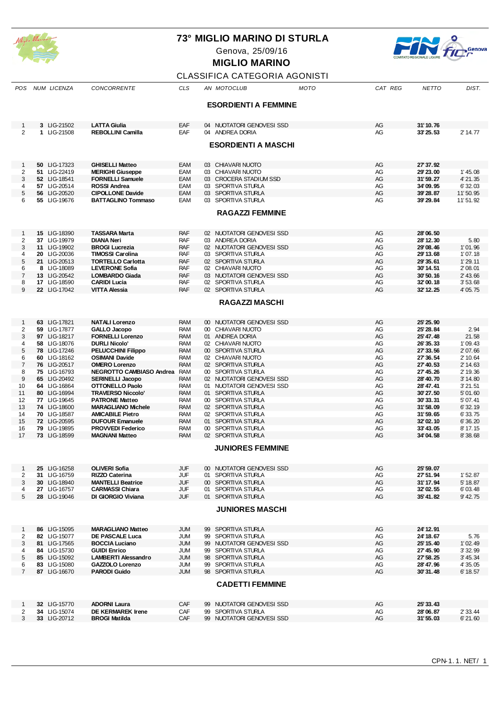

Genova, 25/09/16



# **MIGLIO MARINO**

## CLASSIFICA CATEGORIA AGONISTI

| POS                            | NUM LICENZA                  | CONCORRENTE                                       | <b>CLS</b>               | AN MOTOCLUB                                  | MOTO | CAT REG  | <b>NETTO</b>          | DIST.               |
|--------------------------------|------------------------------|---------------------------------------------------|--------------------------|----------------------------------------------|------|----------|-----------------------|---------------------|
|                                |                              |                                                   |                          |                                              |      |          |                       |                     |
|                                |                              |                                                   |                          | <b>ESORDIENTI A FEMMINE</b>                  |      |          |                       |                     |
|                                |                              |                                                   |                          |                                              |      |          |                       |                     |
|                                |                              |                                                   |                          |                                              |      | AG       |                       |                     |
| $\mathbf{1}$<br>$\overline{2}$ | 3 LIG-21502<br>1 LIG-21508   | <b>LATTA Giulia</b><br><b>REBOLLINI Camilla</b>   | EAF<br>EAF               | 04 NUOTATORI GENOVESI SSD<br>04 ANDREA DORIA |      | AG       | 31'10.76<br>33' 25.53 | 2' 14.77            |
|                                |                              |                                                   |                          |                                              |      |          |                       |                     |
|                                |                              |                                                   |                          | <b>ESORDIENTI A MASCHI</b>                   |      |          |                       |                     |
|                                |                              |                                                   |                          |                                              |      |          |                       |                     |
|                                |                              |                                                   |                          |                                              |      |          |                       |                     |
| 1                              | 50 LIG-17323                 | <b>GHISELLI Matteo</b>                            | EAM                      | 03 CHIAVARI NUOTO                            |      | AG       | 27' 37.92             |                     |
| $\overline{\mathbf{c}}$        | 51 LIG-22419                 | <b>MERIGHI Giuseppe</b>                           | EAM                      | 03 CHIAVARI NUOTO                            |      | AG       | 29' 23.00             | 1' 45.08            |
| 3                              | 52 LIG-18541                 | <b>FORNELLI Samuele</b>                           | EAM                      | 03 CROCERA STADIUM SSD                       |      | AG       | 31'59.27              | 4' 21.35            |
| 4                              | 57 LIG-20514                 | <b>ROSSI Andrea</b>                               | EAM                      | 03 SPORTIVA STURLA                           |      | AG       | 34'09.95              | 6' 32.03            |
| 5                              | 56 LIG-20520                 | <b>CIPOLLONE Davide</b>                           | EAM                      | 03 SPORTIVA STURLA                           |      | AG       | 39' 28.87             | 11'50.95            |
| 6                              | 55 LIG-19676                 | <b>BATTAGLINO Tommaso</b>                         | EAM                      | 03 SPORTIVA STURLA                           |      | AG       | 39' 29.84             | 11'51.92            |
|                                |                              |                                                   |                          | <b>RAGAZZI FEMMINE</b>                       |      |          |                       |                     |
|                                |                              |                                                   |                          |                                              |      |          |                       |                     |
|                                |                              |                                                   |                          |                                              |      |          |                       |                     |
| $\mathbf{1}$                   | 15 LIG-18390                 | <b>TASSARA Marta</b>                              | <b>RAF</b>               | 02 NUOTATORI GENOVESI SSD                    |      | AG       | 28'06.50              |                     |
| 2                              | 37 LIG-19979                 | <b>DIANA Neri</b>                                 | <b>RAF</b>               | 03 ANDREA DORIA                              |      | AG       | 28' 12.30             | 5.80                |
| 3                              | 11 LIG-19902                 | <b>BROGI Lucrezia</b>                             | <b>RAF</b>               | 02 NUOTATORI GENOVESI SSD                    |      | AG       | 29'08.46              | 1'01.96             |
| 4                              | 20 LIG-20036                 | <b>TIMOSSI Carolina</b>                           | <b>RAF</b>               | 03 SPORTIVA STURLA                           |      | AG       | 29' 13.68             | 1'07.18             |
| 5                              | 21 LIG-20513                 | <b>TORTELLO Carlotta</b>                          | <b>RAF</b>               | 02 SPORTIVA STURLA                           |      | AG       | 29'35.61              | 1'29.11             |
| 6                              | 8 LIG-18089                  | <b>LEVERONE Sofia</b>                             | <b>RAF</b>               | 02 CHIAVARI NUOTO                            |      | AG       | 30'14.51              | 2'08.01             |
| $\overline{7}$                 | 13 LIG-20542                 | <b>LOMBARDO Giada</b>                             | <b>RAF</b>               | 03 NUOTATORI GENOVESI SSD                    |      | AG       | 30' 50.16             | 2' 43.66            |
| 8                              | 17 LIG-18590                 | <b>CARIDI Lucia</b>                               | <b>RAF</b>               | 02 SPORTIVA STURLA                           |      | AG       | 32'00.18              | 3'53.68             |
| 9                              | 22 LIG-17042                 | <b>VITTA Alessia</b>                              | <b>RAF</b>               | 02 SPORTIVA STURLA                           |      | AG       | 32' 12.25             | 4' 05.75            |
|                                |                              |                                                   |                          |                                              |      |          |                       |                     |
|                                |                              |                                                   |                          | <b>RAGAZZI MASCHI</b>                        |      |          |                       |                     |
|                                |                              |                                                   |                          |                                              |      |          |                       |                     |
|                                |                              |                                                   |                          |                                              |      |          |                       |                     |
| 1                              | 63 LIG-17821                 | <b>NATALI Lorenzo</b>                             | <b>RAM</b>               | 00 NUOTATORI GENOVESI SSD                    |      | AG       | 25' 25.90             |                     |
| $\overline{c}$                 | 59 LIG-17877                 | <b>GALLO Jacopo</b>                               | <b>RAM</b>               | 00 CHIAVARI NUOTO                            |      | AG       | 25' 28.84             | 2.94                |
| 3                              | 97 LIG-18217                 | <b>FORNELLI Lorenzo</b>                           | <b>RAM</b>               | 01 ANDREA DORIA                              |      | AG       | 25' 47.48             | 21.58               |
| 4                              | 58 LIG-18076                 | <b>DURLI Nicolo'</b>                              | <b>RAM</b>               | 02 CHIAVARI NUOTO                            |      | AG       | 26' 35.33             | 1'09.43             |
| 5                              | 78 LIG-17246                 | <b>PELUCCHINI Filippo</b>                         | <b>RAM</b>               | 00 SPORTIVA STURLA                           |      | AG       | 27' 33.56             | 2' 07.66            |
| 6                              | 60 LIG-18162                 | <b>OSIMANI Davide</b>                             | <b>RAM</b>               | 02 CHIAVARI NUOTO                            |      | AG       | 27' 36.54             | 2' 10.64            |
| $\overline{7}$                 | 76 LIG-20517                 | <b>OMERO Lorenzo</b>                              | <b>RAM</b>               | 02 SPORTIVA STURLA                           |      | AG       | 27' 40.53             | 2' 14.63            |
| 8                              | 75 LIG-16793                 | NEGROTTO CAMBIASO Andrea                          | <b>RAM</b>               | 00 SPORTIVA STURLA                           |      | AG       | 27' 45.26             | 2' 19.36            |
| 9                              | 65 LIG-20492                 | <b>SERINELLI Jacopo</b>                           | <b>RAM</b>               | 02 NUOTATORI GENOVESI SSD                    |      | AG       | 28' 40.70             | 3' 14.80            |
| 10                             | 64 LIG-16864                 | <b>OTTONELLO Paolo</b>                            | <b>RAM</b>               | 01 NUOTATORI GENOVESI SSD                    |      | AG       | 28' 47.41             | 3'21.51             |
| 11                             | 80 LIG-16994                 | <b>TRAVERSO Niccolo'</b>                          | <b>RAM</b>               | 01 SPORTIVA STURLA                           |      | AG       | 30'27.50              | 5'01.60             |
| 12                             | 77 LIG-19645                 | <b>PATRONE Matteo</b>                             | <b>RAM</b>               | 00 SPORTIVA STURLA                           |      | AG       | 30'33.31              | 5'07.41             |
| 13                             | 74 LIG-18600                 | <b>MARAGLIANO Michele</b>                         | <b>RAM</b>               | 02 SPORTIVA STURLA                           |      | AG       | 31'58.09              | 6'32.19             |
| 14                             | 70 LIG-18587                 | <b>AMICABILE Pietro</b>                           | <b>RAM</b>               | 02 SPORTIVA STURLA                           |      | AG       | 31'59.65              | 6' 33.75            |
| 15                             | 72 LIG-20595                 | <b>DUFOUR Emanuele</b>                            | <b>RAM</b>               | 01 SPORTIVA STURLA<br>00 SPORTIVA STURLA     |      | AG       | 32'02.10              | 6'36.20             |
| 16<br>17                       | 79 LIG-19895<br>73 LIG-18599 | <b>PROVVEDI Federico</b><br><b>MAGNANI Matteo</b> | <b>RAM</b><br><b>RAM</b> |                                              |      | AG<br>AG | 33'43.05<br>34'04.58  | 8' 17.15<br>8'38.68 |
|                                |                              |                                                   |                          | 02 SPORTIVA STURLA                           |      |          |                       |                     |
|                                |                              |                                                   |                          | <b>JUNIORES FEMMINE</b>                      |      |          |                       |                     |
|                                |                              |                                                   |                          |                                              |      |          |                       |                     |
|                                |                              |                                                   |                          |                                              |      |          |                       |                     |
| $\mathbf{1}$                   | 25 LIG-16258                 | <b>OLIVERI Sofia</b>                              | <b>JUF</b>               | 00 NUOTATORI GENOVESI SSD                    |      | AG       | 25' 59.07             |                     |
| 2                              | 31 LIG-16759                 | <b>RIZZO Caterina</b>                             | JUF                      | 01 SPORTIVA STURLA                           |      | AG       | 27'51.94              | 1'52.87             |
| 3                              | 30 LIG-18940                 | <b>MANTELLI Beatrice</b>                          | <b>JUF</b>               | 00 SPORTIVA STURLA                           |      | AG       | 31'17.94              | 5' 18.87            |
| 4                              | 27 LIG-16757                 | <b>CARMASSI Chiara</b>                            | JUF                      | 01 SPORTIVA STURLA                           |      | AG       | 32'02.55              | 6'03.48             |
| 5                              | 28 LIG-19046                 | DI GIORGIO Viviana                                | <b>JUF</b>               | 01 SPORTIVA STURLA                           |      | AG       | 35' 41.82             | 9' 42.75            |
|                                |                              |                                                   |                          |                                              |      |          |                       |                     |
|                                |                              |                                                   |                          | <b>JUNIORES MASCHI</b>                       |      |          |                       |                     |
|                                |                              |                                                   |                          |                                              |      |          |                       |                     |
| $\mathbf{1}$                   | 86 LIG-15095                 | <b>MARAGLIANO Matteo</b>                          | JUM                      | 99 SPORTIVA STURLA                           |      | AG       | 24' 12.91             |                     |
| 2                              | 82 LIG-15077                 | DE PASCALE Luca                                   | JUM                      | 99 SPORTIVA STURLA                           |      | AG       | 24' 18.67             | 5.76                |
| 3                              | 81 LIG-17565                 | <b>BOCCIA Luciano</b>                             | JUM                      | 99 NUOTATORI GENOVESI SSD                    |      | AG       | 25' 15.40             | 1'02.49             |
| 4                              | 84 LIG-15730                 | <b>GUIDI Enrico</b>                               | JUM                      | 99 SPORTIVA STURLA                           |      | AG       | 27' 45.90             | 3' 32.99            |
| 5                              | 85 LIG-15092                 | <b>LAMBERTI Alessandro</b>                        | JUM                      | 98 SPORTIVA STURLA                           |      | AG       | 27' 58.25             | 3' 45.34            |
| 6                              | 83 LIG-15080                 | <b>GAZZOLO Lorenzo</b>                            | JUM                      | 99 SPORTIVA STURLA                           |      | AG       | 28' 47.96             | 4' 35.05            |
| $\overline{7}$                 | 87 LIG-16670                 | <b>PARODI Guido</b>                               | JUM                      | 98 SPORTIVA STURLA                           |      | AG       | 30'31.48              | 6' 18.57            |
|                                |                              |                                                   |                          |                                              |      |          |                       |                     |
|                                |                              |                                                   |                          | <b>CADETTI FEMMINE</b>                       |      |          |                       |                     |
|                                |                              |                                                   |                          |                                              |      |          |                       |                     |
|                                |                              |                                                   |                          |                                              |      |          |                       |                     |
| 1                              | 32 LIG-15770                 | <b>ADORNI Laura</b>                               | CAF                      | 99 NUOTATORI GENOVESI SSD                    |      | AG       | 25' 33.43             |                     |
| 2                              | 34 LIG-15074                 | <b>DE KERMAREK Irene</b>                          | CAF                      | 99 SPORTIVA STURLA                           |      | AG       | 28'06.87              | 2' 33.44            |
| 3                              | 33 LIG-20712                 | <b>BROGI Matilda</b>                              | <b>CAF</b>               | 99 NUOTATORI GENOVESI SSD                    |      | AG       | 31'55.03              | 6'21.60             |
|                                |                              |                                                   |                          |                                              |      |          |                       |                     |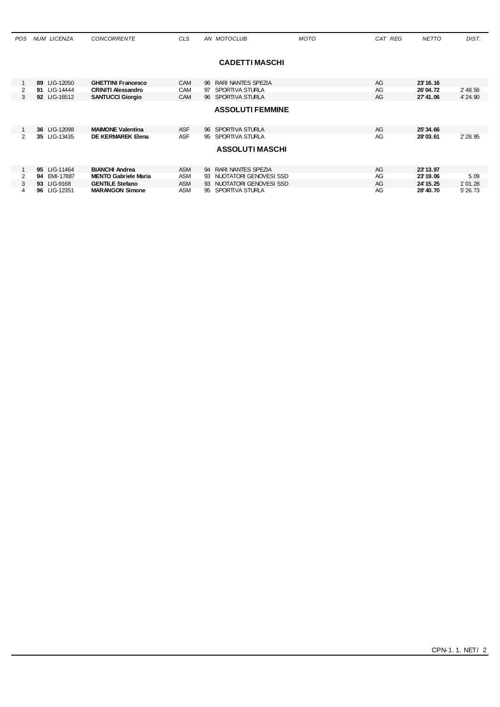| <b>POS</b> | NUM LICENZA  | <b>CONCORRENTE</b>          | <b>CLS</b> | AN MOTOCLUB               | <b>MOTO</b> | CAT REG | <b>NETTO</b> | DIST.    |
|------------|--------------|-----------------------------|------------|---------------------------|-------------|---------|--------------|----------|
|            |              |                             |            |                           |             |         |              |          |
|            |              |                             |            | <b>CADETTI MASCHI</b>     |             |         |              |          |
|            |              |                             |            |                           |             |         |              |          |
|            | 89 LIG-12050 | <b>GHETTINI Francesco</b>   | <b>CAM</b> | 96 RARI NANTES SPEZIA     |             | AG      | 23' 16, 16   |          |
| 2          | 91 LIG-14444 | <b>CRINITI Alessandro</b>   | <b>CAM</b> | 97 SPORTIVA STURLA        |             | AG      | 26'04.72     | 2' 48.56 |
| 3          | 92 LIG-16512 | <b>SANTUCCI Giorgio</b>     | <b>CAM</b> | 96 SPORTIVA STURLA        |             | AG      | 27'41.06     | 4' 24.90 |
|            |              |                             |            | <b>ASSOLUTI FEMMINE</b>   |             |         |              |          |
|            |              |                             |            |                           |             |         |              |          |
|            |              |                             |            |                           |             |         |              |          |
|            | 36 LIG-12098 | <b>MAIMONE Valentina</b>    | <b>ASF</b> | 96 SPORTIVA STURLA        |             | AG      | 25'34.66     |          |
| 2          | 35 LIG-13435 | <b>DE KERMAREK Elena</b>    | <b>ASF</b> | 95 SPORTIVA STURLA        |             | AG      | 28'03.61     | 2' 28.95 |
|            |              |                             |            | <b>ASSOLUTIMASCHI</b>     |             |         |              |          |
|            |              |                             |            |                           |             |         |              |          |
|            |              |                             |            |                           |             |         |              |          |
|            | 95 LIG-11464 | <b>BIANCHI Andrea</b>       | ASM        | 94 RARI NANTES SPEZIA     |             | AG      | 23' 13.97    |          |
| 2          | 94 EMI-17887 | <b>MENTO Gabriele Maria</b> | ASM        | 93 NUOTATORI GENOVESI SSD |             | AG      | 23' 19.06    | 5.09     |
| 3          | 93 LIG-9168  | <b>GENTILE Stefano</b>      | <b>ASM</b> | 93 NUOTATORI GENOVESI SSD |             | AG      | 24' 15.25    | 1'01.28  |
| 4          | 96 LIG-12351 | <b>MARANGON Simone</b>      | ASM        | 95 SPORTIVA STURLA        |             | AG      | 28' 40.70    | 5' 26.73 |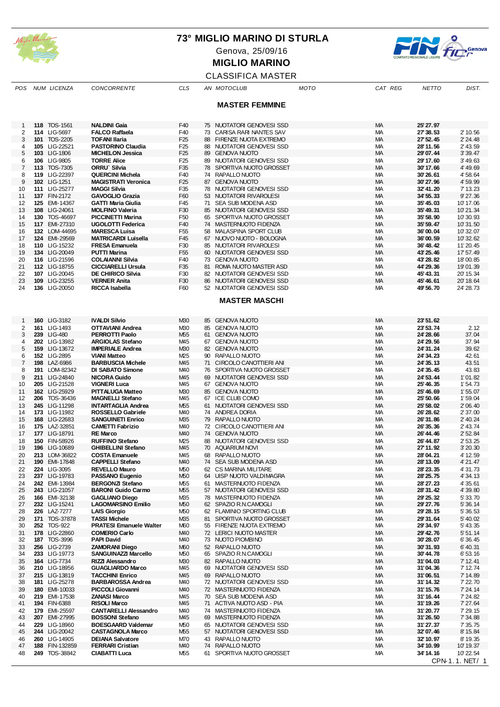

Genova, 25/09/16



**MIGLIO MARINO**

#### CLASSIFICA MASTER *POS NUM LICENZA CONCORRENTE CLS AN MOTOCLUB MOTO CAT REG NETTO DIST.*

|          |                                |                                                    |                                    |    | <b>MASTER FEMMINE</b>                               |                 |                                                |                      |
|----------|--------------------------------|----------------------------------------------------|------------------------------------|----|-----------------------------------------------------|-----------------|------------------------------------------------|----------------------|
| 1        | 118 TOS-1561                   | <b>NALDINI Gaia</b>                                | F40                                |    | 75 NUOTATORI GENOVESI SSD                           | МA              | 25' 27.97                                      |                      |
| 2        | 114 LIG-5697                   | <b>FALCO Raffaela</b>                              | F40                                |    | 73 CARISA RARI NANTES SAV                           | МA              | 27' 38.53                                      | 2' 10.56             |
| 3        | 101 TOS-2205                   | <b>TOFANI Ilaria</b>                               | F <sub>25</sub>                    | 88 | FIRENZE NUOTA EXTREMO                               | <b>MA</b>       | 27' 52.45                                      | 2' 24.48             |
| 4        | 105 LIG-22521                  | <b>PASTORINO Claudia</b>                           | F <sub>25</sub>                    |    | 88 NUOTATORI GENOVESI SSD                           | МA              | 28'11.56                                       | 2' 43.59             |
| 5        | 103 LIG-1806                   | <b>MICHELON Jessica</b>                            | F <sub>25</sub>                    | 89 | <b>GENOVA NUOTO</b>                                 | MA              | 29'07.44                                       | 3' 39.47             |
| 6        | 106 LIG-9805                   | <b>TORRE Alice</b>                                 | F <sub>25</sub>                    | 89 | NUOTATORI GENOVESI SSD                              | МA              | 29' 17.60                                      | 3' 49.63             |
| 7        | 113 TOS-7305                   | ORRU Silvia                                        | F35                                |    | 78 SPORTIVA NUOTO GROSSET                           | <b>MA</b>       | 30'17.66                                       | 4' 49.69             |
| 8        | 119 LIG-22397                  | <b>QUERCINI Michela</b>                            | F40                                |    | 74 RAPALLO NUOTO                                    | МA              | 30'26.61                                       | 4' 58.64             |
| 9        | 102 LIG-1251                   | <b>MAGISTRATI Veronica</b>                         | F <sub>25</sub>                    |    | 87 GENOVA NUOTO                                     | <b>MA</b>       | 30'27.96                                       | 4' 59.99             |
| 10       | 111 LIG-25277                  | <b>MAGGI Silvia</b>                                | F35                                | 78 | NUOTATORI GENOVESI SSD                              | МA              | 32' 41.20                                      | 7' 13.23             |
| 11       | 137 FIN-2172                   | <b>GAVOGLIO Grazia</b>                             | F60                                |    | 53 NUOTATORI RIVAROLESI                             | MA              | 34' 55.33                                      | 9' 27.36             |
| 12       | 125 EMI-14367                  | <b>GATTI Maria Giulia</b>                          | F45                                |    | 71 SEA SUB MODENA ASD                               | MA              | 35' 45.03<br>10'17.06                          |                      |
| 13       | 108 LIG-24061                  | <b>MOLFINO Valeria</b><br><b>PICCINETTI Marina</b> | F30                                |    | 85 NUOTATORI GENOVESI SSD                           | <b>MA</b>       | 10'21.34<br>35'49.31                           |                      |
| 14<br>15 | 130 TOS-46697<br>117 EMI-27310 | <b>UGOLOTTI Federica</b>                           | F <sub>50</sub><br>F40             |    | 65 SPORTIVA NUOTO GROSSET<br>74 MASTERNUOTO FIDENZA | МA<br><b>MA</b> | 10'30.93<br>35' 58.90<br>10'31.50<br>35' 59.47 |                      |
| 16       | 132 LOM-44695                  | <b>MARESCA Luisa</b>                               | F <sub>55</sub>                    |    | 58 MALASPINA SPORT CLUB                             | MA              | 10'32.07<br>36'00.04                           |                      |
| 17       | 124 EMI-29569                  | <b>MATRICARDI Luisella</b>                         | F45                                |    | 67 NUOVO NUOTO - BOLOGNA                            | <b>MA</b>       | 36'00.59<br>10'32.62                           |                      |
| 18       | 110 LIG-15232                  | <b>FRESA Emanuela</b>                              | F30                                |    | 85 NUOTATORI RIVAROLESI                             | МA              | 11' 20.45<br>36' 48.42                         |                      |
| 19       | 134 LIG-20049                  | <b>PUTTI Marina</b>                                | F <sub>55</sub>                    |    | 60 NUOTATORI GENOVESI SSD                           | <b>MA</b>       | 43' 25.46<br>17' 57.49                         |                      |
| 20       | 116 LIG-21596                  | <b>COLAIANNI Silvia</b>                            | F40                                | 73 | <b>GENOVA NUOTO</b>                                 | МA              | 43' 28.82<br>18'00.85                          |                      |
| 21       | 112 LIG-18755                  | <b>CICCIARELLI Ursula</b>                          | F35                                |    | 81 ROMA NUOTO MASTER ASD                            | MA              | 44' 29.36<br>19'01.39                          |                      |
| 22       | 107 LIG-20045                  | <b>DE CHIRICO Silvia</b>                           | F30                                |    | 82 NUOTATORI GENOVESI SSD                           | МA              | 45' 43.31<br>20' 15.34                         |                      |
| 23       | 109 LIG-23255                  | <b>VERNER Anita</b>                                | F30                                | 86 | NUOTATORI GENOVESI SSD                              | <b>MA</b>       | 45' 46.61<br>20' 18.64                         |                      |
| 24       | 136 LIG-20050                  | RICCA Isabella                                     | F60                                |    | 52 NUOTATORI GENOVESI SSD                           | МA              | 49' 56.70<br>24' 28.73                         |                      |
|          |                                |                                                    |                                    |    | <b>MASTER MASCHI</b>                                |                 |                                                |                      |
| 1        | 160 LIG-3182                   | <b>IVALDI Silvio</b>                               | M <sub>30</sub>                    | 85 | <b>GENOVA NUOTO</b>                                 | <b>MA</b>       | 23'51.62                                       |                      |
| 2        | 161 LIG-1493                   | <b>OTTAVIANI Andrea</b>                            | M30                                | 85 | <b>GENOVA NUOTO</b>                                 | МA              | 23' 53.74                                      | 2.12                 |
| 3        | 239 LIG-480                    | <b>PERROTTI Paolo</b>                              | M55                                | 61 | <b>GENOVA NUOTO</b>                                 | <b>MA</b>       | 24' 28.66                                      | 37.04                |
| 4        | 202 LIG-13982                  | <b>ARGIOLAS Stefano</b>                            | M45                                | 67 | <b>GENOVA NUOTO</b>                                 | МA              | 24' 29.56                                      | 37.94                |
| 5        | 159 LIG-13672                  | <b>IMPERIALE Andrea</b>                            | M <sub>30</sub>                    |    | 82 GENOVA NUOTO                                     | <b>MA</b>       | 24' 31.24                                      | 39.62                |
| 6<br>7   | 152 LIG-2895<br>198 LAZ-6986   | <b>VIANI Matteo</b><br><b>BARBUSCIA Michele</b>    | M <sub>25</sub><br>M <sub>45</sub> | 90 | RAPALLO NUOTO<br>71 CIRCOLO CANOTTIERI ANI          | МA<br><b>MA</b> | 24' 34.23<br>24' 35.13                         | 42.61<br>43.51       |
| 8        | 191 LOM-82342                  | <b>DI SABATO Simone</b>                            | M40                                | 76 | SPORTIVA NUOTO GROSSET                              | МA              | 24' 35.45                                      | 43.83                |
| 9        | 211 LIG-24840                  | <b>NICORA Guido</b>                                | M45                                | 69 | NUOTATORI GENOVESI SSD                              | MA              | 24' 53.44                                      | 1'01.82              |
| 10       | 205 LIG-21528                  | <b>VIGNERI Luca</b>                                | M45                                |    | 67 GENOVA NUOTO                                     | МA              | 25' 46.35                                      | 1'54.73              |
| 11       | 162 LIG-25929                  | <b>PITTALUGA Matteo</b>                            | M <sub>30</sub>                    |    | 85 GENOVA NUOTO                                     | <b>MA</b>       | 25' 46.69                                      | 1'55.07              |
| 12       | 206 TOS-36436                  | <b>MAGNELLI Stefano</b>                            | M45                                |    | 67 ICE CLUB COMO                                    | МA              | 25' 50.66                                      | 1'59.04              |
| 13       | 245 LIG-11298                  | <b>INTARTAGLIA Andrea</b>                          | M55                                |    | 61 NUOTATORI GENOVESI SSD                           | <b>MA</b>       | 25' 58.02                                      | 2' 06.40             |
| 14       | 173 LIG-11982                  | ROSSELLO Gabriele                                  | M40                                |    | 74 ANDREA DORIA                                     | МA              | 26' 28.62                                      | 2' 37.00             |
| 15       | 168 LIG-22683                  | <b>SANGUINETI Enrico</b>                           | M <sub>35</sub>                    |    | 79 RAPALLO NUOTO                                    | <b>MA</b>       | 26'31.86                                       | 2' 40.24             |
| 16       | 175 LAZ-32851                  | <b>CAMETTI Fabrizio</b>                            | M40                                |    | 72 CIRCOLO CANOTTIERI ANI                           | МA              | 26' 35.36                                      | 2' 43.74             |
| 17       | 177 LIG-18791                  | <b>RE Marco</b>                                    | M40                                |    | 74 GENOVA NUOTO                                     | <b>MA</b>       | 26' 44.46                                      | 2' 52.84             |
| 18       | 150 FIN-58926                  | <b>RUFFINO Stefano</b>                             | M25                                | 88 | NUOTATORI GENOVESI SSD                              | МA              | 26' 44.87                                      | 2' 53.25             |
| 19       | 196 LIG-10689                  | <b>GHIBELLINI Stefano</b>                          | M45                                |    | 70 AQUARIUM NOVI                                    | <b>MA</b>       | 27' 11.92                                      | 3' 20.30             |
| 20       | 213 LOM-36822                  | <b>COSTA Emanuele</b>                              | M45                                |    | 68 RAPALLO NUOTO                                    | MA              | 28'04.21                                       | 4' 12.59             |
| 21       | 190 EMI-17848                  | <b>CAPPELLI Stefano</b>                            | M <sub>40</sub>                    |    | 74 SEA SUB MODENA ASD                               | <b>MA</b>       | 28' 13.09                                      | 4' 21.47             |
| 22       | 224 LIG-3095<br>237 LIG-19783  | <b>REVELLO Mauro</b><br>PASSANO Eugenio            | M50                                |    | 62 CS MARINA MILITARE<br>64 UISP NUOTO VALDIMAGRA   | МA<br><b>MA</b> | 28' 23.35<br>28' 25.75                         | 4' 31.73<br>4' 34.13 |
| 23       | 242 EMI-13984                  | <b>BERGONZI Stefano</b>                            | M50                                |    |                                                     |                 |                                                |                      |
| 24<br>25 | 243 LIG-21057                  | <b>BARONI Guido Carmo</b>                          | M55<br>M55                         |    | 61 MASTERNUOTO FIDENZA<br>57 NUOTATORI GENOVESI SSD | МA<br>МA        | 28' 27.23<br>28' 31.42                         | 4' 35.61<br>4'39.80  |
| 26       | 166 EMI-32138                  | <b>GAGLIANO Diego</b>                              | M35                                | 78 | MASTERNUOTO FIDENZA                                 | МA              | 29' 25.32                                      | 5' 33.70             |
| 27       | 232 LIG-15241                  | <b>LAGOMARSINO Emilio</b>                          | M50                                |    | 62 SPAZIO R.N.CAMOGLI                               | МA              | 29' 27.76                                      | 5' 36.14             |
| 28       | 226 LAZ-7277                   | <b>LAIS Giorgio</b>                                | M50                                |    | 62 FLAMINIO SPORTING CLUB                           | МA              | 29' 28.15                                      | 5' 36.53             |
| 29       | 171 TOS-37878                  | <b>TASSI Michele</b>                               | M <sub>35</sub>                    |    | 81 SPORTIVA NUOTO GROSSET                           | МA              | 29'31.64                                       | 5' 40.02             |
| 30       | 252 TOS-922                    | <b>PRATESI Emanuele Walter</b>                     | <b>M60</b>                         | 55 | FIRENZE NUOTA EXTREMO                               | МA              | 29'34.97                                       | 5' 43.35             |
| 31       | 178 LIG-22860                  | <b>COMERIO Carlo</b>                               | M40                                |    | 72 LERICI NUOTO MASTER                              | <b>MA</b>       | 29' 42.76                                      | 5'51.14              |
| 32       | 187 TOS-3996                   | <b>PAPI David</b>                                  | M40                                |    | 73 NUOTO PIOMBINO                                   | МA              | 30'28.07                                       | 6'36.45              |
| 33       | 256 LIG-2739                   | <b>ZAMORANI Diego</b>                              | <b>M60</b>                         |    | 52 RAPALLO NUOTO                                    | МA              | 30'31.93                                       | 6' 40.31             |
| 34       | 233 LIG-19773                  | SANGUINAZZI Marcello                               | M50                                |    | 65 SPAZIO R.N.CAMOGLI                               | МA              | 30'44.78                                       | 6'53.16              |
| 35       | 164 LIG-7734                   | RIZZI Alessandro                                   | M30                                |    | 82 RAPALLO NUOTO                                    | МA              | 31'04.03                                       | 7' 12.41             |
| 36       | 210 LIG-18956                  | <b>GUAGLIARDO Marco</b>                            | M45                                | 69 | NUOTATORI GENOVESI SSD                              | МA              | 31'04.36                                       | 7' 12.74             |
| 37       | 215 LIG-13819<br>181 LIG-25278 | <b>TACCHINI Enrico</b><br><b>BARBAROSSA Andrea</b> | M45<br>M40                         |    | 69 RAPALLO NUOTO<br>72 NUOTATORI GENOVESI SSD       | МA<br>МA        | 31'06.51<br>31'14.32                           | 7' 14.89<br>7' 22.70 |
| 38<br>39 | 180 EMI-10033                  | PICCOLI Giovanni                                   | M40                                |    | 72 MASTERNUOTO FIDENZA                              | <b>MA</b>       | 31'15.76                                       | 7' 24.14             |
| 40       | 219 EMI-17538                  | <b>ZANASI Marco</b>                                | M45                                | 70 | SEA SUB MODENA ASD                                  | МA              | 31'16.44                                       | 7' 24.82             |
| 41       | 194 FIN-6388                   | <b>RISOLI Marco</b>                                | M45                                |    | 71 ACTIVA NUOTO ASD - PIA                           | MA              | 31'19.26                                       | 7' 27.64             |
| 42       | 179 EMI-25597                  | <b>CANTARELLI Alessandro</b>                       | M40                                |    | 74 MASTERNUOTO FIDENZA                              | МA              | 31'20.77                                       | 7' 29.15             |
| 43       | 207 EMI-27995                  | <b>BOSSONI Stefano</b>                             | M45                                | 69 | MASTERNUOTO FIDENZA                                 | МA              | 31'26.50                                       | 7' 34.88             |
| 44       | 229 LIG-18960                  | <b>BOESGAARD Valdemar</b>                          | M50                                |    | 65 NUOTATORI GENOVESI SSD                           | МA              | 31'27.37                                       | 7' 35.75             |
| 45       | 244 LIG-20042                  | <b>CASTAGNOLA Marco</b>                            | M55                                |    | 57 NUOTATORI GENOVESI SSD                           | МA              | 32'07.46                                       | 8' 15.84             |
| 46       | 260 LIG-14905                  | <b>DEIANA Salvatore</b>                            | M70                                |    | 43 RAPALLO NUOTO                                    | МA              | 32' 10.97                                      | 8'19.35              |
| 47       | 188 FIN-132859                 | <b>FERRARI Cristian</b>                            | M40                                |    | 74 RAPALLO NUOTO                                    | МA              | 34' 10.99<br>10' 19.37                         |                      |
| 48       | 249 TOS-38842                  | <b>CIABATTI Luca</b>                               | M55                                |    | 61 SPORTIVA NUOTO GROSSET                           | МA              | 34' 14.16                                      | 10'22.54             |
|          |                                |                                                    |                                    |    |                                                     |                 | CPN-1.1. NET/ 1                                |                      |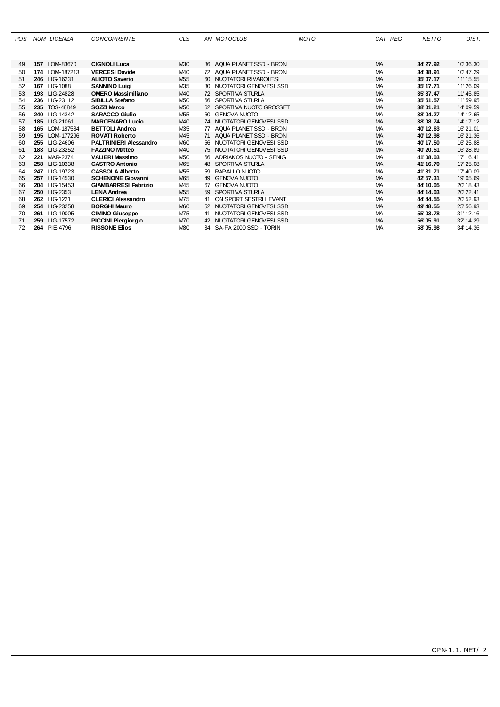| <b>POS</b> |     | <b>NUM LICENZA</b> | <b>CONCORRENTE</b>            | <b>CLS</b>      | AN MOTOCLUB               | <b>MOTO</b> | CAT REG   | <b>NETTO</b> | DIST.     |
|------------|-----|--------------------|-------------------------------|-----------------|---------------------------|-------------|-----------|--------------|-----------|
|            |     |                    |                               |                 |                           |             |           |              |           |
|            |     |                    |                               |                 |                           |             |           |              |           |
| 49         |     | 157 LOM-83670      | <b>CIGNOLI Luca</b>           | M <sub>30</sub> | 86 AQUA PLANET SSD - BRON |             | <b>MA</b> | 34' 27.92    | 10'36.30  |
| 50         |     | 174 LOM-187213     | <b>VERCESI Davide</b>         | M40             | 72 AQUA PLANET SSD - BRON |             | <b>MA</b> | 34'38.91     | 10' 47.29 |
| 51         |     | 246 LIG-16231      | <b>ALIOTO Saverio</b>         | M <sub>55</sub> | 60 NUOTATORI RIVAROLESI   |             | <b>MA</b> | 35'07.17     | 11' 15.55 |
| 52         |     | 167 LIG-1088       | <b>SANNINO Luigi</b>          | M35             | 80 NUOTATORI GENOVESI SSD |             | <b>MA</b> | 35' 17.71    | 11'26.09  |
| 53         |     | 193 LIG-24828      | <b>OMERO Massimiliano</b>     | M <sub>40</sub> | 72 SPORTIVA STURLA        |             | <b>MA</b> | 35' 37.47    | 11' 45.85 |
| 54         |     | 236 LIG-23112      | SIBILLA Stefano               | M50             | 66 SPORTIVA STURLA        |             | <b>MA</b> | 35' 51.57    | 11'59.95  |
| 55         |     | 235 TOS-48849      | SOZZI Marco                   | M50             | 62 SPORTIVA NUOTO GROSSET |             | <b>MA</b> | 38'01.21     | 14'09.59  |
| 56         |     | 240 LIG-14342      | <b>SARACCO Giulio</b>         | M <sub>55</sub> | 60 GENOVA NUOTO           |             | <b>MA</b> | 38'04.27     | 14' 12.65 |
| 57         |     | 185 LIG-21061      | <b>MARCENARO Lucio</b>        | M <sub>40</sub> | 74 NUOTATORI GENOVESI SSD |             | <b>MA</b> | 38'08.74     | 14' 17.12 |
| 58         |     | 165 LOM-187534     | <b>BETTOLI Andrea</b>         | M35             | 77 AQUA PLANET SSD - BRON |             | <b>MA</b> | 40' 12.63    | 16'21.01  |
| 59         |     | 195 LOM-177296     | <b>ROVATI Roberto</b>         | M45             | 71 AQUA PLANET SSD - BRON |             | <b>MA</b> | 40' 12.98    | 16'21.36  |
| 60         |     | 255 LIG-24606      | <b>PALTRINIERI Alessandro</b> | M60             | 56 NUOTATORI GENOVESI SSD |             | <b>MA</b> | 40' 17.50    | 16' 25.88 |
| 61         |     | 183 LIG-23252      | <b>FAZZINO Matteo</b>         | M40             | 75 NUOTATORI GENOVESI SSD |             | <b>MA</b> | 40'20.51     | 16'28.89  |
| 62         | 221 | MAR-2374           | <b>VALIERI Massimo</b>        | M50             | 66 ADRIAKOS NUOTO - SENIG |             | МA        | 41'08.03     | 17' 16.41 |
| 63         |     | 258 LIG-10338      | <b>CASTRO Antonio</b>         | M65             | 48 SPORTIVA STURLA        |             | <b>MA</b> | 41'16.70     | 17' 25.08 |
| 64         |     | 247 LIG-19723      | <b>CASSOLA Alberto</b>        | M55             | 59 RAPALLO NUOTO          |             | <b>MA</b> | 41'31.71     | 17' 40.09 |
| 65         |     | 257 LIG-14530      | <b>SCHENONE Giovanni</b>      | M65             | 49 GENOVA NUOTO           |             | MA        | 42' 57.31    | 19'05.69  |
| 66         |     | 204 LIG-15453      | <b>GIAMBARRESI Fabrizio</b>   | M45             | 67 GENOVA NUOTO           |             | MA        | 44' 10.05    | 20' 18.43 |
| 67         |     | 250 LIG-2353       | <b>LENA Andrea</b>            | M55             | 59 SPORTIVA STURLA        |             | <b>MA</b> | 44' 14.03    | 20' 22.41 |
| 68         |     | 262 LIG-1221       | <b>CLERICI Alessandro</b>     | M75             | 41 ON SPORT SESTRI LEVANT |             | <b>MA</b> | 44' 44.55    | 20' 52.93 |
| 69         |     | 254 LIG-23258      | <b>BORGHI Mauro</b>           | M60             | 52 NUOTATORI GENOVESI SSD |             | <b>MA</b> | 49' 48.55    | 25' 56.93 |
| 70         | 261 | LIG-19005          | <b>CIMINO Giuseppe</b>        | M75             | 41 NUOTATORI GENOVESI SSD |             | <b>MA</b> | 55'03.78     | 31' 12.16 |
| 71         | 259 | LIG-17572          | <b>PICCINI Piergiorgio</b>    | M70             | 42 NUOTATORI GENOVESI SSD |             | <b>MA</b> | 56'05.91     | 32' 14.29 |
| 72         |     | 264 PIE-4796       | <b>RISSONE Elios</b>          | M80             | 34 SA-FA 2000 SSD - TORIN |             | <b>MA</b> | 58'05.98     | 34' 14.36 |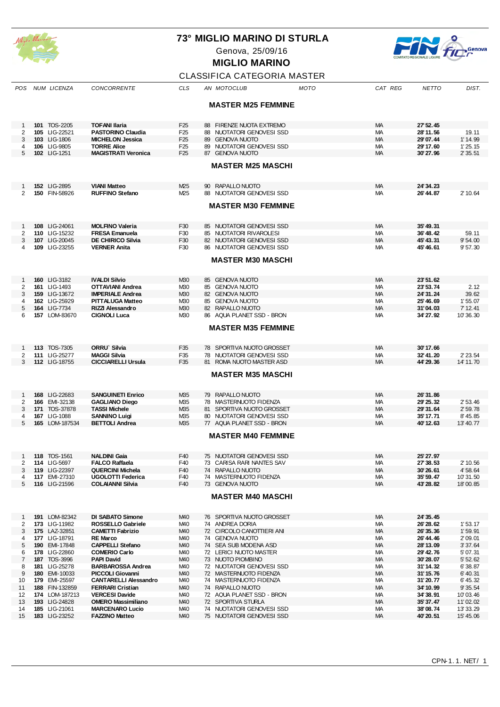

Genova, 25/09/16



**MIGLIO MARINO**

## CLASSIFICA CATEGORIA MASTER

| POS          | NUM LICENZA                    | <b>CONCORRENTE</b>                         | CLS                    | AN MOTOCLUB                                  | MOTO | CAT REG   | <b>NETTO</b>           | DIST.              |
|--------------|--------------------------------|--------------------------------------------|------------------------|----------------------------------------------|------|-----------|------------------------|--------------------|
|              |                                |                                            |                        |                                              |      |           |                        |                    |
|              |                                |                                            |                        | <b>MASTER M25 FEMMINE</b>                    |      |           |                        |                    |
|              |                                |                                            |                        |                                              |      |           |                        |                    |
| -1           | 101 TOS-2205                   | <b>TOFANI Ilaria</b>                       | F <sub>25</sub>        | 88 FIRENZE NUOTA EXTREMO                     |      | MA        | 27' 52.45              |                    |
| 2            | 105 LIG-22521                  | <b>PASTORINO Claudia</b>                   | F <sub>25</sub>        | 88 NUOTATORI GENOVESI SSD                    |      | МA        | 28'11.56               | 19.11              |
| 3            | 103 LIG-1806                   | <b>MICHELON Jessica</b>                    | F <sub>25</sub>        | 89 GENOVA NUOTO                              |      | МA        | 29'07.44               | 1' 14.99           |
| 4            | 106 LIG-9805                   | <b>TORRE Alice</b>                         | F <sub>25</sub>        | 89 NUOTATORI GENOVESI SSD                    |      | МA        | 29' 17.60              | 1'25.15            |
| 5            | 102 LIG-1251                   | <b>MAGISTRATI Veronica</b>                 | F <sub>25</sub>        | 87 GENOVA NUOTO                              |      | MA        | 30'27.96               | 2' 35.51           |
|              |                                |                                            |                        | <b>MASTER M25 MASCHI</b>                     |      |           |                        |                    |
|              |                                |                                            |                        |                                              |      |           |                        |                    |
|              |                                |                                            |                        |                                              |      |           |                        |                    |
|              | 152 LIG-2895                   | <b>VIANI Matteo</b>                        | M <sub>25</sub>        | 90 RAPALLO NUOTO                             |      | MA        | 24' 34.23              |                    |
| 2            | 150 FIN-58926                  | <b>RUFFINO Stefano</b>                     | M25                    | 88 NUOTATORI GENOVESI SSD                    |      | МA        | 26' 44.87              | 2' 10.64           |
|              |                                |                                            |                        |                                              |      |           |                        |                    |
|              |                                |                                            |                        | <b>MASTER M30 FEMMINE</b>                    |      |           |                        |                    |
|              |                                |                                            |                        |                                              |      |           |                        |                    |
| -1           | 108 LIG-24061                  | <b>MOLFINO Valeria</b>                     | F30                    | 85 NUOTATORI GENOVESI SSD                    |      | MA        | 35' 49.31              |                    |
| 2            | 110 LIG-15232                  | <b>FRESA Emanuela</b>                      | F30                    | 85 NUOTATORI RIVAROLESI                      |      | МA        | 36' 48.42              | 59.11              |
| 3            | 107 LIG-20045                  | <b>DE CHIRICO Silvia</b>                   | F30                    | 82 NUOTATORI GENOVESI SSD                    |      | <b>MA</b> | 45' 43.31              | 9'54.00            |
| 4            | 109 LIG-23255                  | <b>VERNER Anita</b>                        | F30                    | 86 NUOTATORI GENOVESI SSD                    |      | МA        | 45' 46.61              | 9' 57.30           |
|              |                                |                                            |                        | <b>MASTER M30 MASCHI</b>                     |      |           |                        |                    |
|              |                                |                                            |                        |                                              |      |           |                        |                    |
|              |                                |                                            |                        |                                              |      |           |                        |                    |
| $\mathbf{1}$ | 160 LIG-3182                   | <b>IVALDI Silvio</b>                       | M <sub>30</sub>        | 85 GENOVA NUOTO                              |      | MA        | 23' 51.62              |                    |
| 2            | 161 LIG-1493                   | OTTAVIANI Andrea                           | M <sub>30</sub>        | 85 GENOVA NUOTO                              |      | МA        | 23' 53.74              | 2.12               |
| 3            | 159 LIG-13672                  | <b>IMPERIALE Andrea</b>                    | M <sub>30</sub>        | 82 GENOVA NUOTO                              |      | MA        | 24' 31.24              | 39.62              |
| 4            | 162 LIG-25929                  | <b>PITTALUGA Matteo</b>                    | M30                    | 85 GENOVA NUOTO                              |      | МA        | 25' 46.69              | 1'55.07            |
| 5            | 164 LIG-7734                   | RIZZI Alessandro                           | M <sub>30</sub>        | 82 RAPALLO NUOTO                             |      | MA        | 31'04.03               | 7' 12.41           |
| 6            | 157 LOM-83670                  | <b>CIGNOLI Luca</b>                        | M <sub>30</sub>        | 86 AQUA PLANET SSD - BRON                    |      | МA        | 34' 27.92              | 10'36.30           |
|              |                                |                                            |                        | <b>MASTER M35 FEMMINE</b>                    |      |           |                        |                    |
|              |                                |                                            |                        |                                              |      |           |                        |                    |
|              |                                |                                            |                        |                                              |      |           |                        |                    |
| 1            | 113 TOS-7305                   | ORRU` Silvia                               | F35                    | 78 SPORTIVA NUOTO GROSSET                    |      | MA        | 30'17.66               |                    |
| 2            | 111 LIG-25277                  | <b>MAGGI Silvia</b>                        | F35                    | 78 NUOTATORI GENOVESI SSD                    |      | МA        | 32' 41.20              | 2' 23.54           |
| 3            | 112 LIG-18755                  | <b>CICCIARELLI Ursula</b>                  | F35                    | 81 ROMA NUOTO MASTER ASD                     |      | MA        | 44' 29.36              | 14' 11.70          |
|              |                                |                                            |                        | <b>MASTER M35 MASCHI</b>                     |      |           |                        |                    |
|              |                                |                                            |                        |                                              |      |           |                        |                    |
|              |                                |                                            |                        |                                              |      |           |                        |                    |
| 1            | 168 LIG-22683                  | <b>SANGUINETI Enrico</b>                   | M <sub>35</sub>        | 79 RAPALLO NUOTO                             |      | MA        | 26'31.86               |                    |
| 2            | 166 EMI-32138                  | <b>GAGLIANO Diego</b>                      | M35                    | 78 MASTERNUOTO FIDENZA                       |      | МA        | 29' 25.32              | 2' 53.46           |
| 3            | 171 TOS-37878                  | <b>TASSI Michele</b>                       | M <sub>35</sub>        | 81 SPORTIVA NUOTO GROSSET                    |      | <b>MA</b> | 29'31.64               | 2' 59.78           |
| 4            | 167 LIG-1088                   | <b>SANNINO Luigi</b>                       | M35                    | 80 NUOTATORI GENOVESI SSD                    |      | МA        | 35' 17.71              | 8' 45.85           |
| 5            | 165 LOM-187534                 | <b>BETTOLI Andrea</b>                      | M <sub>35</sub>        | 77 AQUA PLANET SSD - BRON                    |      | МA        | 40' 12.63              | 13' 40.77          |
|              |                                |                                            |                        | <b>MASTER M40 FEMMINE</b>                    |      |           |                        |                    |
|              |                                |                                            |                        |                                              |      |           |                        |                    |
|              |                                |                                            |                        |                                              |      |           |                        |                    |
| 1            | 118 TOS-1561                   | <b>NALDINI Gaia</b>                        | F40                    | 75 NUOTATORI GENOVESI SSD                    |      | MA        | 25' 27.97              |                    |
| 2            | 114 LIG-5697                   | <b>FALCO Raffaela</b>                      | F40                    | 73 CARISA RARI NANTES SAV                    |      | МA        | 27' 38.53              | 2' 10.56           |
| 3            | 119 LIG-22397                  | <b>QUERCINI Michela</b>                    | F40                    | 74 RAPALLO NUOTO                             |      | МA        | 30'26.61               | 4' 58.64           |
| 4            | 117 EMI-27310                  | <b>UGOLOTTI Federica</b>                   | F40                    | 74 MASTERNUOTO FIDENZA                       |      | МA        | 35' 59.47              | 10'31.50           |
| 5            | 116 LIG-21596                  | <b>COLAIANNI Silvia</b>                    | F40                    | 73 GENOVA NUOTO                              |      | MA        | 43' 28.82              | 18'00.85           |
|              |                                |                                            |                        | <b>MASTER M40 MASCHI</b>                     |      |           |                        |                    |
|              |                                |                                            |                        |                                              |      |           |                        |                    |
|              |                                |                                            |                        |                                              |      |           |                        |                    |
| $\mathbf{1}$ | 191 LOM-82342                  | DI SABATO Simone                           | M <sub>40</sub>        | 76 SPORTIVA NUOTO GROSSET                    |      | МA        | 24' 35.45              |                    |
| 2            | 173 LIG-11982                  | <b>ROSSELLO Gabriele</b>                   | M40                    | 74 ANDREA DORIA                              |      | МA        | 26' 28.62              | 1'53.17            |
| 3            | 175 LAZ-32851                  | <b>CAMETTI Fabrizio</b>                    | M40                    | 72 CIRCOLO CANOTTIERI ANI<br>74 GENOVA NUOTO |      | <b>MA</b> | 26' 35.36              | 1'59.91            |
| 4<br>5       | 177 LIG-18791<br>190 EMI-17848 | <b>RE Marco</b><br><b>CAPPELLI Stefano</b> | M40<br>M <sub>40</sub> | 74 SEA SUB MODENA ASD                        |      | МA<br>МA  | 26' 44.46<br>28' 13.09 | 2'09.01<br>3'37.64 |
| 6            | 178 LIG-22860                  | <b>COMERIO Carlo</b>                       | M40                    | 72 LERICI NUOTO MASTER                       |      | МA        | 29' 42.76              | 5' 07.31           |
| 7            | 187 TOS-3996                   | <b>PAPI David</b>                          | M <sub>40</sub>        | 73 NUOTO PIOMBINO                            |      | <b>MA</b> | 30'28.07               | 5'52.62            |
| 8            | 181 LIG-25278                  | <b>BARBAROSSA Andrea</b>                   | M40                    | 72 NUOTATORI GENOVESI SSD                    |      | МA        | 31'14.32               | 6'38.87            |
| 9            | 180 EMI-10033                  | PICCOLI Giovanni                           | M <sub>40</sub>        | 72 MASTERNUOTO FIDENZA                       |      | МA        | 31'15.76               | 6' 40.31           |
| 10           | 179 EMI-25597                  | <b>CANTARELLI Alessandro</b>               | M40                    | 74 MASTERNUOTO FIDENZA                       |      | МA        | 31'20.77               | 6' 45.32           |
| 11           | 188 FIN-132859                 | <b>FERRARI Cristian</b>                    | M <sub>40</sub>        | 74 RAPALLO NUOTO                             |      | МA        | 34' 10.99              | 9' 35.54           |
| 12           | 174 LOM-187213                 | <b>VERCESI Davide</b>                      | M40                    | 72 AQUA PLANET SSD - BRON                    |      | МA        | 34'38.91               | 10'03.46           |
| 13           | 193 LIG-24828                  | <b>OMERO Massimiliano</b>                  | M40                    | 72 SPORTIVA STURLA                           |      | МA        | 35' 37.47              | 11'02.02           |
| 14           | 185 LIG-21061                  | <b>MARCENARO Lucio</b>                     | M40                    | 74 NUOTATORI GENOVESI SSD                    |      | МA        | 38'08.74               | 13' 33.29          |
| 15           | 183 LIG-23252                  | <b>FAZZINO Matteo</b>                      | M40                    | 75 NUOTATORI GENOVESI SSD                    |      | МA        | 40'20.51               | 15' 45.06          |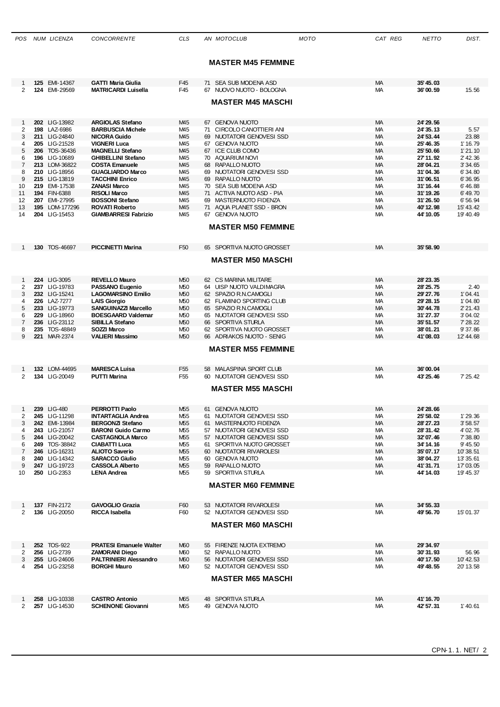|                         | POS NUM LICENZA                | <b>CONCORRENTE</b>                                   | CLS                                | AN MOTOCLUB                                            | MOTO | CAT REG                | <b>NETTO</b>           | DIST.                 |
|-------------------------|--------------------------------|------------------------------------------------------|------------------------------------|--------------------------------------------------------|------|------------------------|------------------------|-----------------------|
|                         |                                |                                                      |                                    |                                                        |      |                        |                        |                       |
|                         |                                |                                                      |                                    | <b>MASTER M45 FEMMINE</b>                              |      |                        |                        |                       |
|                         |                                |                                                      |                                    |                                                        |      |                        |                        |                       |
| 1                       | 125 EMI-14367                  | <b>GATTI Maria Giulia</b>                            | F45                                | 71 SEA SUB MODENA ASD                                  |      | <b>MA</b>              | 35' 45.03              |                       |
| 2                       | 124 EMI-29569                  | <b>MATRICARDI Luisella</b>                           | F45                                | 67 NUOVO NUOTO - BOLOGNA                               |      | <b>MA</b>              | 36'00.59               | 15.56                 |
|                         |                                |                                                      |                                    | <b>MASTER M45 MASCHI</b>                               |      |                        |                        |                       |
|                         |                                |                                                      |                                    |                                                        |      |                        |                        |                       |
| $\mathbf 1$<br>2        | 202 LIG-13982<br>198 LAZ-6986  | <b>ARGIOLAS Stefano</b><br><b>BARBUSCIA Michele</b>  | M <sub>45</sub><br>M45             | 67 GENOVA NUOTO<br>71 CIRCOLO CANOTTIERI ANI           |      | <b>MA</b><br><b>MA</b> | 24' 29.56<br>24' 35.13 | 5.57                  |
| 3                       | 211 LIG-24840                  | <b>NICORA Guido</b>                                  | M <sub>45</sub>                    | 69 NUOTATORI GENOVESI SSD                              |      | <b>MA</b>              | 24' 53.44              | 23.88                 |
| 4                       | 205 LIG-21528                  | <b>VIGNERI Luca</b>                                  | M <sub>45</sub>                    | 67 GENOVA NUOTO                                        |      | МA                     | 25' 46.35              | 1' 16.79              |
| 5                       | 206 TOS-36436                  | <b>MAGNELLI Stefano</b>                              | M <sub>45</sub>                    | 67 ICE CLUB COMO                                       |      | <b>MA</b>              | 25' 50.66              | 1'21.10               |
| 6<br>7                  | 196 LIG-10689<br>213 LOM-36822 | <b>GHIBELLINI Stefano</b><br><b>COSTA Emanuele</b>   | M <sub>45</sub><br>M45             | 70 AQUARIUM NOVI<br>68 RAPALLO NUOTO                   |      | МA<br><b>MA</b>        | 27' 11.92<br>28'04.21  | 2' 42.36<br>3' 34.65  |
| 8                       | 210 LIG-18956                  | <b>GUAGLIARDO Marco</b>                              | M <sub>45</sub>                    | 69 NUOTATORI GENOVESI SSD                              |      | <b>MA</b>              | 31'04.36               | 6'34.80               |
| 9                       | 215 LIG-13819                  | <b>TACCHINI Enrico</b>                               | M <sub>45</sub>                    | 69 RAPALLO NUOTO                                       |      | <b>MA</b>              | 31'06.51               | 6' 36.95              |
| 10                      | 219 EMI-17538                  | <b>ZANASI Marco</b>                                  | M <sub>45</sub>                    | 70 SEA SUB MODENA ASD                                  |      | МA                     | 31'16.44               | 6' 46.88              |
| 11<br>$12 \overline{ }$ | 194 FIN-6388<br>207 EMI-27995  | <b>RISOLI Marco</b><br><b>BOSSONI Stefano</b>        | M <sub>45</sub><br>M <sub>45</sub> | 71 ACTIVA NUOTO ASD - PIA<br>MASTERNUOTO FIDENZA<br>69 |      | <b>MA</b><br><b>MA</b> | 31'19.26<br>31'26.50   | 6' 49.70<br>6' 56.94  |
| 13                      | 195 LOM-177296                 | <b>ROVATI Roberto</b>                                | M <sub>45</sub>                    | 71 AQUA PLANET SSD - BRON                              |      | <b>MA</b>              | 40'12.98               | 15' 43.42             |
| 14                      | 204 LIG-15453                  | <b>GIAMBARRESI Fabrizio</b>                          | M <sub>45</sub>                    | 67 GENOVA NUOTO                                        |      | МA                     | 44' 10.05              | 19' 40.49             |
|                         |                                |                                                      |                                    | <b>MASTER M50 FEMMINE</b>                              |      |                        |                        |                       |
|                         |                                |                                                      |                                    |                                                        |      |                        |                        |                       |
|                         | 130 TOS-46697                  | <b>PICCINETTI Marina</b>                             | F <sub>50</sub>                    | 65 SPORTIVA NUOTO GROSSET                              |      | <b>MA</b>              | 35' 58.90              |                       |
|                         |                                |                                                      |                                    | <b>MASTER M50 MASCHI</b>                               |      |                        |                        |                       |
|                         |                                |                                                      |                                    |                                                        |      |                        |                        |                       |
|                         |                                |                                                      |                                    |                                                        |      |                        |                        |                       |
| $\mathbf{1}$<br>2       | 224 LIG-3095<br>237 LIG-19783  | <b>REVELLO Mauro</b><br><b>PASSANO Eugenio</b>       | M50<br>M50                         | 62 CS MARINA MILITARE<br>64 UISP NUOTO VALDIMAGRA      |      | MA<br>МA               | 28' 23.35<br>28' 25.75 | 2.40                  |
| 3                       | 232 LIG-15241                  | <b>LAGOMARSINO Emilio</b>                            | M50                                | 62 SPAZIO R.N.CAMOGLI                                  |      | <b>MA</b>              | 29' 27.76              | 1'04.41               |
| 4                       | 226 LAZ-7277                   | <b>LAIS Giorgio</b>                                  | M50                                | 62 FLAMINIO SPORTING CLUB                              |      | МA                     | 29' 28.15              | 1'04.80               |
| 5                       | 233 LIG-19773                  | <b>SANGUINAZZI Marcello</b>                          | M50                                | 65 SPAZIO R.N.CAMOGLI                                  |      | <b>MA</b>              | 30'44.78               | 2' 21.43              |
| 6<br>7                  | 229 LIG-18960<br>236 LIG-23112 | <b>BOESGAARD Valdemar</b><br>SIBILLA Stefano         | M50<br>M50                         | 65 NUOTATORI GENOVESI SSD<br>66 SPORTIVA STURLA        |      | МA<br><b>MA</b>        | 31'27.37<br>35' 51.57  | 3'04.02<br>7' 28.22   |
| 8                       | 235 TOS-48849                  | SOZZI Marco                                          | M50                                | 62 SPORTIVA NUOTO GROSSET                              |      | <b>MA</b>              | 38'01.21               | 9'37.86               |
| 9                       | 221 MAR-2374                   | <b>VALIERI Massimo</b>                               | M50                                | 66 ADRIAKOS NUOTO - SENIG                              |      | <b>MA</b>              | 41'08.03               | 12' 44.68             |
|                         |                                |                                                      |                                    | <b>MASTER M55 FEMMINE</b>                              |      |                        |                        |                       |
|                         |                                |                                                      |                                    |                                                        |      |                        |                        |                       |
|                         | 132 LOM-44695                  | <b>MARESCA Luisa</b>                                 | F <sub>55</sub>                    | 58 MALASPINA SPORT CLUB                                |      | <b>MA</b>              | 36'00.04               |                       |
| 2                       | 134 LIG-20049                  | <b>PUTTI Marina</b>                                  | F <sub>55</sub>                    | 60 NUOTATORI GENOVESI SSD                              |      | MA.                    | 43' 25.46              | 7' 25.42              |
|                         |                                |                                                      |                                    | <b>MASTER M55 MASCHI</b>                               |      |                        |                        |                       |
|                         |                                |                                                      |                                    |                                                        |      |                        |                        |                       |
| $\mathbf{1}$            | 239 LIG-480                    | PERROTTI Paolo                                       | M55                                | 61 GENOVA NUOTO                                        |      | МA                     | 24' 28.66              |                       |
| 2                       | 245 LIG-11298                  | <b>INTARTAGLIA Andrea</b>                            | M <sub>55</sub>                    | 61 NUOTATORI GENOVESI SSD                              |      | МA                     | 25' 58.02              | 1'29.36               |
| 3                       | 242 EMI-13984                  | <b>BERGONZI Stefano</b>                              | M <sub>55</sub>                    | 61 MASTERNUOTO FIDENZA                                 |      | MA                     | 28' 27.23              | 3'58.57               |
| 4<br>5                  | 243 LIG-21057<br>244 LIG-20042 | <b>BARONI Guido Carmo</b><br><b>CASTAGNOLA Marco</b> | M55<br>M <sub>55</sub>             | 57 NUOTATORI GENOVESI SSD<br>57 NUOTATORI GENOVESI SSD |      | МA<br>MA               | 28'31.42<br>32'07.46   | 4' 02.76<br>7' 38.80  |
| 6                       | 249 TOS-38842                  | <b>CIABATTI Luca</b>                                 | M55                                | 61 SPORTIVA NUOTO GROSSET                              |      | МA                     | 34' 14.16              | 9' 45.50              |
| 7                       | 246 LIG-16231                  | <b>ALIOTO Saverio</b>                                | M <sub>55</sub>                    | 60 NUOTATORI RIVAROLESI                                |      | MA                     | 35'07.17               | 10'38.51              |
| 8                       | 240 LIG-14342                  | <b>SARACCO Giulio</b>                                | M55                                | 60 GENOVA NUOTO                                        |      | МA                     | 38'04.27               | 13' 35.61             |
| 9<br>10                 | 247 LIG-19723<br>250 LIG-2353  | <b>CASSOLA Alberto</b><br><b>LENA Andrea</b>         | M55<br>M55                         | 59 RAPALLO NUOTO<br>59 SPORTIVA STURLA                 |      | МA<br>МA               | 41'31.71<br>44' 14.03  | 17'03.05<br>19' 45.37 |
|                         |                                |                                                      |                                    |                                                        |      |                        |                        |                       |
|                         |                                |                                                      |                                    | <b>MASTER M60 FEMMINE</b>                              |      |                        |                        |                       |
|                         |                                |                                                      |                                    |                                                        |      |                        |                        |                       |
| 1                       | 137 FIN-2172                   | <b>GAVOGLIO Grazia</b>                               | F60                                | 53 NUOTATORI RIVAROLESI                                |      | <b>MA</b>              | 34' 55.33              |                       |
| 2                       | 136 LIG-20050                  | <b>RICCA Isabella</b>                                | F60                                | 52 NUOTATORI GENOVESI SSD                              |      | МA                     | 49' 56.70              | 15'01.37              |
|                         |                                |                                                      |                                    | <b>MASTER M60 MASCHI</b>                               |      |                        |                        |                       |
|                         |                                |                                                      |                                    |                                                        |      |                        |                        |                       |
| $\mathbf{1}$            | 252 TOS-922                    | <b>PRATESI Emanuele Walter</b>                       | M60                                | 55 FIRENZE NUOTA EXTREMO                               |      | MA                     | 29'34.97               |                       |
| 2                       | 256 LIG-2739                   | <b>ZAMORANI Diego</b>                                | M60                                | 52 RAPALLO NUOTO                                       |      | МA                     | 30'31.93               | 56.96                 |
| 3                       | 255 LIG-24606                  | <b>PALTRINIERI Alessandro</b>                        | <b>M60</b>                         | 56 NUOTATORI GENOVESI SSD                              |      | <b>MA</b>              | 40' 17.50              | 10' 42.53             |
| 4                       | 254 LIG-23258                  | <b>BORGHI Mauro</b>                                  | M60                                | 52 NUOTATORI GENOVESI SSD                              |      | МA                     | 49' 48.55              | 20' 13.58             |
|                         |                                |                                                      |                                    | <b>MASTER M65 MASCHI</b>                               |      |                        |                        |                       |
|                         |                                |                                                      |                                    |                                                        |      |                        |                        |                       |
| -1                      | 258 LIG-10338                  | <b>CASTRO Antonio</b>                                | M65                                | 48 SPORTIVA STURLA                                     |      | МA                     | 41' 16.70              |                       |
| 2                       | 257 LIG-14530                  | <b>SCHENONE Giovanni</b>                             | M65                                | 49 GENOVA NUOTO                                        |      | MA.                    | 42' 57.31              | 1'40.61               |
|                         |                                |                                                      |                                    |                                                        |      |                        |                        |                       |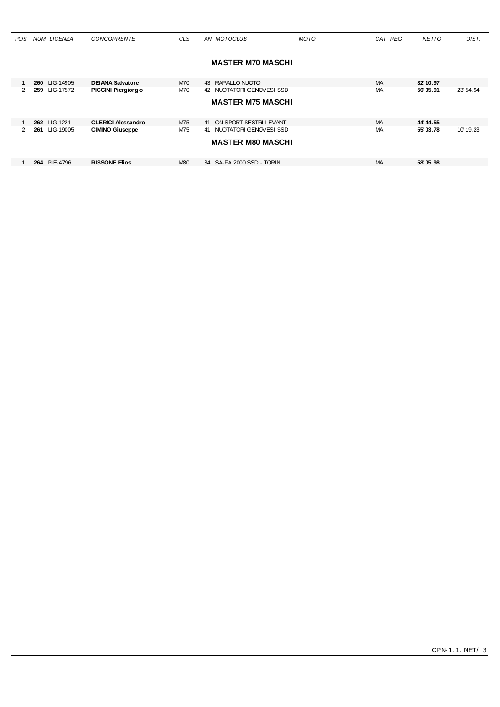| POS.          | <b>NUM LICENZA</b> | <b>CONCORRENTE</b>         | <b>CLS</b> | AN MOTOCLUB               | <b>MOTO</b> | CAT REG   | <b>NETTO</b> | DIST.     |
|---------------|--------------------|----------------------------|------------|---------------------------|-------------|-----------|--------------|-----------|
|               |                    |                            |            |                           |             |           |              |           |
|               |                    |                            |            | <b>MASTER M70 MASCHI</b>  |             |           |              |           |
|               | 260 LIG-14905      | <b>DEIANA Salvatore</b>    | M70        | 43 RAPALLO NUOTO          |             | <b>MA</b> | 32' 10.97    |           |
| $\mathcal{P}$ | LIG-17572<br>259   | <b>PICCINI Piergiorgio</b> | M70        | 42 NUOTATORI GENOVESI SSD |             | МA        | 56'05.91     | 23' 54.94 |
|               |                    |                            |            | <b>MASTER M75 MASCHI</b>  |             |           |              |           |
|               |                    |                            |            |                           |             |           |              |           |
|               | 262 LIG-1221       | <b>CLERICI Alessandro</b>  | M75        | 41 ON SPORT SESTRI LEVANT |             | <b>MA</b> | 44' 44.55    |           |
| $\mathcal{P}$ | LIG-19005<br>261   | <b>CIMINO Giuseppe</b>     | M75        | 41 NUOTATORI GENOVESI SSD |             | МA        | 55'03.78     | 10'19.23  |
|               |                    |                            |            | <b>MASTER M80 MASCHI</b>  |             |           |              |           |
|               |                    |                            |            |                           |             |           |              |           |
|               | 264 PIE-4796       | <b>RISSONE Elios</b>       | <b>M80</b> | 34 SA-FA 2000 SSD - TORIN |             | <b>MA</b> | 58'05.98     |           |
|               |                    |                            |            |                           |             |           |              |           |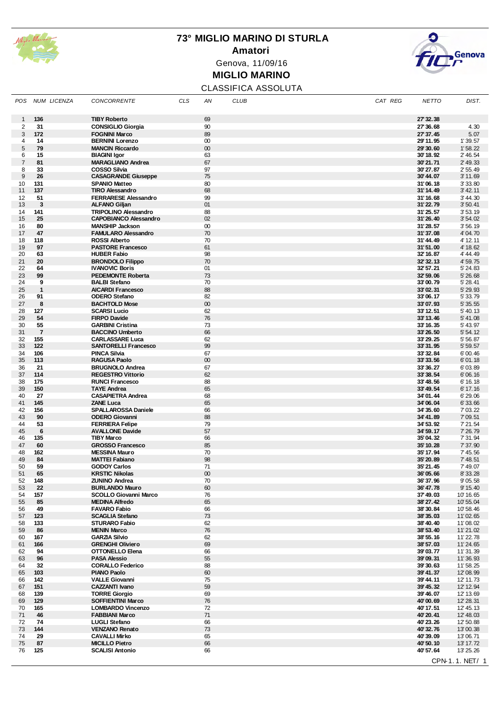

## **73° MIGLIO MARINO DI STURLA Amatori** Genova, 11/09/16 **MIGLIO MARINO**



### CLASSIFICA ASSOLUTA

| POS            | NUM LICENZA          | <b>CONCORRENTE</b>                                   | <b>CLS</b> | ΑN           | <b>CLUB</b> | CAT REG | <b>NETTO</b>           | DIST.                  |
|----------------|----------------------|------------------------------------------------------|------------|--------------|-------------|---------|------------------------|------------------------|
| $\mathbf{1}$   | 136                  | <b>TIBY Roberto</b>                                  |            | 69           |             |         | 27' 32.38              |                        |
| $\overline{2}$ | 31                   | <b>CONSIGLIO Giorgia</b>                             |            | 90           |             |         | 27' 36.68              | 4.30                   |
| 3              | 172                  | <b>FOGNINI Marco</b>                                 |            | 89           |             |         | 27' 37.45              | 5.07                   |
| 4              | 14                   | <b>BERNINI Lorenzo</b>                               |            | $00\,$       |             |         | 29'11.95               | 1'39.57                |
| $\sqrt{5}$     | 79                   | <b>MANCIN Riccardo</b>                               |            | 00           |             |         | 29'30.60               | 1'58.22                |
| 6              | 15                   | <b>BIAGINI Igor</b>                                  |            | 63           |             |         | 30'18.92               | 2' 46.54               |
| $\overline{7}$ | 81                   | <b>MARAGLIANO Andrea</b>                             |            | 67           |             |         | 30'21.71               | 2' 49.33               |
| 8              | 33                   | <b>COSSO Silvia</b>                                  |            | 97           |             |         | 30'27.87               | 2' 55.49               |
| 9              | 26                   | <b>CASAGRANDE Giuseppe</b>                           |            | 75           |             |         | 30'44.07               | 3' 11.69               |
| 10<br>11       | 131<br>137           | <b>SPANIO Matteo</b><br><b>TIRO Alessandro</b>       |            | 80<br>68     |             |         | 31'06.18<br>31'14.49   | 3' 33.80<br>3' 42.11   |
| 12             | 51                   | <b>FERRARESE Alessandro</b>                          |            | 99           |             |         | 31'16.68               | 3' 44.30               |
| 13             | 3                    | <b>ALFANO Giljan</b>                                 |            | 01           |             |         | 31'22.79               | 3' 50.41               |
| 14             | 141                  | <b>TRIPOLINO Alessandro</b>                          |            | 88           |             |         | 31'25.57               | 3' 53.19               |
| 15             | 25                   | <b>CAPOBIANCO Alessandro</b>                         |            | 02           |             |         | 31'26.40               | 3' 54.02               |
| 16             | 80                   | <b>MANSHIP Jackson</b>                               |            | $00\,$       |             |         | 31'28.57               | 3' 56.19               |
| 17             | 47                   | <b>FAMULARO Alessandro</b>                           |            | 70           |             |         | 31'37.08               | 4' 04.70               |
| 18             | 118                  | <b>ROSSI Alberto</b>                                 |            | 70           |             |         | 31'44.49               | 4' 12.11               |
| 19             | 97                   | <b>PASTORE Francesco</b>                             |            | 61           |             |         | 31'51.00               | 4' 18.62               |
| 20<br>21       | 63<br>20             | <b>HUBER Fabio</b><br><b>BRONDOLO Filippo</b>        |            | 98<br>70     |             |         | 32' 16.87<br>32' 32.13 | 4' 44.49<br>4' 59.75   |
| 22             | 64                   | <b>IVANOVIC Boris</b>                                |            | 01           |             |         | 32' 57.21              | 5' 24.83               |
| 23             | 99                   | <b>PEDEMONTE Roberta</b>                             |            | 73           |             |         | 32' 59.06              | 5' 26.68               |
| 24             | 9                    | <b>BALBI</b> Stefano                                 |            | 70           |             |         | 33'00.79               | 5' 28.41               |
| 25             | $\mathbf{1}$         | <b>AICARDI Francesco</b>                             |            | 88           |             |         | 33'02.31               | 5' 29.93               |
| 26             | 91                   | <b>ODERO Stefano</b>                                 |            | 82           |             |         | 33'06.17               | 5' 33.79               |
| 27             | 8                    | <b>BACHTOLD Mose</b>                                 |            | 00           |             |         | 33'07.93               | 5' 35.55               |
| 28             | 127                  | <b>SCARSI Lucio</b>                                  |            | 62           |             |         | 33' 12.51              | 5' 40.13               |
| 29<br>30       | 54                   | <b>FIRPO Davide</b><br><b>GARBINI Cristina</b>       |            | 76           |             |         | 33' 13.46              | 5' 41.08               |
| 31             | 55<br>$\overline{7}$ | <b>BACCINO Umberto</b>                               |            | 73<br>66     |             |         | 33' 16.35<br>33' 26.50 | 5' 43.97<br>5' 54.12   |
| 32             | 155                  | <b>CARLASSARE Luca</b>                               |            | 62           |             |         | 33' 29.25              | 5' 56.87               |
| 33             | 122                  | <b>SANTORELLI Francesco</b>                          |            | 99           |             |         | 33'31.95               | 5' 59.57               |
| 34             | 106                  | <b>PINCA Silvia</b>                                  |            | 67           |             |         | 33' 32.84              | 6'00.46                |
| 35             | 113                  | <b>RAGUSA Paolo</b>                                  |            | $00\,$       |             |         | 33' 33.56              | 6'01.18                |
| 36             | 21                   | <b>BRUGNOLO Andrea</b>                               |            | 67           |             |         | 33' 36.27              | 6'03.89                |
| 37             | 114                  | <b>REGESTRO Vittorio</b>                             |            | 62           |             |         | 33'38.54               | 6'06.16                |
| 38             | 175                  | <b>RUNCI Francesco</b>                               |            | 88           |             |         | 33' 48.56              | 6' 16.18               |
| 39             | 150                  | <b>TAYE Andrea</b>                                   |            | 65           |             |         | 33' 49.54              | 6' 17.16               |
| 40<br>41       | 27<br>145            | <b>CASAPIETRA Andrea</b><br><b>ZANE Luca</b>         |            | 68<br>65     |             |         | 34'01.44               | 6' 29.06               |
| 42             | 156                  | <b>SPALLAROSSA Daniele</b>                           |            | 66           |             |         | 34'06.04<br>34' 35.60  | 6'33.66<br>7' 03.22    |
| 43             | 90                   | <b>ODERO Giovanni</b>                                |            | 88           |             |         | 34' 41.89              | 7'09.51                |
| 44             | 53                   | <b>FERRIERA Felipe</b>                               |            | 79           |             |         | 34' 53.92              | 7' 21.54               |
| 45             | 6                    | <b>AVALLONE Davide</b>                               |            | 57           |             |         | 34' 59.17              | 7' 26.79               |
| 46             | 135                  | <b>TIBY Marco</b>                                    |            | 66           |             |         | 35'04.32               | 7'31.94                |
| 47             | 60                   | <b>GROSSO Francesco</b>                              |            | 85           |             |         | 35' 10.28              | 7'37.90                |
| 48             | 162                  | <b>MESSINA Mauro</b>                                 |            | 70           |             |         | 35' 17.94              | 7' 45.56               |
| 49             | 84                   | <b>MATTEI Fabiano</b>                                |            | 98           |             |         | 35' 20.89              | 7' 48.51               |
| 50             | 59                   | <b>GODOY Carlos</b>                                  |            | 71           |             |         | 35' 21.45              | 7' 49.07               |
| 51<br>52       | 65<br>148            | <b>KRSTIC Nikolas</b><br><b>ZUNINO Andrea</b>        |            | $00\,$<br>70 |             |         | 36'05.66<br>36'37.96   | 8' 33.28<br>9' 05.58   |
| 53             | 22                   | <b>BURLANDO Mauro</b>                                |            | 60           |             |         | 36' 47.78              | 9' 15.40               |
| 54             | 157                  | <b>SCOLLO Giovanni Marco</b>                         |            | 76           |             |         | 37'49.03               | 10'16.65               |
| 55             | 85                   | <b>MEDINA Alfredo</b>                                |            | 65           |             |         | 38' 27.42              | 10'55.04               |
| 56             | 49                   | <b>FAVARO Fabio</b>                                  |            | 66           |             |         | 38'30.84               | 10'58.46               |
| 57             | 123                  | <b>SCAGLIA Stefano</b>                               |            | 73           |             |         | 38'35.03               | 11'02.65               |
| 58             | 133                  | <b>STURARO Fabio</b>                                 |            | 62           |             |         | 38' 40.40              | 11'08.02               |
| 59             | 86                   | <b>MENIN Marco</b>                                   |            | 76           |             |         | 38' 53.40              | 11'21.02               |
| 60<br>61       | 167<br>166           | <b>GARZIA Silvio</b><br><b>GRENGHI Oliviero</b>      |            | 62<br>69     |             |         | 38' 55.16<br>38'57.03  | 11' 22.78<br>11'24.65  |
| 62             | 94                   | <b>OTTONELLO Elena</b>                               |            | 66           |             |         | 39'03.77               | 11'31.39               |
| 63             | 96                   | <b>PASA Alessio</b>                                  |            | 55           |             |         | 39'09.31               | 11'36.93               |
| 64             | 32                   | <b>CORALLO Federico</b>                              |            | 88           |             |         | 39' 30.63              | 11'58.25               |
| 65             | 103                  | <b>PIANO Paolo</b>                                   |            | 60           |             |         | 39' 41.37              | 12'08.99               |
| 66             | 142                  | <b>VALLE Giovanni</b>                                |            | 75           |             |         | 39'44.11               | 12' 11.73              |
| 67             | 151                  | <b>CAZZANTI Ivano</b>                                |            | 59           |             |         | 39' 45.32              | 12' 12.94              |
| 68             | 139                  | <b>TORRE Giorgio</b>                                 |            | 69           |             |         | 39' 46.07              | 12' 13.69              |
| 69<br>70       | 129<br>165           | <b>SOFFIENTINI Marco</b><br><b>LOMBARDO Vincenzo</b> |            | 76<br>72     |             |         | 40'00.69<br>40' 17.51  | 12' 28.31<br>12' 45.13 |
| 71             | 46                   | <b>FABBIANI Marco</b>                                |            | 71           |             |         | 40'20.41               | 12' 48.03              |
| 72             | 74                   | <b>LUGLI Stefano</b>                                 |            | 66           |             |         | 40'23.26               | 12' 50.88              |
| 73             | 144                  | <b>VENZANO Renato</b>                                |            | 73           |             |         | 40'32.76               | 13'00.38               |
| 74             | 29                   | <b>CAVALLI Mirko</b>                                 |            | 65           |             |         | 40'39.09               | 13'06.71               |
| 75             | 87                   | <b>MICILLO Pietro</b>                                |            | 66           |             |         | 40'50.10               | 13' 17.72              |
| 76             | 125                  | <b>SCALISI Antonio</b>                               |            | 66           |             |         | 40' 57.64              | 13' 25.26              |
|                |                      |                                                      |            |              |             |         |                        | CPN-1.1. NET/ 1        |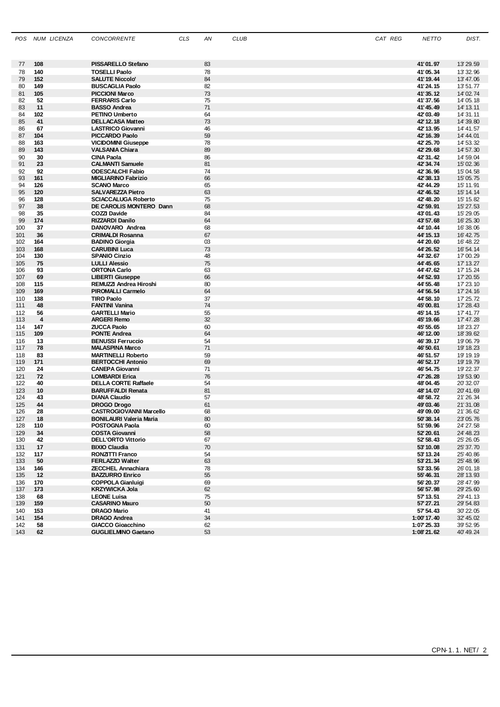| POS        | NUM LICENZA | <b>CONCORRENTE</b>                                    | <b>CLS</b> | ΑN       | <b>CLUB</b> | CAT REG | <b>NETTO</b>           | DIST.                   |
|------------|-------------|-------------------------------------------------------|------------|----------|-------------|---------|------------------------|-------------------------|
|            |             |                                                       |            |          |             |         |                        |                         |
|            |             |                                                       |            |          |             |         |                        |                         |
| 77         | 108         | <b>PISSARELLO Stefano</b>                             |            | 83       |             |         | 41'01.97               | 13' 29.59               |
| 78<br>79   | 140<br>152  | <b>TOSELLI Paolo</b><br><b>SALUTE Niccolo'</b>        |            | 78<br>84 |             |         | 41'05.34<br>41' 19.44  | 13' 32.96<br>13' 47.06  |
| 80         | 149         | <b>BUSCAGLIA Paolo</b>                                |            | 82       |             |         | 41'24.15               | 13'51.77                |
| 81         | 105         | <b>PICCIONI Marco</b>                                 |            | 73       |             |         | 41'35.12               | 14' 02.74               |
| 82         | 52          | <b>FERRARIS Carlo</b>                                 |            | 75       |             |         | 41'37.56               | 14' 05.18               |
| 83         | 11          | <b>BASSO Andrea</b>                                   |            | 71       |             |         | 41' 45.49              | 14' 13.11               |
| 84<br>85   | 102<br>41   | <b>PETINO Umberto</b><br><b>DELLACASA Matteo</b>      |            | 64<br>73 |             |         | 42'03.49<br>42' 12.18  | 14' 31.11<br>14' 39.80  |
| 86         | 67          | <b>LASTRICO Giovanni</b>                              |            | 46       |             |         | 42' 13.95              | 14' 41.57               |
| 87         | 104         | <b>PICCARDO Paolo</b>                                 |            | 59       |             |         | 42' 16.39              | 14' 44.01               |
| 88         | 163         | <b>VICIDOMINI Giuseppe</b>                            |            | 78       |             |         | 42' 25.70              | 14' 53.32               |
| 89         | 143         | <b>VALSANIA Chiara</b>                                |            | 89       |             |         | 42' 29.68              | 14' 57.30               |
| 90<br>91   | 30<br>23    | <b>CINA Paola</b><br><b>CALMANTI Samuele</b>          |            | 86<br>81 |             |         | 42' 31.42<br>42' 34.74 | 14' 59.04<br>15' 02.36  |
| 92         | 92          | <b>ODESCALCHI Fabio</b>                               |            | 74       |             |         | 42' 36.96              | 15' 04.58               |
| 93         | 161         | <b>MIGLIARINO Fabrizio</b>                            |            | 66       |             |         | 42' 38.13              | 15' 05.75               |
| 94         | 126         | <b>SCANO Marco</b>                                    |            | 65       |             |         | 42' 44.29              | 15' 11.91               |
| 95         | 120         | <b>SALVAREZZA Pietro</b>                              |            | 63       |             |         | 42' 46.52              | 15' 14.14               |
| 96<br>97   | 128<br>38   | <b>SCIACCALUGA Roberto</b><br>DE CAROLIS MONTERO Dann |            | 75<br>68 |             |         | 42' 48.20<br>42' 59.91 | 15' 15.82<br>15' 27.53  |
| 98         | 35          | COZZI Davide                                          |            | 84       |             |         | 43'01.43               | 15' 29.05               |
| 99         | 174         | <b>RIZZARDI Danilo</b>                                |            | 64       |             |         | 43' 57.68              | 16' 25, 30              |
| 100        | 37          | DANOVARO Andrea                                       |            | 68       |             |         | 44' 10.44              | 16'38.06                |
| 101        | 36          | <b>CRIMALDI Rosanna</b>                               |            | 67       |             |         | 44' 15.13              | 16' 42.75               |
| 102<br>103 | 164<br>168  | <b>BADINO Giorgia</b><br><b>CARUBINI Luca</b>         |            | 03<br>73 |             |         | 44' 20.60<br>44' 26.52 | 16' 48.22<br>16' 54.14  |
| 104        | 130         | <b>SPANIO Cinzio</b>                                  |            | 48       |             |         | 44' 32.67              | 17'00.29                |
| 105        | 75          | <b>LULLI Alessio</b>                                  |            | 75       |             |         | 44' 45.65              | 17' 13.27               |
| 106        | 93          | <b>ORTONA Carlo</b>                                   |            | 63       |             |         | 44' 47.62              | 17' 15.24               |
| 107        | 69          | <b>LIBERTI Giuseppe</b>                               |            | 66       |             |         | 44' 52.93              | 17' 20.55               |
| 108<br>109 | 115<br>169  | REMUZZI Andrea Hiroshi<br><b>PIROMALLI Carmelo</b>    |            | 80<br>64 |             |         | 44' 55.48<br>44' 56.54 | 17' 23.10<br>17' 24.16  |
| 110        | 138         | <b>TIRO Paolo</b>                                     |            | 37       |             |         | 44' 58.10              | 17' 25.72               |
| 111        | 48          | <b>FANTINI Vanina</b>                                 |            | 74       |             |         | 45'00.81               | 17' 28.43               |
| 112        | 56          | <b>GARTELLI Mario</b>                                 |            | 55       |             |         | 45' 14.15              | 17' 41.77               |
| 113        | 4           | <b>ARGERI Remo</b>                                    |            | 32       |             |         | 45' 19.66              | 17' 47.28<br>18' 23.27  |
| 114<br>115 | 147<br>109  | <b>ZUCCA Paolo</b><br><b>PONTE Andrea</b>             |            | 60<br>64 |             |         | 45' 55.65<br>46' 12.00 | 18'39.62                |
| 116        | 13          | <b>BENUSSI Ferruccio</b>                              |            | 54       |             |         | 46' 39.17              | 19'06.79                |
| 117        | 78          | <b>MALASPINA Marco</b>                                |            | 71       |             |         | 46' 50.61              | 19' 18.23               |
| 118        | 83          | <b>MARTINELLI Roberto</b>                             |            | 59       |             |         | 46' 51.57              | 19' 19.19               |
| 119<br>120 | 171<br>24   | <b>BERTOCCHI Antonio</b><br><b>CANEPA Giovanni</b>    |            | 69<br>71 |             |         | 46' 52.17<br>46' 54.75 | 19' 19, 79<br>19' 22.37 |
| 121        | 72          | <b>LOMBARDI Erica</b>                                 |            | 76       |             |         | 47' 26.28              | 19' 53.90               |
| 122        | 40          | <b>DELLA CORTE Raffaele</b>                           |            | 54       |             |         | 48'04.45               | 20' 32.07               |
| 123        | 10          | <b>BARUFFALDI Renata</b>                              |            | 81       |             |         | 48' 14.07              | 20' 41.69               |
| 124        | 43          | <b>DIANA Claudio</b>                                  |            | 57       |             |         | 48' 58.72              | 21'26.34                |
| 125        | 44<br>28    | <b>DROGO Drogo</b><br><b>CASTROGIOVANNI Marcello</b>  |            | 61<br>68 |             |         | 49'03.46<br>49'09.00   | 21'31.08                |
| 126<br>127 | 18          | <b>BONILAURI Valeria Maria</b>                        |            | 80       |             |         | 50'38.14               | 21' 36.62<br>23'05.76   |
| 128        | 110         | POSTOGNA Paola                                        |            | 60       |             |         | 51'59.96               | 24' 27.58               |
| 129        | 34          | <b>COSTA Giovanni</b>                                 |            | 58       |             |         | 52' 20.61              | 24' 48.23               |
| 130        | 42          | <b>DELL'ORTO Vittorio</b>                             |            | 67       |             |         | 52' 58.43              | 25' 26.05               |
| 131        | 17          | <b>BIXIO Claudia</b>                                  |            | 70       |             |         | 53' 10.08              | 25' 37.70               |
| 132<br>133 | 117<br>50   | RONZITTI Franco<br><b>FERLAZZO Walter</b>             |            | 54<br>63 |             |         | 53' 13.24<br>53' 21.34 | 25' 40.86<br>25' 48.96  |
| 134        | 146         | <b>ZECCHEL Annachiara</b>                             |            | 78       |             |         | 53' 33.56              | 26'01.18                |
| 135        | -12         | <b>BAZZURRO Enrico</b>                                |            | 55       |             |         | 55' 46.31              | 28' 13.93               |
| 136        | 170         | <b>COPPOLA Gianluigi</b>                              |            | 69       |             |         | 56' 20.37              | 28' 47.99               |
| 137<br>138 | 173         | <b>KRZYWICKA Jola</b><br><b>LEONE Luisa</b>           |            | 62<br>75 |             |         | 56' 57.98<br>57' 13.51 | 29' 25.60               |
| 139        | 68<br>159   | <b>CASARINO Mauro</b>                                 |            | 50       |             |         | 57' 27.21              | 29' 41.13<br>29' 54.83  |
| 140        | 153         | <b>DRAGO Mario</b>                                    |            | 41       |             |         | 57' 54.43              | 30'22.05                |
| 141        | 154         | <b>DRAGO Andrea</b>                                   |            | 34       |             |         | 1:00' 17.40            | 32' 45.02               |
| 142        | 58          | <b>GIACCO Gioacchino</b>                              |            | 62       |             |         | 1:07' 25.33            | 39' 52.95               |
| 143        | 62          | <b>GUGLIELMINO Gaetano</b>                            |            | 53       |             |         | 1:08'21.62             | 40' 49.24               |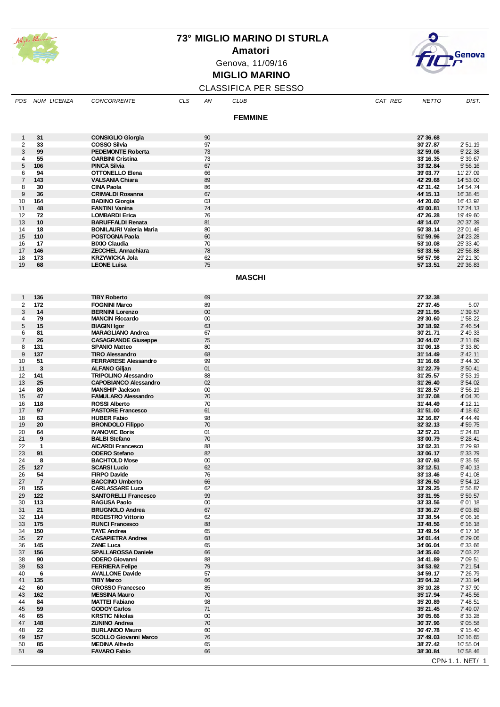

**Amatori**

Genova, 11/09/16

## **MIGLIO MARINO**



#### CLASSIFICA PER SESSO

| <b>POS</b>                              | NUM LICENZA          | <b>CONCORRENTE</b>                                     | <b>CLS</b> | ΑN           | <b>CLUB</b>    | CAT REG | <b>NETTO</b>           | DIST.                  |
|-----------------------------------------|----------------------|--------------------------------------------------------|------------|--------------|----------------|---------|------------------------|------------------------|
|                                         |                      |                                                        |            |              | <b>FEMMINE</b> |         |                        |                        |
|                                         |                      |                                                        |            |              |                |         |                        |                        |
| $\mathbf{1}$<br>$\overline{\mathbf{c}}$ | 31<br>33             | <b>CONSIGLIO Giorgia</b><br><b>COSSO Silvia</b>        |            | 90<br>97     |                |         | 27' 36.68<br>30'27.87  | 2' 51.19               |
| 3                                       | 99                   | <b>PEDEMONTE Roberta</b>                               |            | 73           |                |         | 32' 59.06              | 5' 22.38               |
| 4                                       | 55                   | <b>GARBINI Cristina</b>                                |            | 73           |                |         | 33' 16.35              | 5'39.67                |
| 5<br>6                                  | 106<br>94            | <b>PINCA Silvia</b><br><b>OTTONELLO Elena</b>          |            | 67<br>66     |                |         | 33' 32.84<br>39'03.77  | 5'56.16<br>11'27.09    |
| $\overline{7}$                          | 143                  | <b>VALSANIA Chiara</b>                                 |            | 89           |                |         | 42' 29.68              | 14' 53.00              |
| 8                                       | 30                   | <b>CINA Paola</b>                                      |            | 86           |                |         | 42' 31.42              | 14' 54.74              |
| 9                                       | 36                   | <b>CRIMALDI Rosanna</b>                                |            | 67           |                |         | 44' 15.13              | 16' 38.45              |
| 10<br>11                                | 164<br>48            | <b>BADINO Giorgia</b><br><b>FANTINI Vanina</b>         |            | 03<br>74     |                |         | 44' 20.60<br>45'00.81  | 16' 43.92<br>17' 24.13 |
| 12                                      | 72                   | <b>LOMBARDI Erica</b>                                  |            | 76           |                |         | 47' 26.28              | 19' 49.60              |
| 13                                      | 10                   | <b>BARUFFALDI Renata</b>                               |            | 81           |                |         | 48' 14.07              | 20'37.39               |
| 14<br>15                                | 18<br>110            | <b>BONILAURI Valeria Maria</b><br>POSTOGNA Paola       |            | 80<br>60     |                |         | 50'38.14               | 23'01.46<br>24' 23.28  |
| 16                                      | 17                   | <b>BIXIO Claudia</b>                                   |            | 70           |                |         | 51'59.96<br>53' 10.08  | 25' 33.40              |
| 17                                      | 146                  | <b>ZECCHEL Annachiara</b>                              |            | 78           |                |         | 53' 33.56              | 25' 56.88              |
| 18                                      | 173                  | <b>KRZYWICKA Jola</b>                                  |            | 62           |                |         | 56' 57.98              | 29' 21.30              |
| 19                                      | 68                   | <b>LEONE Luisa</b>                                     |            | 75           |                |         | 57' 13.51              | 29' 36.83              |
|                                         |                      |                                                        |            |              | <b>MASCHI</b>  |         |                        |                        |
| $\mathbf{1}$                            | 136                  | <b>TIBY Roberto</b>                                    |            | 69           |                |         | 27' 32.38              |                        |
| 2                                       | 172                  | <b>FOGNINI Marco</b>                                   |            | 89           |                |         | 27' 37.45              | 5.07                   |
| 3                                       | 14                   | <b>BERNINI Lorenzo</b>                                 |            | 00           |                |         | 29'11.95               | 1'39.57                |
| 4<br>5                                  | 79<br>15             | <b>MANCIN Riccardo</b><br><b>BIAGINI Igor</b>          |            | $00\,$<br>63 |                |         | 29' 30.60<br>30'18.92  | 1'58.22<br>2' 46.54    |
| 6                                       | 81                   | <b>MARAGLIANO Andrea</b>                               |            | 67           |                |         | 30'21.71               | 2' 49.33               |
| $\overline{7}$                          | 26                   | <b>CASAGRANDE Giuseppe</b>                             |            | 75           |                |         | 30'44.07               | 3' 11.69               |
| 8<br>9                                  | 131<br>137           | <b>SPANIO Matteo</b><br><b>TIRO Alessandro</b>         |            | 80<br>68     |                |         | 31'06.18<br>31'14.49   | 3' 33.80<br>3' 42.11   |
| 10                                      | 51                   | <b>FERRARESE Alessandro</b>                            |            | 99           |                |         | 31'16.68               | 3' 44.30               |
| 11                                      | 3                    | <b>ALFANO Giljan</b>                                   |            | 01           |                |         | 31'22.79               | 3' 50.41               |
| 12                                      | 141                  | <b>TRIPOLINO Alessandro</b>                            |            | 88           |                |         | 31'25.57               | 3' 53.19               |
| 13<br>14                                | 25<br>80             | <b>CAPOBIANCO Alessandro</b><br><b>MANSHIP Jackson</b> |            | 02<br>$00\,$ |                |         | 31'26.40<br>31'28.57   | 3' 54.02<br>3' 56.19   |
| 15                                      | 47                   | <b>FAMULARO Alessandro</b>                             |            | 70           |                |         | 31'37.08               | 4' 04.70               |
| 16                                      | 118                  | <b>ROSSI Alberto</b>                                   |            | 70           |                |         | 31'44.49               | 4' 12.11               |
| 17                                      | 97                   | <b>PASTORE Francesco</b>                               |            | 61           |                |         | 31'51.00               | 4' 18.62               |
| 18<br>19                                | 63<br>20             | <b>HUBER Fabio</b><br><b>BRONDOLO Filippo</b>          |            | 98<br>70     |                |         | 32' 16.87<br>32' 32.13 | 4' 44.49<br>4' 59.75   |
| 20                                      | 64                   | <b>IVANOVIC Boris</b>                                  |            | 01           |                |         | 32' 57.21              | 5' 24.83               |
| 21                                      | 9                    | <b>BALBI Stefano</b>                                   |            | 70           |                |         | 33'00.79               | 5' 28.41               |
| 22<br>23                                | $\mathbf{1}$<br>91   | <b>AICARDI Francesco</b><br><b>ODERO Stefano</b>       |            | 88<br>82     |                |         | 33'02.31<br>33'06.17   | 5' 29.93<br>5' 33.79   |
| 24                                      | 8                    | <b>BACHTOLD Mose</b>                                   |            | $00\,$       |                |         | 33'07.93               | 5'35.55                |
| 25                                      | 127                  | <b>SCARSI Lucio</b>                                    |            | 62           |                |         | 33'12.51               | 5' 40.13               |
| 26<br>27                                | 54<br>$\overline{7}$ | <b>FIRPO Davide</b>                                    |            | 76<br>66     |                |         | 33' 13.46              | 5' 41.08               |
| 28                                      | 155                  | <b>BACCINO Umberto</b><br><b>CARLASSARE Luca</b>       |            | 62           |                |         | 33'26.50<br>33'29.25   | 5' 54.12<br>5' 56.87   |
| 29                                      | 122                  | <b>SANTORELLI Francesco</b>                            |            | 99           |                |         | 33'31.95               | 5'59.57                |
| 30                                      | 113                  | <b>RAGUSA Paolo</b>                                    |            | $00\,$       |                |         | 33' 33.56              | 6'01.18                |
| 31<br>32                                | 21<br>114            | <b>BRUGNOLO Andrea</b><br><b>REGESTRO Vittorio</b>     |            | 67<br>62     |                |         | 33'36.27<br>33' 38.54  | 6'03.89<br>6'06.16     |
| 33                                      | 175                  | <b>RUNCI Francesco</b>                                 |            | 88           |                |         | 33'48.56               | 6' 16.18               |
| 34                                      | 150                  | <b>TAYE Andrea</b>                                     |            | 65           |                |         | 33'49.54               | 6' 17.16               |
| 35                                      | 27                   | <b>CASAPIETRA Andrea</b><br><b>ZANE Luca</b>           |            | 68           |                |         | 34'01.44               | 6' 29.06               |
| 36<br>37                                | 145<br>156           | <b>SPALLAROSSA Daniele</b>                             |            | 65<br>66     |                |         | 34'06.04<br>34' 35.60  | 6'33.66<br>7' 03.22    |
| 38                                      | 90                   | <b>ODERO Giovanni</b>                                  |            | 88           |                |         | 34' 41.89              | 7'09.51                |
| 39                                      | 53                   | <b>FERRIERA Felipe</b>                                 |            | 79           |                |         | 34' 53.92              | 7' 21.54               |
| 40<br>41                                | 6<br>135             | <b>AVALLONE Davide</b><br><b>TIBY Marco</b>            |            | 57<br>66     |                |         | 34' 59.17<br>35'04.32  | 7' 26.79<br>7' 31.94   |
| 42                                      | 60                   | <b>GROSSO Francesco</b>                                |            | 85           |                |         | 35' 10.28              | 7'37.90                |
| 43                                      | 162                  | <b>MESSINA Mauro</b>                                   |            | 70           |                |         | 35' 17.94              | 7' 45.56               |
| 44                                      | 84<br>59             | <b>MATTEI Fabiano</b>                                  |            | 98           |                |         | 35' 20.89              | 7' 48.51               |
| 45<br>46                                | 65                   | <b>GODOY Carlos</b><br><b>KRSTIC Nikolas</b>           |            | 71<br>$00\,$ |                |         | 35' 21.45<br>36'05.66  | 7' 49.07<br>8'33.28    |
| 47                                      | 148                  | <b>ZUNINO Andrea</b>                                   |            | 70           |                |         | 36'37.96               | 9'05.58                |
| 48                                      | 22                   | <b>BURLANDO Mauro</b>                                  |            | 60           |                |         | 36' 47.78              | 9' 15.40               |
| 49<br>50                                | 157<br>85            | <b>SCOLLO Giovanni Marco</b><br><b>MEDINA Alfredo</b>  |            | 76<br>65     |                |         | 37'49.03<br>38' 27.42  | 10' 16.65<br>10' 55.04 |
| 51                                      | 49                   | <b>FAVARO Fabio</b>                                    |            | 66           |                |         | 38' 30.84              | 10' 58.46              |
|                                         |                      |                                                        |            |              |                |         |                        | CPN-1.1. NET/ 1        |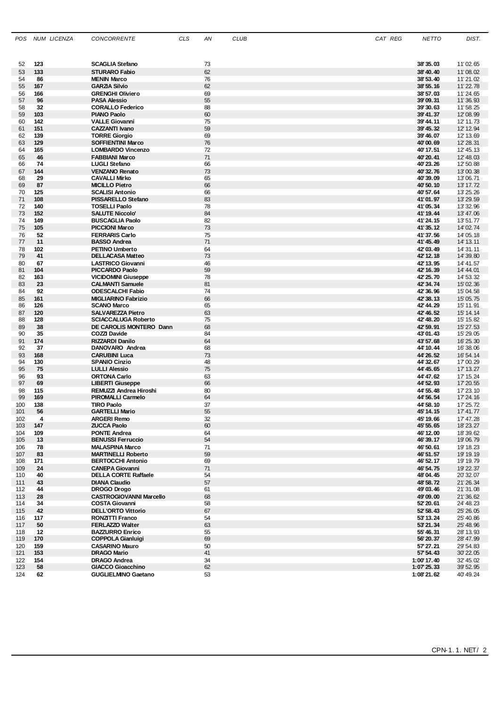| POS        | NUM LICENZA | <b>CONCORRENTE</b>                                 | CLS | AN       | <b>CLUB</b> | CAT REG | <b>NETTO</b>           | DIST.                  |
|------------|-------------|----------------------------------------------------|-----|----------|-------------|---------|------------------------|------------------------|
|            |             |                                                    |     |          |             |         |                        |                        |
|            |             |                                                    |     |          |             |         |                        |                        |
| 52<br>53   | 123<br>133  | <b>SCAGLIA Stefano</b><br><b>STURARO Fabio</b>     |     | 73<br>62 |             |         | 38'35.03<br>38' 40.40  | 11'02.65<br>11'08.02   |
| 54         | 86          | <b>MENIN Marco</b>                                 |     | 76       |             |         | 38' 53.40              | 11'21.02               |
| 55         | 167         | <b>GARZIA Silvio</b>                               |     | 62       |             |         | 38' 55.16              | 11'22.78               |
| 56         | 166         | <b>GRENGHI Oliviero</b>                            |     | 69       |             |         | 38' 57.03              | 11'24.65               |
| 57         | 96          | <b>PASA Alessio</b>                                |     | 55       |             |         | 39'09.31               | 11'36.93               |
| 58         | 32          | <b>CORALLO Federico</b>                            |     | 88       |             |         | 39'30.63               | 11' 58.25              |
| 59         | 103         | <b>PIANO Paolo</b>                                 |     | 60       |             |         | 39' 41.37              | 12'08.99               |
| 60<br>61   | 142<br>151  | <b>VALLE Giovanni</b><br><b>CAZZANTI Ivano</b>     |     | 75<br>59 |             |         | 39' 44.11<br>39' 45.32 | 12' 11.73<br>12' 12.94 |
| 62         | 139         | <b>TORRE Giorgio</b>                               |     | 69       |             |         | 39' 46.07              | 12' 13.69              |
| 63         | 129         | SOFFIENTINI Marco                                  |     | 76       |             |         | 40'00.69               | 12' 28.31              |
| 64         | 165         | <b>LOMBARDO Vincenzo</b>                           |     | 72       |             |         | 40'17.51               | 12' 45.13              |
| 65         | 46          | <b>FABBIANI Marco</b>                              |     | 71       |             |         | 40' 20.41              | 12' 48.03              |
| 66         | 74          | <b>LUGLI Stefano</b>                               |     | 66       |             |         | 40'23.26               | 12' 50.88              |
| 67<br>68   | 144<br>29   | <b>VENZANO Renato</b><br><b>CAVALLI Mirko</b>      |     | 73<br>65 |             |         | 40'32.76<br>40'39.09   | 13'00.38<br>13'06.71   |
| 69         | 87          | <b>MICILLO Pietro</b>                              |     | 66       |             |         | 40' 50.10              | 13' 17.72              |
| 70         | 125         | <b>SCALISI Antonio</b>                             |     | 66       |             |         | 40'57.64               | 13' 25.26              |
| 71         | 108         | <b>PISSARELLO Stefano</b>                          |     | 83       |             |         | 41'01.97               | 13' 29.59              |
| 72         | 140         | <b>TOSELLI Paolo</b>                               |     | 78       |             |         | 41'05.34               | 13' 32.96              |
| 73         | 152         | <b>SALUTE Niccolo'</b>                             |     | 84       |             |         | 41' 19.44              | 13' 47.06              |
| 74         | 149         | <b>BUSCAGLIA Paolo</b>                             |     | 82       |             |         | 41'24.15               | 13' 51.77              |
| 75<br>76   | 105<br>52   | <b>PICCIONI Marco</b><br><b>FERRARIS Carlo</b>     |     | 73<br>75 |             |         | 41'35.12<br>41'37.56   | 14' 02.74<br>14' 05.18 |
| 77         | 11          | <b>BASSO Andrea</b>                                |     | 71       |             |         | 41' 45.49              | 14' 13.11              |
| 78         | 102         | <b>PETINO Umberto</b>                              |     | 64       |             |         | 42'03.49               | 14' 31.11              |
| 79         | 41          | <b>DELLACASA Matteo</b>                            |     | 73       |             |         | 42' 12.18              | 14' 39.80              |
| 80         | 67          | <b>LASTRICO Giovanni</b>                           |     | 46       |             |         | 42' 13.95              | 14' 41.57              |
| 81         | 104         | <b>PICCARDO Paolo</b>                              |     | 59       |             |         | 42' 16.39              | 14' 44.01              |
| 82         | 163         | <b>VICIDOMINI Giuseppe</b>                         |     | 78<br>81 |             |         | 42' 25.70<br>42' 34.74 | 14' 53.32<br>15' 02.36 |
| 83<br>84   | 23<br>92    | <b>CALMANTI Samuele</b><br><b>ODESCALCHI Fabio</b> |     | 74       |             |         | 42'36.96               | 15' 04.58              |
| 85         | 161         | <b>MIGLIARINO Fabrizio</b>                         |     | 66       |             |         | 42' 38.13              | 15' 05.75              |
| 86         | 126         | <b>SCANO Marco</b>                                 |     | 65       |             |         | 42' 44.29              | 15' 11.91              |
| 87         | 120         | <b>SALVAREZZA Pietro</b>                           |     | 63       |             |         | 42' 46.52              | 15' 14.14              |
| 88         | 128         | <b>SCIACCALUGA Roberto</b>                         |     | 75       |             |         | 42' 48.20              | 15' 15.82              |
| 89         | 38          | <b>DE CAROLIS MONTERO Dann</b>                     |     | 68       |             |         | 42' 59.91              | 15' 27.53              |
| 90<br>91   | 35<br>174   | <b>COZZI Davide</b><br><b>RIZZARDI Danilo</b>      |     | 84<br>64 |             |         | 43'01.43<br>43' 57.68  | 15' 29.05<br>16' 25.30 |
| 92         | 37          | DANOVARO Andrea                                    |     | 68       |             |         | 44' 10.44              | 16'38.06               |
| 93         | 168         | <b>CARUBINI Luca</b>                               |     | 73       |             |         | 44' 26.52              | 16' 54.14              |
| 94         | 130         | <b>SPANIO Cinzio</b>                               |     | 48       |             |         | 44' 32.67              | 17'00.29               |
| 95         | 75          | <b>LULLI Alessio</b>                               |     | 75       |             |         | 44' 45.65              | 17' 13.27              |
| 96         | 93          | <b>ORTONA Carlo</b>                                |     | 63       |             |         | 44' 47.62              | 17' 15.24              |
| 97<br>98   | 69<br>115   | <b>LIBERTI Giuseppe</b><br>REMUZZI Andrea Hiroshi  |     | 66<br>80 |             |         | 44' 52.93<br>44' 55.48 | 17' 20.55<br>17' 23.10 |
| 99         | 169         | <b>PIROMALLI Carmelo</b>                           |     | 64       |             |         | 44' 56.54              | 17' 24.16              |
| 100        | 138         | <b>TIRO Paolo</b>                                  |     | 37       |             |         | 44' 58.10              | 17' 25.72              |
| 101        | 56          | <b>GARTELLI Mario</b>                              |     | 55       |             |         | 45' 14.15              | 17' 41.77              |
| 102        | 4           | ARGERI Remo                                        |     | 32       |             |         | 45' 19.66              | 17' 47.28              |
| 103        | 147         | <b>ZUCCA Paolo</b>                                 |     | 60       |             |         | 45' 55.65              | 18' 23.27              |
| 104<br>105 | 109<br>13   | <b>PONTE Andrea</b><br><b>BENUSSI Ferruccio</b>    |     | 64<br>54 |             |         | 46' 12.00<br>46'39.17  | 18' 39.62<br>19'06.79  |
| 106        | 78          | <b>MALASPINA Marco</b>                             |     | 71       |             |         | 46' 50.61              | 19' 18.23              |
| 107        | 83          | <b>MARTINELLI Roberto</b>                          |     | 59       |             |         | 46' 51.57              | 19' 19.19              |
| 108        | 171         | <b>BERTOCCHI Antonio</b>                           |     | 69       |             |         | 46' 52.17              | 19' 19.79              |
| 109        | 24          | <b>CANEPA Giovanni</b>                             |     | 71       |             |         | 46' 54.75              | 19' 22.37              |
| 110        | 40          | <b>DELLA CORTE Raffaele</b>                        |     | 54       |             |         | 48'04.45               | 20' 32.07              |
| 111        | 43          | <b>DIANA Claudio</b>                               |     | 57       |             |         | 48' 58.72              | 21'26.34               |
| 112<br>113 | 44<br>28    | DROGO Drogo<br><b>CASTROGIOVANNI Marcello</b>      |     | 61<br>68 |             |         | 49'03.46<br>49'09.00   | 21'31.08<br>21' 36.62  |
| 114        | 34          | <b>COSTA Giovanni</b>                              |     | 58       |             |         | 52' 20.61              | 24' 48.23              |
| 115        | 42          | <b>DELL'ORTO Vittorio</b>                          |     | 67       |             |         | 52' 58.43              | 25' 26.05              |
| 116        | 117         | <b>RONZITI Franco</b>                              |     | 54       |             |         | 53' 13.24              | 25' 40.86              |
| 117        | 50          | <b>FERLAZZO Walter</b>                             |     | 63       |             |         | 53'21.34               | 25' 48.96              |
| 118<br>119 | 12<br>170   | <b>BAZZURRO Enrico</b><br><b>COPPOLA Gianluigi</b> |     | 55<br>69 |             |         | 55' 46.31<br>56' 20.37 | 28' 13.93<br>28' 47.99 |
| 120        | 159         | <b>CASARINO Mauro</b>                              |     | 50       |             |         | 57' 27.21              | 29' 54.83              |
| 121        | 153         | <b>DRAGO Mario</b>                                 |     | 41       |             |         | 57' 54.43              | 30'22.05               |
| 122        | 154         | <b>DRAGO Andrea</b>                                |     | 34       |             |         | 1:00' 17.40            | 32' 45.02              |
| 123        | 58          | <b>GIACCO Gioacchino</b>                           |     | 62       |             |         | 1:07' 25.33            | 39' 52.95              |
| 124        | 62          | <b>GUGLIELMINO Gaetano</b>                         |     | 53       |             |         | 1:08'21.62             | 40'49.24               |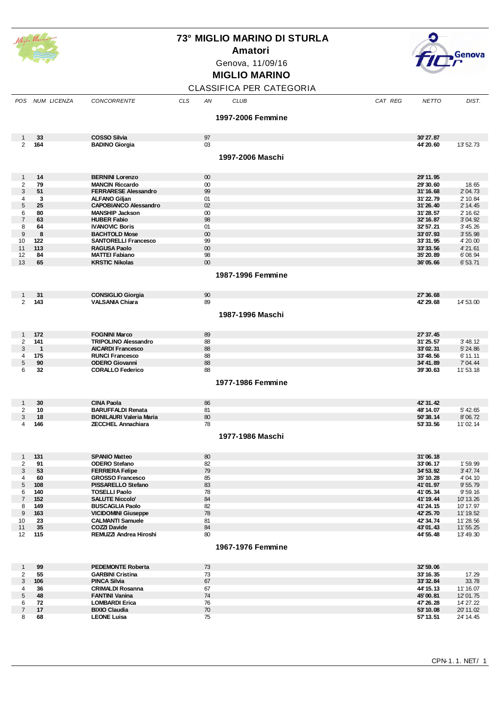

**Amatori**





## **MIGLIO MARINO**

## CLASSIFICA PER CATEGORIA

|                     | POS NUM LICENZA       | CONCORRENTE                                           | CLS | AN       | <b>CLUB</b>       | CAT REG | <b>NETTO</b>           | DIST.                 |
|---------------------|-----------------------|-------------------------------------------------------|-----|----------|-------------------|---------|------------------------|-----------------------|
|                     |                       |                                                       |     |          | 1997-2006 Femmine |         |                        |                       |
|                     |                       |                                                       |     |          |                   |         |                        |                       |
| $\mathbf{1}$        | 33                    | <b>COSSO Silvia</b>                                   |     | 97       |                   |         | 30'27.87               |                       |
| $\overline{2}$      | 164                   | <b>BADINO Giorgia</b>                                 |     | 03       |                   |         | 44' 20.60              | 13' 52.73             |
|                     |                       |                                                       |     |          | 1997-2006 Maschi  |         |                        |                       |
|                     |                       |                                                       |     |          |                   |         |                        |                       |
| $\mathbf{1}$        | 14                    | <b>BERNINI Lorenzo</b>                                |     | 00       |                   |         | 29' 11.95              |                       |
| 2                   | 79                    | <b>MANCIN Riccardo</b>                                |     | 00       |                   |         | 29'30.60               | 18.65                 |
| 3                   | 51                    | <b>FERRARESE Alessandro</b>                           |     | 99       |                   |         | 31' 16.68              | 2' 04.73              |
| 4<br>5              | 3<br>25               | <b>ALFANO Gilian</b><br><b>CAPOBIANCO Alessandro</b>  |     | 01<br>02 |                   |         | 31'22.79<br>31'26.40   | 2' 10.84<br>2' 14.45  |
| 6                   | 80                    | <b>MANSHIP Jackson</b>                                |     | 00       |                   |         | 31'28.57               | 2' 16.62              |
| $\overline{7}$      | 63                    | <b>HUBER Fabio</b>                                    |     | 98       |                   |         | 32' 16.87              | 3' 04.92              |
| 8                   | 64                    | <b>IVANOVIC Boris</b>                                 |     | 01       |                   |         | 32' 57.21              | 3' 45.26              |
| 9                   | 8                     | <b>BACHTOLD Mose</b>                                  |     | 00       |                   |         | 33'07.93               | 3' 55.98              |
| 10                  | 122                   | <b>SANTORELLI Francesco</b>                           |     | 99       |                   |         | 33'31.95               | 4' 20.00              |
| 11                  | 113                   | <b>RAGUSA Paolo</b>                                   |     | 00       |                   |         | 33' 33.56              | 4' 21.61              |
| 12                  | 84                    | <b>MATTEI Fabiano</b>                                 |     | 98       |                   |         | 35' 20.89              | 6'08.94               |
| 13                  | 65                    | <b>KRSTIC Nikolas</b>                                 |     | 00       |                   |         | 36'05.66               | 6'53.71               |
|                     |                       |                                                       |     |          | 1987-1996 Femmine |         |                        |                       |
|                     |                       |                                                       |     |          |                   |         |                        |                       |
| $\mathbf{1}$        | 31                    | <b>CONSIGLIO Giorgia</b>                              |     | 90       |                   |         | 27' 36, 68             |                       |
| $\overline{2}$      | 143                   | <b>VALSANIA Chiara</b>                                |     | 89       |                   |         | 42' 29.68              | 14' 53.00             |
|                     |                       |                                                       |     |          | 1987-1996 Maschi  |         |                        |                       |
|                     |                       |                                                       |     |          |                   |         |                        |                       |
|                     |                       |                                                       |     |          |                   |         |                        |                       |
| $\mathbf{1}$        | 172                   | <b>FOGNINI Marco</b>                                  |     | 89       |                   |         | 27' 37.45              |                       |
| 2                   | 141                   | <b>TRIPOLINO Alessandro</b>                           |     | 88       |                   |         | 31'25.57               | 3' 48.12              |
| 3<br>4              | $\overline{1}$<br>175 | <b>AICARDI Francesco</b><br><b>RUNCI Francesco</b>    |     | 88<br>88 |                   |         | 33'02.31<br>33'48.56   | 5' 24.86<br>6' 11.11  |
| 5                   | 90                    | <b>ODERO Giovanni</b>                                 |     | 88       |                   |         | 34' 41.89              | 7' 04.44              |
| 6                   | 32                    | <b>CORALLO Federico</b>                               |     | 88       |                   |         | 39'30.63               | 11'53.18              |
|                     |                       |                                                       |     |          |                   |         |                        |                       |
|                     |                       |                                                       |     |          | 1977-1986 Femmine |         |                        |                       |
|                     |                       |                                                       |     |          |                   |         |                        |                       |
| $\mathbf{1}$        | 30                    | <b>CINA Paola</b>                                     |     | 86       |                   |         | 42' 31.42              |                       |
| $\overline{2}$      | 10                    | <b>BARUFFALDI Renata</b>                              |     | 81       |                   |         | 48' 14.07              | 5' 42.65              |
| 3                   | 18                    | <b>BONILAURI Valeria Maria</b>                        |     | 80       |                   |         | 50'38.14               | 8'06.72               |
| 4                   | 146                   | <b>ZECCHEL Annachiara</b>                             |     | 78       |                   |         | 53' 33.56              | 11'02.14              |
|                     |                       |                                                       |     |          | 1977-1986 Maschi  |         |                        |                       |
|                     |                       |                                                       |     |          |                   |         |                        |                       |
|                     | 131                   | <b>SPANIO Matteo</b>                                  |     | 80       |                   |         | 31'06.18               |                       |
| 1<br>2              | 91                    | <b>ODERO Stefano</b>                                  |     | 82       |                   |         | 33'06.17               | 1'59.99               |
| 3                   | 53                    | <b>FERRIERA Felipe</b>                                |     | 79       |                   |         | 34' 53.92              | 3' 47.74              |
| 4                   | 60                    | <b>GROSSO Francesco</b>                               |     | 85       |                   |         | 35' 10.28              | 4'04.10               |
| $5\phantom{.0}$     | 108                   | PISSARELLO Stefano                                    |     | 83       |                   |         | 41'01.97               | 9' 55.79              |
| 6                   | 140                   | <b>TOSELLI Paolo</b>                                  |     | 78       |                   |         | 41'05.34               | 9'59.16               |
| $\overline{7}$      | 152                   | <b>SALUTE Niccolo'</b>                                |     | 84       |                   |         | 41' 19.44              | 10'13.26              |
| 8                   | 149                   | <b>BUSCAGLIA Paolo</b>                                |     | 82       |                   |         | 41'24.15               | 10' 17.97             |
| 9<br>10             | 163                   | <b>VICIDOMINI Giuseppe</b><br><b>CALMANTI Samuele</b> |     | 78<br>81 |                   |         | 42' 25.70<br>42' 34.74 | 11' 19.52<br>11'28.56 |
| 11                  | 23<br>35              | <b>COZZI Davide</b>                                   |     | 84       |                   |         | 43'01.43               | 11'55.25              |
| 12                  | 115                   | REMUZZI Andrea Hiroshi                                |     | 80       |                   |         | 44' 55.48              | 13' 49.30             |
|                     |                       |                                                       |     |          |                   |         |                        |                       |
|                     |                       |                                                       |     |          | 1967-1976 Femmine |         |                        |                       |
|                     |                       |                                                       |     |          |                   |         |                        |                       |
| 1                   | 99                    | <b>PEDEMONTE Roberta</b>                              |     | 73       |                   |         | 32' 59.06              |                       |
| $\overline{2}$<br>3 | 55<br>106             | <b>GARBINI Cristina</b><br><b>PINCA Silvia</b>        |     | 73<br>67 |                   |         | 33' 16.35<br>33'32.84  | 17.29<br>33.78        |
| 4                   | 36                    | <b>CRIMALDI Rosanna</b>                               |     | 67       |                   |         | 44' 15.13              | 11' 16.07             |
| $\sqrt{5}$          | 48                    | <b>FANTINI Vanina</b>                                 |     | 74       |                   |         | 45'00.81               | 12'01.75              |
| 6                   | 72                    | <b>LOMBARDI Erica</b>                                 |     | 76       |                   |         | 47' 26.28              | 14' 27.22             |
| $\overline{7}$      | 17                    | <b>BIXIO Claudia</b>                                  |     | 70       |                   |         | 53' 10.08              | 20' 11.02             |
| 8                   | 68                    | <b>LEONE Luisa</b>                                    |     | 75       |                   |         | 57' 13.51              | 24' 14.45             |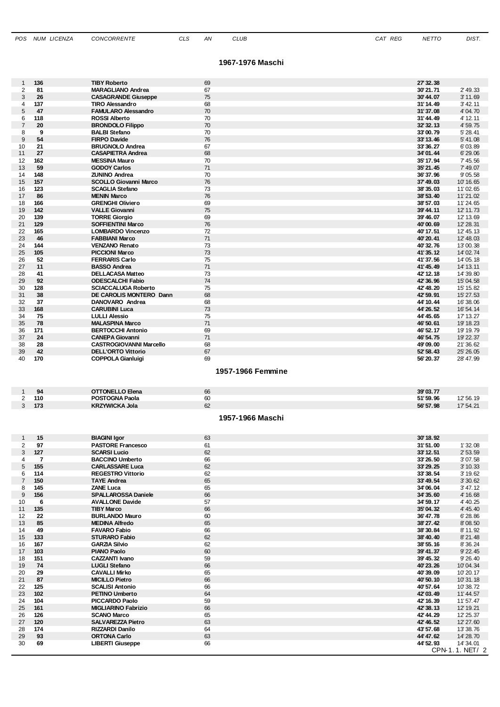#### **1967-1976 Maschi**

| 1                   | 136            | <b>TIBY Roberto</b>                                   | 69                     | 27' 32.38              |                       |
|---------------------|----------------|-------------------------------------------------------|------------------------|------------------------|-----------------------|
| $\overline{2}$      | 81             | <b>MARAGLIANO Andrea</b>                              | 67                     | 30'21.71               | 2' 49.33              |
| 3                   | 26             | <b>CASAGRANDE Giuseppe</b><br><b>TIRO Alessandro</b>  | 75                     | 30' 44.07              | 3' 11.69              |
| 4<br>5              | 137<br>47      | <b>FAMULARO Alessandro</b>                            | 68<br>70               | 31'14.49               | 3' 42.11<br>4' 04.70  |
| 6                   | 118            | <b>ROSSI Alberto</b>                                  | 70                     | 31'37.08<br>31'44.49   | 4' 12.11              |
| $\overline{7}$      | 20             | <b>BRONDOLO Filippo</b>                               | 70                     | 32' 32.13              | 4' 59.75              |
| 8                   | 9              | <b>BALBI</b> Stefano                                  | 70                     | 33'00.79               | 5' 28.41              |
| 9                   | 54             | <b>FIRPO Davide</b>                                   | 76                     | 33' 13.46              | 5' 41.08              |
| 10                  | 21             | <b>BRUGNOLO Andrea</b>                                | 67                     | 33' 36.27              | 6'03.89               |
| 11                  | 27             | <b>CASAPIETRA Andrea</b>                              | 68                     | 34'01.44               | 6'29.06               |
| 12                  | 162            | <b>MESSINA Mauro</b>                                  | 70                     | 35' 17.94              | 7' 45.56              |
| 13                  | 59             | <b>GODOY Carlos</b>                                   | 71                     | 35' 21.45              | 7' 49.07              |
| 14                  | 148            | <b>ZUNINO Andrea</b>                                  | 70                     | 36'37.96               | 9'05.58               |
| 15                  | 157            | <b>SCOLLO Giovanni Marco</b>                          | 76                     | 37' 49.03              | 10' 16.65             |
| 16                  | 123            | <b>SCAGLIA Stefano</b>                                | 73                     | 38' 35.03              | 11'02.65              |
| 17                  | 86             | <b>MENIN Marco</b>                                    | 76                     | 38' 53.40              | 11'21.02              |
| 18                  | 166            | <b>GRENGHI Oliviero</b>                               | 69                     | 38' 57.03              | 11'24.65              |
| 19                  | 142            | <b>VALLE Giovanni</b>                                 | 75                     | 39' 44.11              | 12' 11.73             |
| 20                  | 139            | <b>TORRE Giorgio</b>                                  | 69                     | 39' 46.07              | 12' 13.69             |
| 21                  | 129            | <b>SOFFIENTINI Marco</b>                              | 76                     | 40'00.69               | 12' 28.31             |
| 22                  | 165            | <b>LOMBARDO Vincenzo</b>                              | 72                     | 40' 17.51              | 12' 45.13             |
| 23                  | 46             | <b>FABBIANI Marco</b>                                 | 71                     | 40'20.41               | 12' 48.03             |
| 24                  | 144            | <b>VENZANO Renato</b>                                 | 73                     | 40'32.76               | 13'00.38              |
| 25                  | 105            | <b>PICCIONI Marco</b>                                 | 73                     | 41'35.12               | 14' 02.74             |
| 26                  | 52             | <b>FERRARIS Carlo</b>                                 | 75                     | 41'37.56               | 14'05.18              |
| 27<br>28            | 11<br>41       | <b>BASSO Andrea</b><br><b>DELLACASA Matteo</b>        | 71<br>73               | 41' 45.49<br>42' 12.18 | 14' 13.11<br>14'39.80 |
|                     | 92             |                                                       |                        |                        | 15' 04.58             |
| 29<br>30            | 128            | <b>ODESCALCHI Fabio</b><br><b>SCIACCALUGA Roberto</b> | 74<br>75               | 42' 36.96<br>42' 48.20 | 15' 15.82             |
| 31                  | 38             | DE CAROLIS MONTERO Dann                               | 68                     | 42' 59.91              | 15' 27.53             |
| 32                  | 37             | DANOVARO Andrea                                       | 68                     | 44' 10.44              | 16'38.06              |
| 33                  | 168            | <b>CARUBINI Luca</b>                                  | 73                     | 44' 26.52              | 16' 54.14             |
| 34                  | 75             | <b>LULLI Alessio</b>                                  | 75                     | 44' 45.65              | 17' 13.27             |
| 35                  | 78             | <b>MALASPINA Marco</b>                                | 71                     | 46' 50.61              | 19' 18.23             |
| 36                  | 171            | <b>BERTOCCHI Antonio</b>                              | 69                     | 46' 52.17              | 19' 19.79             |
| 37                  | 24             | <b>CANEPA Giovanni</b>                                | 71                     | 46' 54.75              | 19' 22.37             |
| 38                  | 28             | <b>CASTROGIOVANNI Marcello</b>                        | 68                     | 49'09.00               | 21'36.62              |
| 39                  | 42             | <b>DELL'ORTO Vittorio</b>                             | 67                     | 52' 58.43              | 25' 26.05             |
| 40                  | 170            | <b>COPPOLA Gianluigi</b>                              | 69                     | 56' 20.37              | 28' 47.99             |
|                     |                |                                                       |                        |                        |                       |
|                     |                |                                                       | 1957-1966 Femmine      |                        |                       |
| 1                   | 94             | <b>OTTONELLO Elena</b>                                | 66                     | 39'03.77               |                       |
| 2                   | 110            | <b>POSTOGNA Paola</b>                                 | 60                     | 51'59.96               | 12' 56.19             |
| 3                   | 173            | <b>KRZYWICKA Jola</b>                                 | 62<br>1957-1966 Maschi | 56' 57.98              | 17' 54.21             |
| 1                   | 15             |                                                       | 63                     | 30'18.92               |                       |
|                     | 97             | <b>BIAGINI Igor</b>                                   |                        |                        |                       |
| $\overline{2}$<br>3 | 127            | <b>PASTORE Francesco</b><br><b>SCARSI Lucio</b>       | 61<br>62               | 31'51.00<br>33' 12.51  | 1'32.08<br>2' 53.59   |
| 4                   | $\overline{7}$ | <b>BACCINO Umberto</b>                                | 66                     | 33' 26.50              | 3'07.58               |
| 5                   | 155            | <b>CARLASSARE Luca</b>                                | 62                     | 33' 29.25              | 3' 10.33              |
| 6                   | 114            | <b>REGESTRO Vittorio</b>                              | 62                     | 33' 38.54              | 3' 19.62              |
| $\overline{7}$      | 150            | <b>TAYE Andrea</b>                                    | 65                     | 33' 49.54              | 3' 30.62              |
| 8                   | 145            | <b>ZANE Luca</b>                                      | 65                     | 34'06.04               | 3' 47.12              |
| 9                   | 156            | <b>SPALLAROSSA Daniele</b>                            | 66                     | 34' 35.60              | 4' 16.68              |
| 10                  | 6              | <b>AVALLONE Davide</b>                                | 57                     | 34' 59.17              | 4' 40.25              |
| 11                  | 135            | <b>TIBY Marco</b>                                     | 66                     | 35'04.32               | 4' 45.40              |
| 12                  | 22             | <b>BURLANDO Mauro</b>                                 | 60                     | 36' 47.78              | 6'28.86               |
| 13                  | 85             | <b>MEDINA Alfredo</b>                                 | 65                     | 38' 27.42              | 8'08.50               |
| 14                  | 49             | <b>FAVARO Fabio</b>                                   | 66                     | 38'30.84               | 8' 11.92              |
| 15                  | 133            | <b>STURARO Fabio</b>                                  | 62                     | 38' 40.40              | 8'21.48               |
| 16                  | 167            | <b>GARZIA Silvio</b>                                  | 62                     | 38' 55.16              | 8'36.24               |
| 17                  | 103            | <b>PIANO Paolo</b>                                    | 60                     | 39' 41.37              | $9'$ 22.45            |
| 18                  | 151            | CAZZANTI Ivano                                        | 59                     | 39' 45.32              | 9' 26.40              |
| 19                  | 74             | <b>LUGLI Stefano</b>                                  | 66                     | 40'23.26               | 10'04.34              |
| 20                  | 29             | <b>CAVALLI Mirko</b>                                  | 65                     | 40'39.09               | 10'20.17              |
| 21                  | 87             | <b>MICILLO Pietro</b>                                 | 66                     | 40'50.10               | 10'31.18              |
| 22                  | 125            | <b>SCALISI Antonio</b>                                | 66                     | 40'57.64               | 10'38.72              |
| 23                  | 102            | <b>PETINO Umberto</b>                                 | 64                     | 42'03.49               | 11' 44.57             |
| 24                  | 104            | <b>PICCARDO Paolo</b>                                 | 59                     | 42' 16.39              | 11' 57.47             |
| 25                  | 161            | <b>MIGLIARINO Fabrizio</b>                            | 66                     | 42' 38.13              | 12' 19.21             |
| 26<br>27            | 126            | <b>SCANO Marco</b><br><b>SALVAREZZA Pietro</b>        | 65                     | 42' 44.29              | 12' 25.37             |
|                     | 120            | <b>RIZZARDI Danilo</b>                                | 63                     | 42' 46.52              | 12' 27.60             |
| 28<br>29            | 174<br>93      | <b>ORTONA Carlo</b>                                   | 64<br>63               | 43' 57.68<br>44' 47.62 | 13'38.76<br>14' 28.70 |